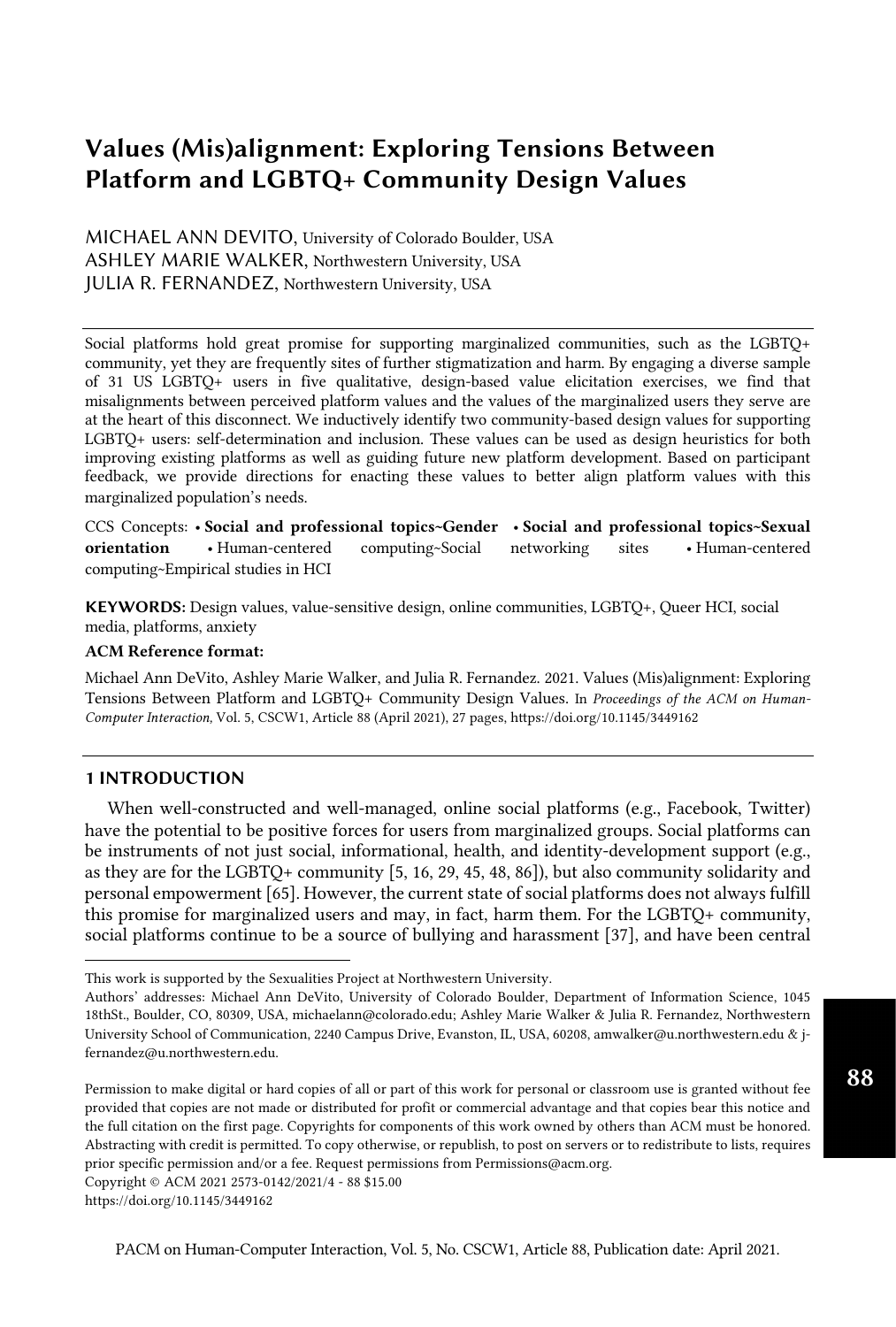# Values (Mis)alignment: Exploring Tensions Between Platform and LGBTQ+ Community Design Values

 MICHAEL ANN DEVITO, University of Colorado Boulder, USA ASHLEY MARIE WALKER, Northwestern University, USA JULIA R. FERNANDEZ, Northwestern University, USA

 Social platforms hold great promise for supporting marginalized communities, such as the LGBTQ+ community, yet they are frequently sites of further stigmatization and harm. By engaging a diverse sample of 31 US LGBTQ+ users in five qualitative, design-based value elicitation exercises, we find that misalignments between perceived platform values and the values of the marginalized users they serve are at the heart of this disconnect. We inductively identify two community-based design values for supporting LGBTQ+ users: self-determination and inclusion. These values can be used as design heuristics for both improving existing platforms as well as guiding future new platform development. Based on participant feedback, we provide directions for enacting these values to better align platform values with this marginalized population's needs.

 CCS Concepts: • Social and professional topics~Gender • Social and professional topics~Sexual orientation computing~Empirical studies in HCI • Human-centered computing~Social networking sites • Human-centered

 KEYWORDS: Design values, value-sensitive design, online communities, LGBTQ+, Queer HCI, social media, platforms, anxiety

#### ACM Reference format:

 Michael Ann DeVito, Ashley Marie Walker, and Julia R. Fernandez. 2021. Values (Mis)alignment: Exploring Tensions Between Platform and LGBTQ+ Community Design Values. In *Proceedings of the ACM on Human-Computer Interaction,* Vol. 5, CSCW1, Article 88 (April 2021), 27 pages, ht[ps://doi.org/10.1145/3449162](https://doi.org/10.1145/3449162) 

# 1 INTRODUCTION

 When well-constructed and well-managed, online social platforms (e.g., Facebook, Twitter) have the potential to be positive forces for users from marginalized groups. Social platforms can be instruments of not just social, informational, health, and identity-development support (e.g., as they are for the LGBTQ+ community [5, 16, 29, 45, 48, 86]), but also community solidarity and personal empowerment [65]. However, the current state of social platforms does not always fulfill this promise for marginalized users and may, in fact, harm them. For the LGBTQ+ community, social platforms continue to be a source of bullying and harassment [37], and have been central

Copyright © ACM 2021 2573-0142/2021/4 - 88 \$15.00

 This work is supported by the Sexualities Project at Northwestern University.

 Authors' addresses: Michael Ann DeVito, University of Colorado Boulder, Department of Information Science, 1045 18thSt., Boulder, CO, 80309, USA, [michaelann@colorado.edu;](mailto:michaelann@colorado.edu) Ashley Marie Walker & Julia R. Fernandez, Northwestern University School of Communication, 2240 Campus Drive, Evanston, IL, USA, 60208, [amwalker@u.northwestern.edu](mailto:amwalker@u.northwestern.edu) & j[fernandez@u.northwestern.edu](mailto:fernandez@u.northwestern.edu).

 Permission to make digital or hard copies of all or part of this work for personal or classroom use is granted without fee provided that copies are not made or distributed for profit or commercial advantage and that copies bear this notice and the full citation on the first page. Copyrights for components of this work owned by others than ACM must be honored. Abstracting with credit is permitted. To copy otherwise, or republish, to post on servers or to redistribute to lists, requires prior specific permission and/or a fee. Request permissions from [Permissions@acm.org.](mailto:Permissions@acm.org)

<https://doi.org/10.1145/3449162>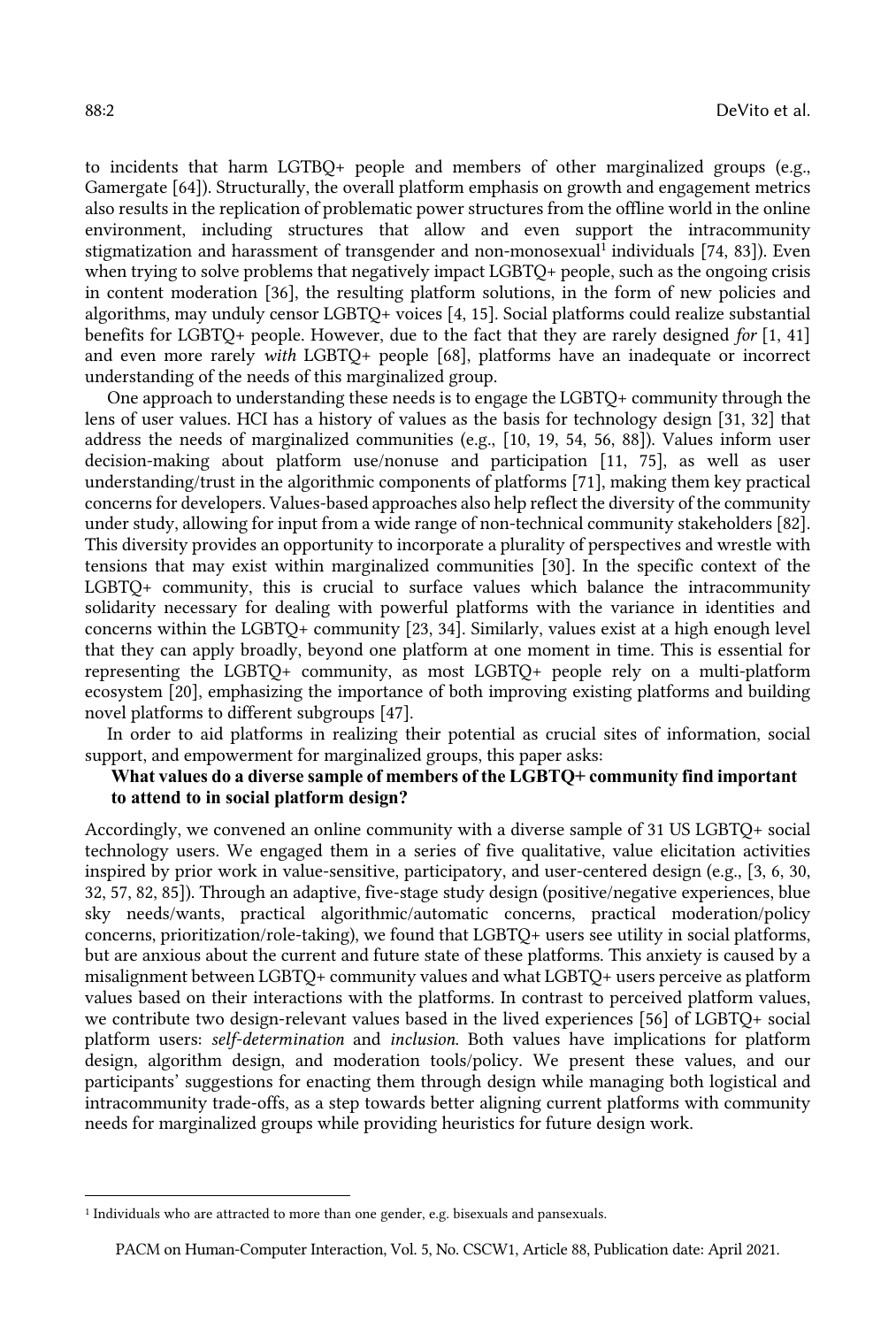to incidents that harm LGTBQ+ people and members of other marginalized groups (e.g., Gamergate [64]). Structurally, the overall platform emphasis on growth and engagement metrics also results in the replication of problematic power structures from the offline world in the online environment, including structures that allow and even support the intracommunity stigmatization and harassment of transgender and non-monosexual<sup>1</sup> individuals [74, 83]). Even when trying to solve problems that negatively impact LGBTQ+ people, such as the ongoing crisis in content moderation [36], the resulting platform solutions, in the form of new policies and algorithms, may unduly censor LGBTQ+ voices [4, 15]. Social platforms could realize substantial benefits for LGBTQ+ people. However, due to the fact that they are rarely designed *for* [1, 41] and even more rarely *with* LGBTQ+ people [68], platforms have an inadequate or incorrect understanding of the needs of this marginalized group.

 One approach to understanding these needs is to engage the LGBTQ+ community through the lens of user values. HCI has a history of values as the basis for technology design [31, 32] that address the needs of marginalized communities (e.g., [10, 19, 54, 56, 88]). Values inform user decision-making about platform use/nonuse and participation [11, 75], as well as user understanding/trust in the algorithmic components of platforms [71], making them key practical under study, allowing for input from a wide range of non-technical community stakeholders [82]. This diversity provides an opportunity to incorporate a plurality of perspectives and wrestle with tensions that may exist within marginalized communities [30]. In the specific context of the LGBTQ+ community, this is crucial to surface values which balance the intracommunity solidarity necessary for dealing with powerful platforms with the variance in identities and concerns within the LGBTQ+ community [23, 34]. Similarly, values exist at a high enough level that they can apply broadly, beyond one platform at one moment in time. This is essential for representing the LGBTQ+ community, as most LGBTQ+ people rely on a multi-platform ecosystem [20], emphasizing the importance of both improving existing platforms and building novel platforms to different subgroups [47]. concerns for developers. Values-based approaches also help reflect the diversity of the community

 In order to aid platforms in realizing their potential as crucial sites of information, social support, and empowerment for marginalized groups, this paper asks:

# **What values do a diverse sample of members of the LGBTQ+ community find important to attend to in social platform design?**

 Accordingly, we convened an online community with a diverse sample of 31 US LGBTQ+ social technology users. We engaged them in a series of five qualitative, value elicitation activities inspired by prior work in value-sensitive, participatory, and user-centered design (e.g., [3, 6, 30, 32, 57, 82, 85]). Through an adaptive, five-stage study design (positive/negative experiences, blue sky needs/wants, practical algorithmic/automatic concerns, practical moderation/policy concerns, prioritization/role-taking), we found that LGBTQ+ users see utility in social platforms, but are anxious about the current and future state of these platforms. This anxiety is caused by a misalignment between LGBTQ+ community values and what LGBTQ+ users perceive as platform values based on their interactions with the platforms. In contrast to perceived platform values, we contribute two design-relevant values based in the lived experiences [56] of LGBTQ+ social platform users: *self-determination* and *inclusion*. Both values have implications for platform design, algorithm design, and moderation tools/policy. We present these values, and our participants' suggestions for enacting them through design while managing both logistical and intracommunity trade-offs, as a step towards better aligning current platforms with community needs for marginalized groups while providing heuristics for future design work.

<sup>&</sup>lt;sup>1</sup> Individuals who are attracted to more than one gender, e.g. bisexuals and pansexuals.

 PACM on Human-Computer Interaction, Vol. 5, No. CSCW1, Article 88, Publication date: April 2021.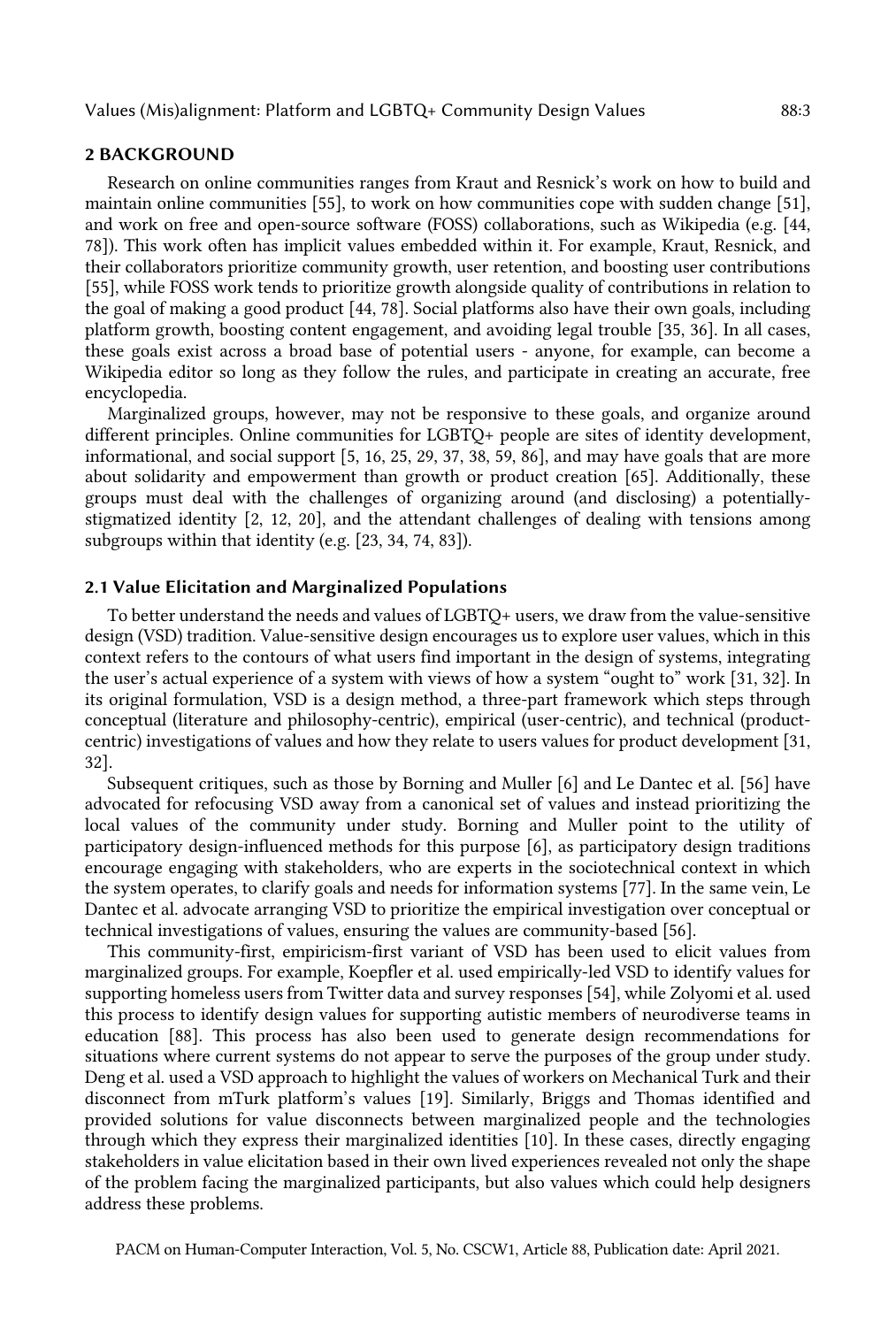#### 2 BACKGROUND

 Research on online communities ranges from Kraut and Resnick's work on how to build and maintain online communities [55], to work on how communities cope with sudden change [51], and work on free and open-source software (FOSS) collaborations, such as Wikipedia (e.g. [44, 78]). This work often has implicit values embedded within it. For example, Kraut, Resnick, and their collaborators prioritize community growth, user retention, and boosting user contributions [55], while FOSS work tends to prioritize growth alongside quality of contributions in relation to the goal of making a good product [44, 78]. Social platforms also have their own goals, including platform growth, boosting content engagement, and avoiding legal trouble [35, 36]. In all cases, these goals exist across a broad base of potential users - anyone, for example, can become a Wikipedia editor so long as they follow the rules, and participate in creating an accurate, free encyclopedia.

 Marginalized groups, however, may not be responsive to these goals, and organize around different principles. Online communities for LGBTQ+ people are sites of identity development, informational, and social support [5, 16, 25, 29, 37, 38, 59, 86], and may have goals that are more about solidarity and empowerment than growth or product creation [65]. Additionally, these groups must deal with the challenges of organizing around (and disclosing) a potentially- stigmatized identity [2, 12, 20], and the attendant challenges of dealing with tensions among subgroups within that identity (e.g. [23, 34, 74, 83]).

# 2.1 Value Elicitation and Marginalized Populations

 To better understand the needs and values of LGBTQ+ users, we draw from the value-sensitive design (VSD) tradition. Value-sensitive design encourages us to explore user values, which in this context refers to the contours of what users find important in the design of systems, integrating the user's actual experience of a system with views of how a system "ought to" work [31, 32]. In its original formulation, VSD is a design method, a three-part framework which steps through conceptual (literature and philosophy-centric), empirical (user-centric), and technical (product- centric) investigations of values and how they relate to users values for product development [31, 32].

 Subsequent critiques, such as those by Borning and Muller [6] and Le Dantec et al. [56] have advocated for refocusing VSD away from a canonical set of values and instead prioritizing the local values of the community under study. Borning and Muller point to the utility of participatory design-influenced methods for this purpose [6], as participatory design traditions encourage engaging with stakeholders, who are experts in the sociotechnical context in which the system operates, to clarify goals and needs for information systems [77]. In the same vein, Le Dantec et al. advocate arranging VSD to prioritize the empirical investigation over conceptual or technical investigations of values, ensuring the values are community-based [56].

 This community-first, empiricism-first variant of VSD has been used to elicit values from marginalized groups. For example, Koepfler et al. used empirically-led VSD to identify values for supporting homeless users from Twitter data and survey responses [54], while Zolyomi et al. used this process to identify design values for supporting autistic members of neurodiverse teams in education [88]. This process has also been used to generate design recommendations for situations where current systems do not appear to serve the purposes of the group under study. Deng et al. used a VSD approach to highlight the values of workers on Mechanical Turk and their disconnect from mTurk platform's values [19]. Similarly, Briggs and Thomas identified and provided solutions for value disconnects between marginalized people and the technologies through which they express their marginalized identities [10]. In these cases, directly engaging stakeholders in value elicitation based in their own lived experiences revealed not only the shape of the problem facing the marginalized participants, but also values which could help designers address these problems.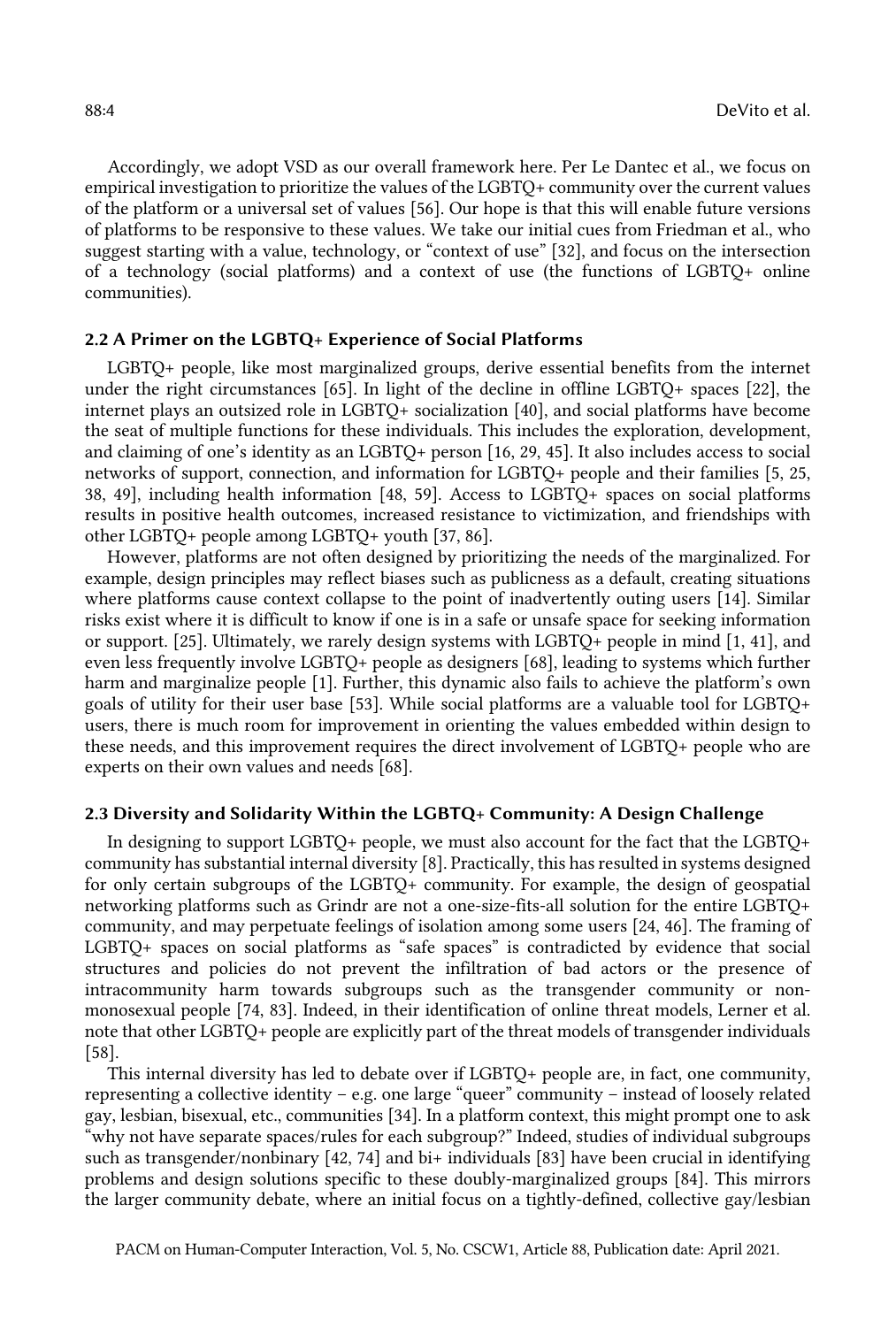Accordingly, we adopt VSD as our overall framework here. Per Le Dantec et al., we focus on empirical investigation to prioritize the values of the LGBTQ+ community over the current values of the platform or a universal set of values [56]. Our hope is that this will enable future versions of platforms to be responsive to these values. We take our initial cues from Friedman et al., who suggest starting with a value, technology, or "context of use" [32], and focus on the intersection of a technology (social platforms) and a context of use (the functions of LGBTQ+ online communities).

# 2.2 A Primer on the LGBTQ+ Experience of Social Platforms

 LGBTQ+ people, like most marginalized groups, derive essential benefits from the internet under the right circumstances [65]. In light of the decline in offline LGBTQ+ spaces [22], the internet plays an outsized role in LGBTQ+ socialization [40], and social platforms have become the seat of multiple functions for these individuals. This includes the exploration, development, and claiming of one's identity as an LGBTQ+ person [16, 29, 45]. It also includes access to social networks of support, connection, and information for LGBTQ+ people and their families [5, 25, 38, 49], including health information [48, 59]. Access to LGBTQ+ spaces on social platforms results in positive health outcomes, increased resistance to victimization, and friendships with other LGBTQ+ people among LGBTQ+ youth [37, 86].

 However, platforms are not often designed by prioritizing the needs of the marginalized. For example, design principles may reflect biases such as publicness as a default, creating situations where platforms cause context collapse to the point of inadvertently outing users [14]. Similar risks exist where it is difficult to know if one is in a safe or unsafe space for seeking information or support. [25]. Ultimately, we rarely design systems with LGBTQ+ people in mind [1, 41], and even less frequently involve LGBTQ+ people as designers [68], leading to systems which further harm and marginalize people [1]. Further, this dynamic also fails to achieve the platform's own goals of utility for their user base [53]. While social platforms are a valuable tool for LGBTQ+ users, there is much room for improvement in orienting the values embedded within design to these needs, and this improvement requires the direct involvement of LGBTQ+ people who are experts on their own values and needs [68].

# 2.3 Diversity and Solidarity Within the LGBTQ+ Community: A Design Challenge

 In designing to support LGBTQ+ people, we must also account for the fact that the LGBTQ+ community has substantial internal diversity [8]. Practically, this has resulted in systems designed for only certain subgroups of the LGBTQ+ community. For example, the design of geospatial networking platforms such as Grindr are not a one-size-fits-all solution for the entire LGBTQ+ community, and may perpetuate feelings of isolation among some users [24, 46]. The framing of LGBTQ+ spaces on social platforms as "safe spaces" is contradicted by evidence that social structures and policies do not prevent the infiltration of bad actors or the presence of intracommunity harm towards subgroups such as the transgender community or non- monosexual people [74, 83]. Indeed, in their identification of online threat models, Lerner et al. note that other LGBTQ+ people are explicitly part of the threat models of transgender individuals [58].

 This internal diversity has led to debate over if LGBTQ+ people are, in fact, one community, representing a collective identity – e.g. one large "queer" community – instead of loosely related gay, lesbian, bisexual, etc., communities [34]. In a platform context, this might prompt one to ask "why not have separate spaces/rules for each subgroup?" Indeed, studies of individual subgroups such as transgender/nonbinary [42, 74] and bi+ individuals [83] have been crucial in identifying problems and design solutions specific to these doubly-marginalized groups [84]. This mirrors the larger community debate, where an initial focus on a tightly-defined, collective gay/lesbian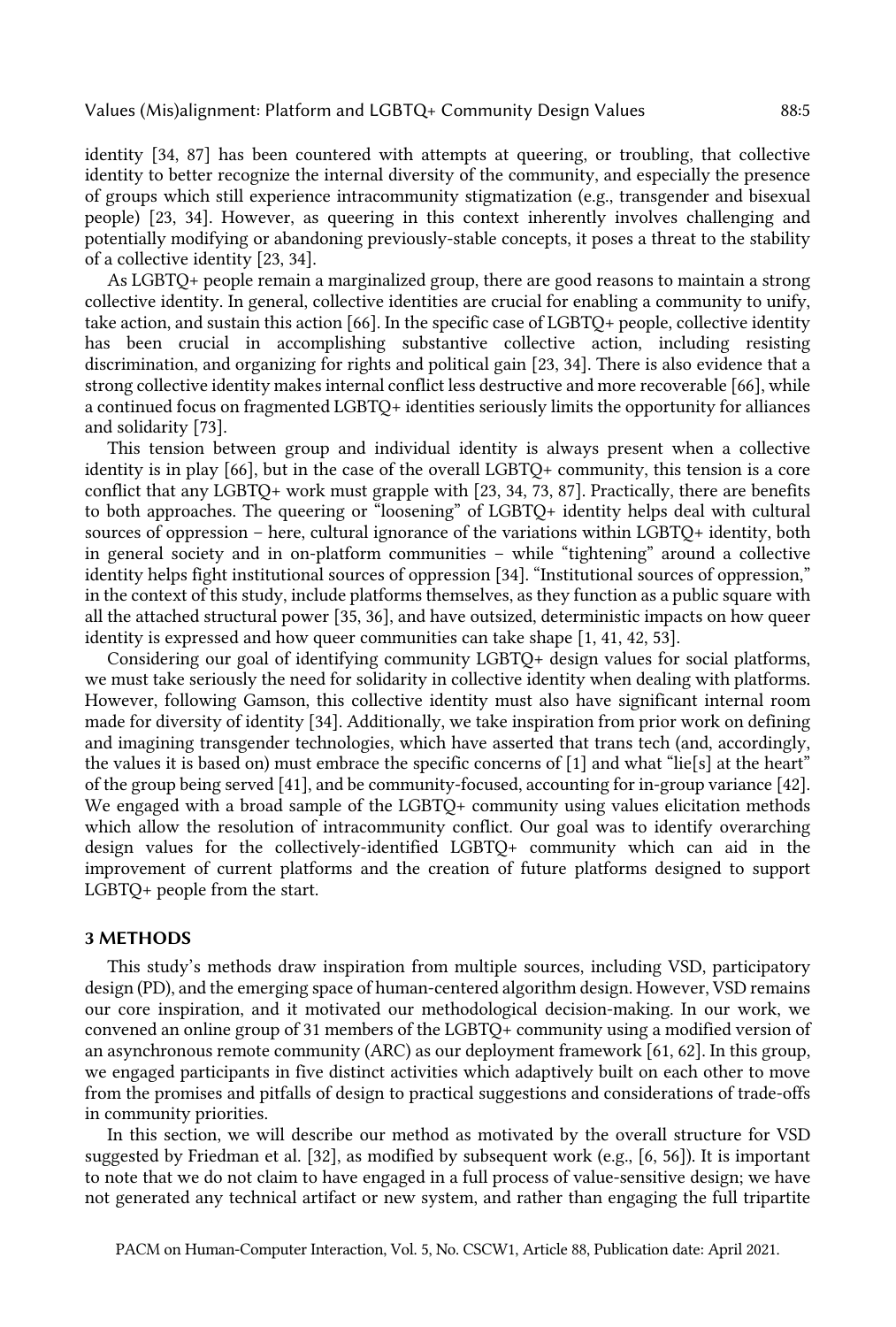identity [34, 87] has been countered with attempts at queering, or troubling, that collective identity to better recognize the internal diversity of the community, and especially the presence of groups which still experience intracommunity stigmatization (e.g., transgender and bisexual people) [23, 34]. However, as queering in this context inherently involves challenging and potentially modifying or abandoning previously-stable concepts, it poses a threat to the stability of a collective identity [23, 34].

 As LGBTQ+ people remain a marginalized group, there are good reasons to maintain a strong collective identity. In general, collective identities are crucial for enabling a community to unify, take action, and sustain this action [66]. In the specific case of LGBTQ+ people, collective identity discrimination, and organizing for rights and political gain [23, 34]. There is also evidence that a strong collective identity makes internal conflict less destructive and more recoverable [66], while a continued focus on fragmented LGBTQ+ identities seriously limits the opportunity for alliances has been crucial in accomplishing substantive collective action, including resisting and solidarity [73].

 This tension between group and individual identity is always present when a collective identity is in play [66], but in the case of the overall LGBTQ+ community, this tension is a core conflict that any LGBTQ+ work must grapple with [23, 34, 73, 87]. Practically, there are benefits to both approaches. The queering or "loosening" of LGBTQ+ identity helps deal with cultural sources of oppression – here, cultural ignorance of the variations within LGBTQ+ identity, both in general society and in on-platform communities – while "tightening" around a collective identity helps fight institutional sources of oppression [34]. "Institutional sources of oppression," in the context of this study, include platforms themselves, as they function as a public square with all the attached structural power [35, 36], and have outsized, deterministic impacts on how queer identity is expressed and how queer communities can take shape [1, 41, 42, 53].

 Considering our goal of identifying community LGBTQ+ design values for social platforms, we must take seriously the need for solidarity in collective identity when dealing with platforms. However, following Gamson, this collective identity must also have significant internal room made for diversity of identity [34]. Additionally, we take inspiration from prior work on defining and imagining transgender technologies, which have asserted that trans tech (and, accordingly, the values it is based on) must embrace the specific concerns of [1] and what "lie[s] at the heart" of the group being served [41], and be community-focused, accounting for in-group variance [42]. We engaged with a broad sample of the LGBTQ+ community using values elicitation methods which allow the resolution of intracommunity conflict. Our goal was to identify overarching design values for the collectively-identified LGBTQ+ community which can aid in the improvement of current platforms and the creation of future platforms designed to support LGBTQ+ people from the start.

# 3 METHODS

 This study's methods draw inspiration from multiple sources, including VSD, participatory design (PD), and the emerging space of human-centered algorithm design. However, VSD remains our core inspiration, and it motivated our methodological decision-making. In our work, we convened an online group of 31 members of the LGBTQ+ community using a modified version of an asynchronous remote community (ARC) as our deployment framework [61, 62]. In this group, we engaged participants in five distinct activities which adaptively built on each other to move from the promises and pitfalls of design to practical suggestions and considerations of trade-offs in community priorities.

 In this section, we will describe our method as motivated by the overall structure for VSD suggested by Friedman et al. [32], as modified by subsequent work (e.g., [6, 56]). It is important to note that we do not claim to have engaged in a full process of value-sensitive design; we have not generated any technical artifact or new system, and rather than engaging the full tripartite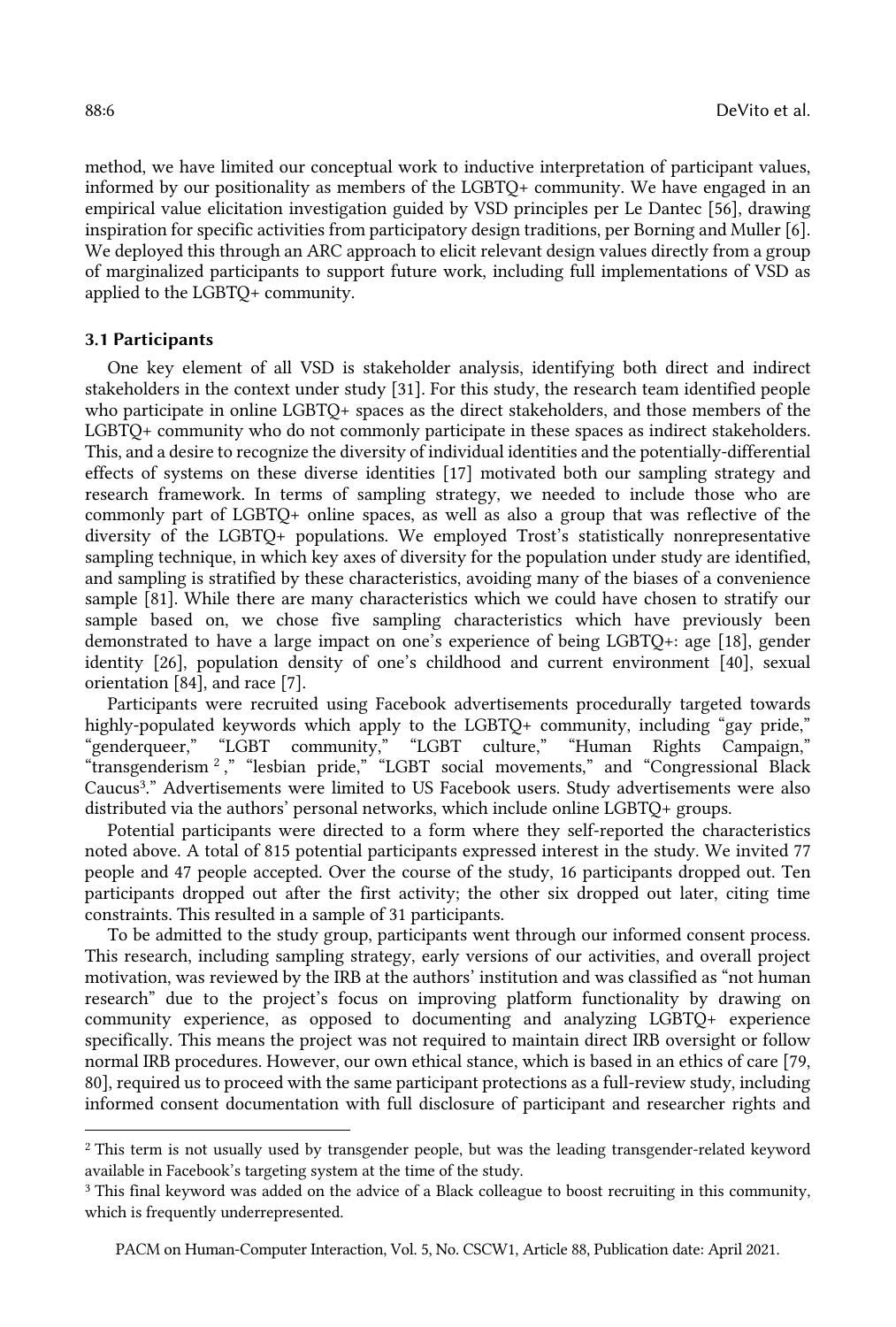method, we have limited our conceptual work to inductive interpretation of participant values, informed by our positionality as members of the LGBTQ+ community. We have engaged in an empirical value elicitation investigation guided by VSD principles per Le Dantec [56], drawing inspiration for specific activities from participatory design traditions, per Borning and Muller [6]. We deployed this through an ARC approach to elicit relevant design values directly from a group of marginalized participants to support future work, including full implementations of VSD as applied to the LGBTQ+ community.

# 3.1 Participants

 One key element of all VSD is stakeholder analysis, identifying both direct and indirect stakeholders in the context under study [31]. For this study, the research team identified people who participate in online LGBTQ+ spaces as the direct stakeholders, and those members of the LGBTQ+ community who do not commonly participate in these spaces as indirect stakeholders. This, and a desire to recognize the diversity of individual identities and the potentially-differential effects of systems on these diverse identities [17] motivated both our sampling strategy and research framework. In terms of sampling strategy, we needed to include those who are commonly part of LGBTQ+ online spaces, as well as also a group that was reflective of the and sampling is stratified by these characteristics, avoiding many of the biases of a convenience sample [81]. While there are many characteristics which we could have chosen to stratify our sample based on, we chose five sampling characteristics which have previously been demonstrated to have a large impact on one's experience of being LGBTQ+: age [18], gender identity [26], population density of one's childhood and current environment [40], sexual diversity of the LGBTQ+ populations. We employed Trost's statistically nonrepresentative sampling technique, in which key axes of diversity for the population under study are identified, orientation [84], and race [7].

 Participants were recruited using Facebook advertisements procedurally targeted towards highly-populated keywords which apply to the LGBTQ+ community, including "gay pride," "transgenderism 2 ," "lesbian pride," "LGBT social movements," and "Congressional Black Caucus3." Advertisements were limited to US Facebook users. Study advertisements were also distributed via the authors' personal networks, which include online LGBTQ+ groups. "genderqueer," "LGBT community," "LGBT culture," "Human Rights Campaign,"

 Potential participants were directed to a form where they self-reported the characteristics noted above. A total of 815 potential participants expressed interest in the study. We invited 77 people and 47 people accepted. Over the course of the study, 16 participants dropped out. Ten participants dropped out after the first activity; the other six dropped out later, citing time constraints. This resulted in a sample of 31 participants.

 To be admitted to the study group, participants went through our informed consent process. This research, including sampling strategy, early versions of our activities, and overall project motivation, was reviewed by the IRB at the authors' institution and was classified as "not human specifically. This means the project was not required to maintain direct IRB oversight or follow normal IRB procedures. However, our own ethical stance, which is based in an ethics of care [79, 80], required us to proceed with the same participant protections as a full-review study, including informed consent documentation with full disclosure of participant and researcher rights and research" due to the project's focus on improving platform functionality by drawing on community experience, as opposed to documenting and analyzing LGBTQ+ experience

<sup>&</sup>lt;sup>2</sup> This term is not usually used by transgender people, but was the leading transgender-related keyword available in Facebook's targeting system at the time of the study. available in Facebook's targeting system at the time of the study.<br><sup>3</sup> This final keyword was added on the advice of a Black colleague to boost recruiting in this community,

 which is frequently underrepresented.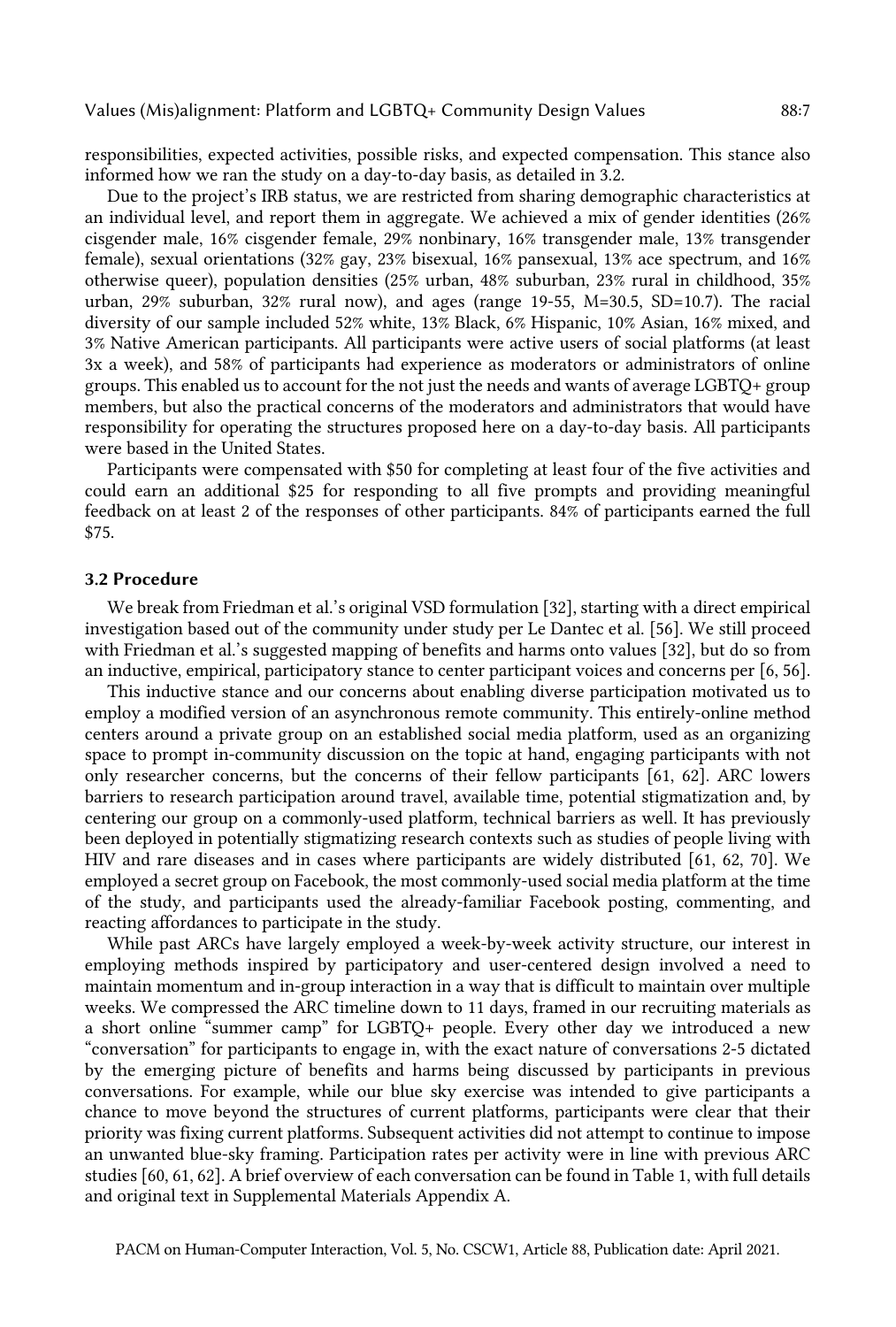responsibilities, expected activities, possible risks, and expected compensation. This stance also informed how we ran the study on a day-to-day basis, as detailed in 3.2.

 Due to the project's IRB status, we are restricted from sharing demographic characteristics at an individual level, and report them in aggregate. We achieved a mix of gender identities (26% cisgender male, 16% cisgender female, 29% nonbinary, 16% transgender male, 13% transgender female), sexual orientations (32% gay, 23% bisexual, 16% pansexual, 13% ace spectrum, and 16% otherwise queer), population densities (25% urban, 48% suburban, 23% rural in childhood, 35% urban, 29% suburban, 32% rural now), and ages (range 19-55, M=30.5, SD=10.7). The racial diversity of our sample included 52% white, 13% Black, 6% Hispanic, 10% Asian, 16% mixed, and 3% Native American participants. All participants were active users of social platforms (at least 3x a week), and 58% of participants had experience as moderators or administrators of online groups. This enabled us to account for the not just the needs and wants of average LGBTQ+ group members, but also the practical concerns of the moderators and administrators that would have responsibility for operating the structures proposed here on a day-to-day basis. All participants were based in the United States.

 Participants were compensated with \$50 for completing at least four of the five activities and could earn an additional \$25 for responding to all five prompts and providing meaningful feedback on at least 2 of the responses of other participants. 84% of participants earned the full \$75.

#### 3.2 Procedure

 We break from Friedman et al.'s original VSD formulation [32], starting with a direct empirical investigation based out of the community under study per Le Dantec et al. [56]. We still proceed with Friedman et al.'s suggested mapping of benefits and harms onto values [32], but do so from an inductive, empirical, participatory stance to center participant voices and concerns per [6, 56].

 This inductive stance and our concerns about enabling diverse participation motivated us to employ a modified version of an asynchronous remote community. This entirely-online method centers around a private group on an established social media platform, used as an organizing space to prompt in-community discussion on the topic at hand, engaging participants with not only researcher concerns, but the concerns of their fellow participants [61, 62]. ARC lowers barriers to research participation around travel, available time, potential stigmatization and, by centering our group on a commonly-used platform, technical barriers as well. It has previously been deployed in potentially stigmatizing research contexts such as studies of people living with HIV and rare diseases and in cases where participants are widely distributed [61, 62, 70]. We employed a secret group on Facebook, the most commonly-used social media platform at the time of the study, and participants used the already-familiar Facebook posting, commenting, and reacting affordances to participate in the study.

 While past ARCs have largely employed a week-by-week activity structure, our interest in employing methods inspired by participatory and user-centered design involved a need to maintain momentum and in-group interaction in a way that is difficult to maintain over multiple weeks. We compressed the ARC timeline down to 11 days, framed in our recruiting materials as a short online "summer camp" for LGBTQ+ people. Every other day we introduced a new "conversation" for participants to engage in, with the exact nature of conversations 2-5 dictated by the emerging picture of benefits and harms being discussed by participants in previous chance to move beyond the structures of current platforms, participants were clear that their priority was fixing current platforms. Subsequent activities did not attempt to continue to impose an unwanted blue-sky framing. Participation rates per activity were in line with previous ARC studies [60, 61, 62]. A brief overview of each conversation can be found in Table 1, with full details and original text in Supplemental Materials Appendix A. conversations. For example, while our blue sky exercise was intended to give participants a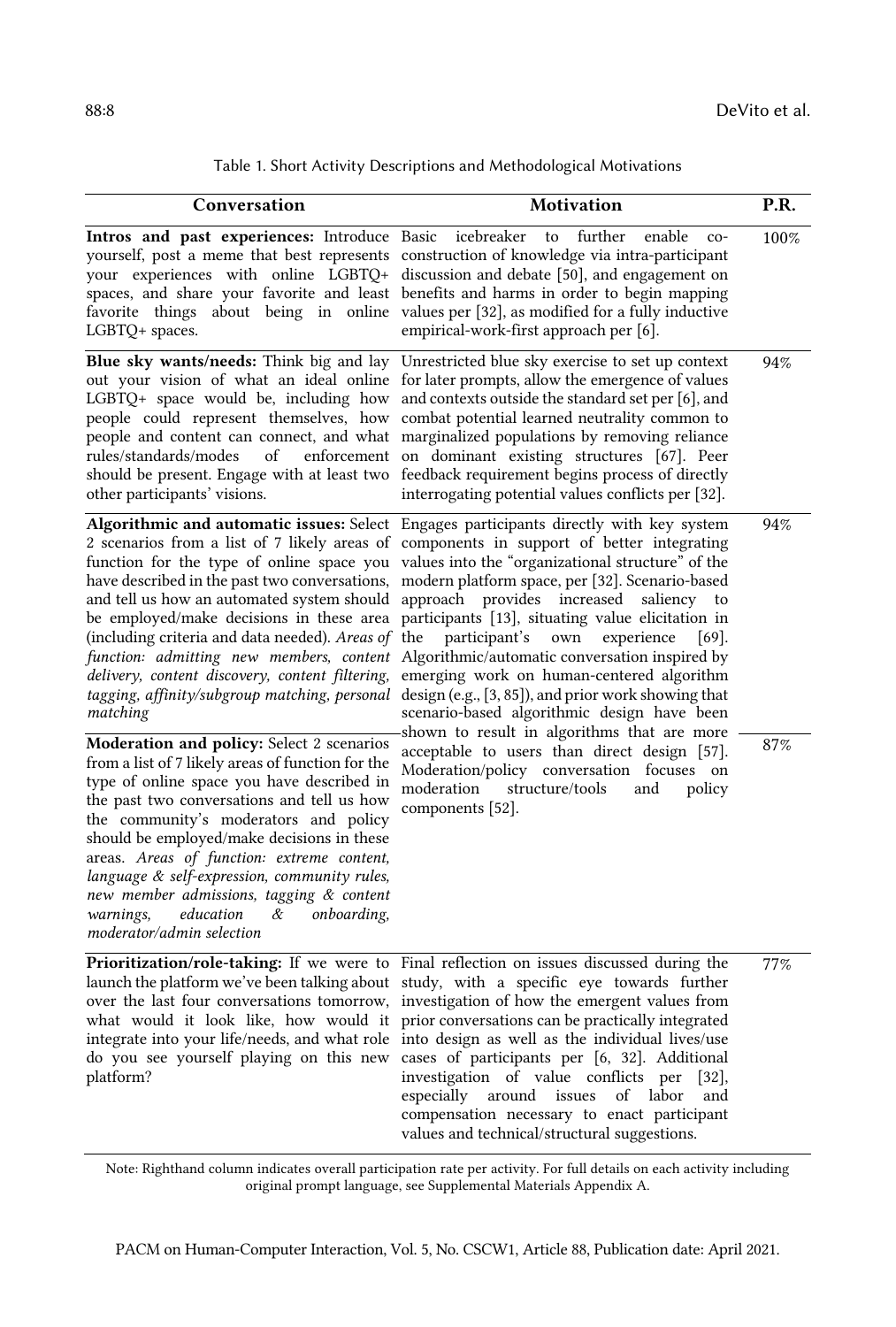| Conversation                                                                                                                                                                                                                                                                                                                                                                                                                                                                                           | <b>Motivation</b>                                                                                                                                                                                                                                                                                                                                                                                                                                                                                                                                                                                                                                                                                                                                                                                   | P.R. |
|--------------------------------------------------------------------------------------------------------------------------------------------------------------------------------------------------------------------------------------------------------------------------------------------------------------------------------------------------------------------------------------------------------------------------------------------------------------------------------------------------------|-----------------------------------------------------------------------------------------------------------------------------------------------------------------------------------------------------------------------------------------------------------------------------------------------------------------------------------------------------------------------------------------------------------------------------------------------------------------------------------------------------------------------------------------------------------------------------------------------------------------------------------------------------------------------------------------------------------------------------------------------------------------------------------------------------|------|
| Intros and past experiences: Introduce Basic icebreaker<br>LGBTQ+ spaces.                                                                                                                                                                                                                                                                                                                                                                                                                              | further<br>enable<br>to<br>$co-$<br>yourself, post a meme that best represents construction of knowledge via intra-participant<br>your experiences with online LGBTQ+ discussion and debate [50], and engagement on<br>spaces, and share your favorite and least benefits and harms in order to begin mapping<br>favorite things about being in online values per [32], as modified for a fully inductive<br>empirical-work-first approach per [6].                                                                                                                                                                                                                                                                                                                                                 | 100% |
| Blue sky wants/needs: Think big and lay<br>out your vision of what an ideal online<br>LGBTQ+ space would be, including how<br>people could represent themselves, how<br>people and content can connect, and what<br>rules/standards/modes<br>of<br>enforcement<br>should be present. Engage with at least two<br>other participants' visions.                                                                                                                                                          | Unrestricted blue sky exercise to set up context<br>for later prompts, allow the emergence of values<br>and contexts outside the standard set per [6], and<br>combat potential learned neutrality common to<br>marginalized populations by removing reliance<br>on dominant existing structures [67]. Peer<br>feedback requirement begins process of directly<br>interrogating potential values conflicts per [32].                                                                                                                                                                                                                                                                                                                                                                                 | 94%  |
| Algorithmic and automatic issues: Select<br>2 scenarios from a list of 7 likely areas of<br>function for the type of online space you<br>have described in the past two conversations,<br>and tell us how an automated system should<br>be employed/make decisions in these area<br>(including criteria and data needed). Areas of<br>function: admitting new members, content<br>delivery, content discovery, content filtering,<br>tagging, affinity/subgroup matching, personal<br>matching         | Engages participants directly with key system<br>components in support of better integrating<br>values into the "organizational structure" of the<br>modern platform space, per [32]. Scenario-based<br>approach provides<br>increased<br>saliency<br>to<br>participants [13], situating value elicitation in<br>the<br>participant's<br>own<br>experience<br>$[69]$ .<br>Algorithmic/automatic conversation inspired by<br>emerging work on human-centered algorithm<br>design (e.g., $[3, 85]$ ), and prior work showing that<br>scenario-based algorithmic design have been<br>shown to result in algorithms that are more<br>acceptable to users than direct design [57].<br>Moderation/policy conversation focuses<br>on<br>moderation<br>structure/tools<br>and<br>policy<br>components [52]. | 94%  |
| Moderation and policy: Select 2 scenarios<br>from a list of 7 likely areas of function for the<br>type of online space you have described in<br>the past two conversations and tell us how<br>the community's moderators and policy<br>should be employed/make decisions in these<br>areas. Areas of function: extreme content,<br>language & self-expression, community rules,<br>new member admissions, tagging & content<br>education<br>&<br>onboarding,<br>warnings,<br>moderator/admin selection |                                                                                                                                                                                                                                                                                                                                                                                                                                                                                                                                                                                                                                                                                                                                                                                                     | 87%  |
| <b>Prioritization/role-taking:</b> If we were to<br>launch the platform we've been talking about<br>over the last four conversations tomorrow,<br>what would it look like, how would it<br>integrate into your life/needs, and what role<br>do you see yourself playing on this new<br>platform?                                                                                                                                                                                                       | Final reflection on issues discussed during the<br>study, with a specific eye towards further<br>investigation of how the emergent values from<br>prior conversations can be practically integrated<br>into design as well as the individual lives/use<br>cases of participants per [6, 32]. Additional<br>investigation of value conflicts per<br>[32]<br>especially<br>around<br>issues<br>of labor<br>and<br>compensation necessary to enact participant<br>values and technical/structural suggestions.                                                                                                                                                                                                                                                                                         | 77%  |

| Table 1. Short Activity Descriptions and Methodological Motivations |  |  |  |
|---------------------------------------------------------------------|--|--|--|
|---------------------------------------------------------------------|--|--|--|

 original prompt language, see Supplemental Materials Appendix A. Note: Righthand column indicates overall participation rate per activity. For full details on each activity including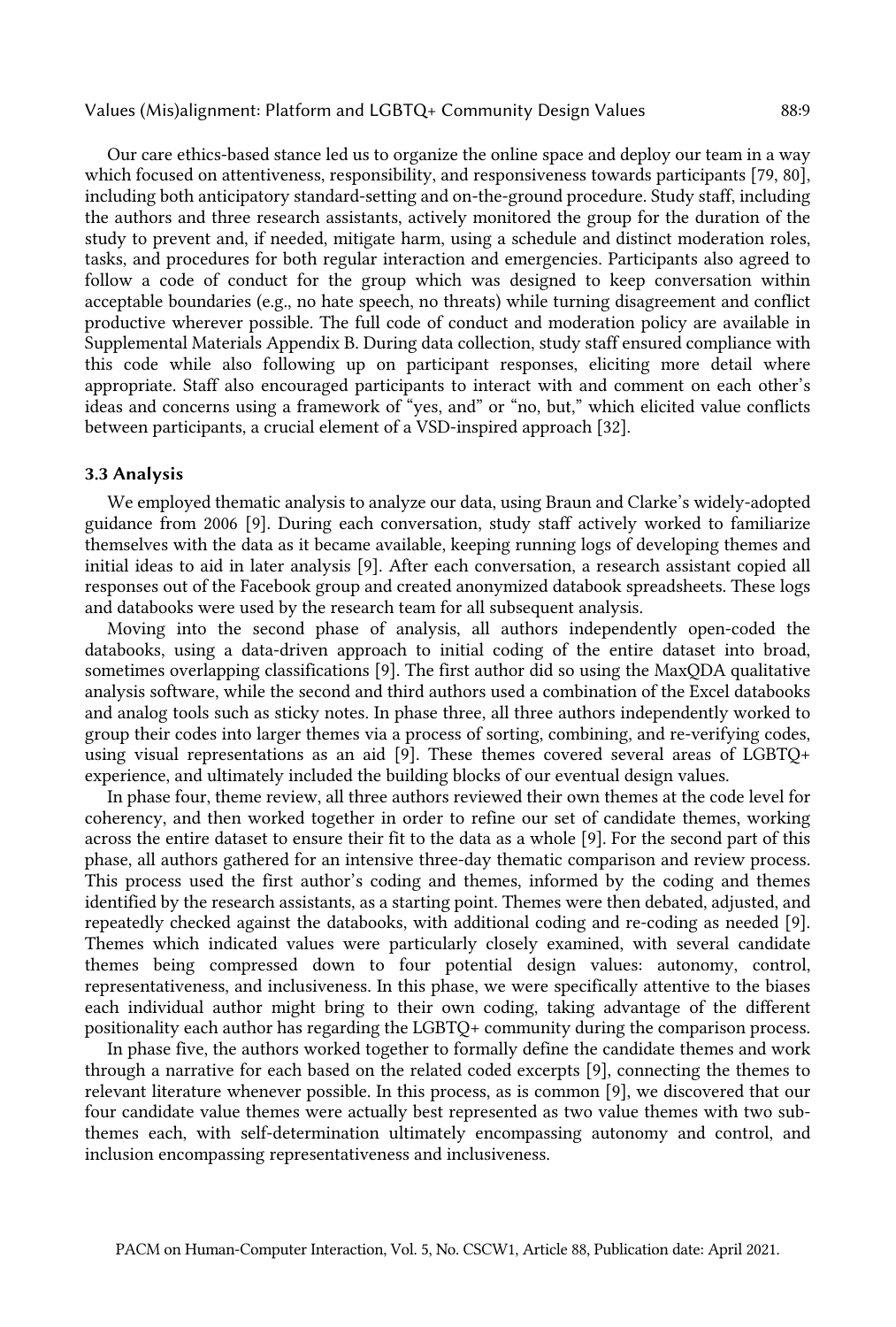Our care ethics-based stance led us to organize the online space and deploy our team in a way which focused on attentiveness, responsibility, and responsiveness towards participants [79, 80], including both anticipatory standard-setting and on-the-ground procedure. Study staff, including the authors and three research assistants, actively monitored the group for the duration of the study to prevent and, if needed, mitigate harm, using a schedule and distinct moderation roles, tasks, and procedures for both regular interaction and emergencies. Participants also agreed to follow a code of conduct for the group which was designed to keep conversation within acceptable boundaries (e.g., no hate speech, no threats) while turning disagreement and conflict productive wherever possible. The full code of conduct and moderation policy are available in Supplemental Materials Appendix B. During data collection, study staff ensured compliance with this code while also following up on participant responses, eliciting more detail where appropriate. Staff also encouraged participants to interact with and comment on each other's ideas and concerns using a framework of "yes, and" or "no, but," which elicited value conflicts between participants, a crucial element of a VSD-inspired approach [32].

#### 3.3 Analysis

 We employed thematic analysis to analyze our data, using Braun and Clarke's widely-adopted guidance from 2006 [9]. During each conversation, study staff actively worked to familiarize themselves with the data as it became available, keeping running logs of developing themes and initial ideas to aid in later analysis [9]. After each conversation, a research assistant copied all responses out of the Facebook group and created anonymized databook spreadsheets. These logs and databooks were used by the research team for all subsequent analysis.

 Moving into the second phase of analysis, all authors independently open-coded the databooks, using a data-driven approach to initial coding of the entire dataset into broad, sometimes overlapping classifications [9]. The first author did so using the MaxQDA qualitative and analog tools such as sticky notes. In phase three, all three authors independently worked to group their codes into larger themes via a process of sorting, combining, and re-verifying codes, using visual representations as an aid [9]. These themes covered several areas of LGBTQ+ analysis software, while the second and third authors used a combination of the Excel databooks experience, and ultimately included the building blocks of our eventual design values.

 In phase four, theme review, all three authors reviewed their own themes at the code level for coherency, and then worked together in order to refine our set of candidate themes, working across the entire dataset to ensure their fit to the data as a whole [9]. For the second part of this phase, all authors gathered for an intensive three-day thematic comparison and review process. This process used the first author's coding and themes, informed by the coding and themes identified by the research assistants, as a starting point. Themes were then debated, adjusted, and repeatedly checked against the databooks, with additional coding and re-coding as needed [9]. Themes which indicated values were particularly closely examined, with several candidate themes being compressed down to four potential design values: autonomy, control, representativeness, and inclusiveness. In this phase, we were specifically attentive to the biases each individual author might bring to their own coding, taking advantage of the different positionality each author has regarding the LGBTQ+ community during the comparison process.

 In phase five, the authors worked together to formally define the candidate themes and work through a narrative for each based on the related coded excerpts [9], connecting the themes to relevant literature whenever possible. In this process, as is common [9], we discovered that our four candidate value themes were actually best represented as two value themes with two subthemes each, with self-determination ultimately encompassing autonomy and control, and inclusion encompassing representativeness and inclusiveness.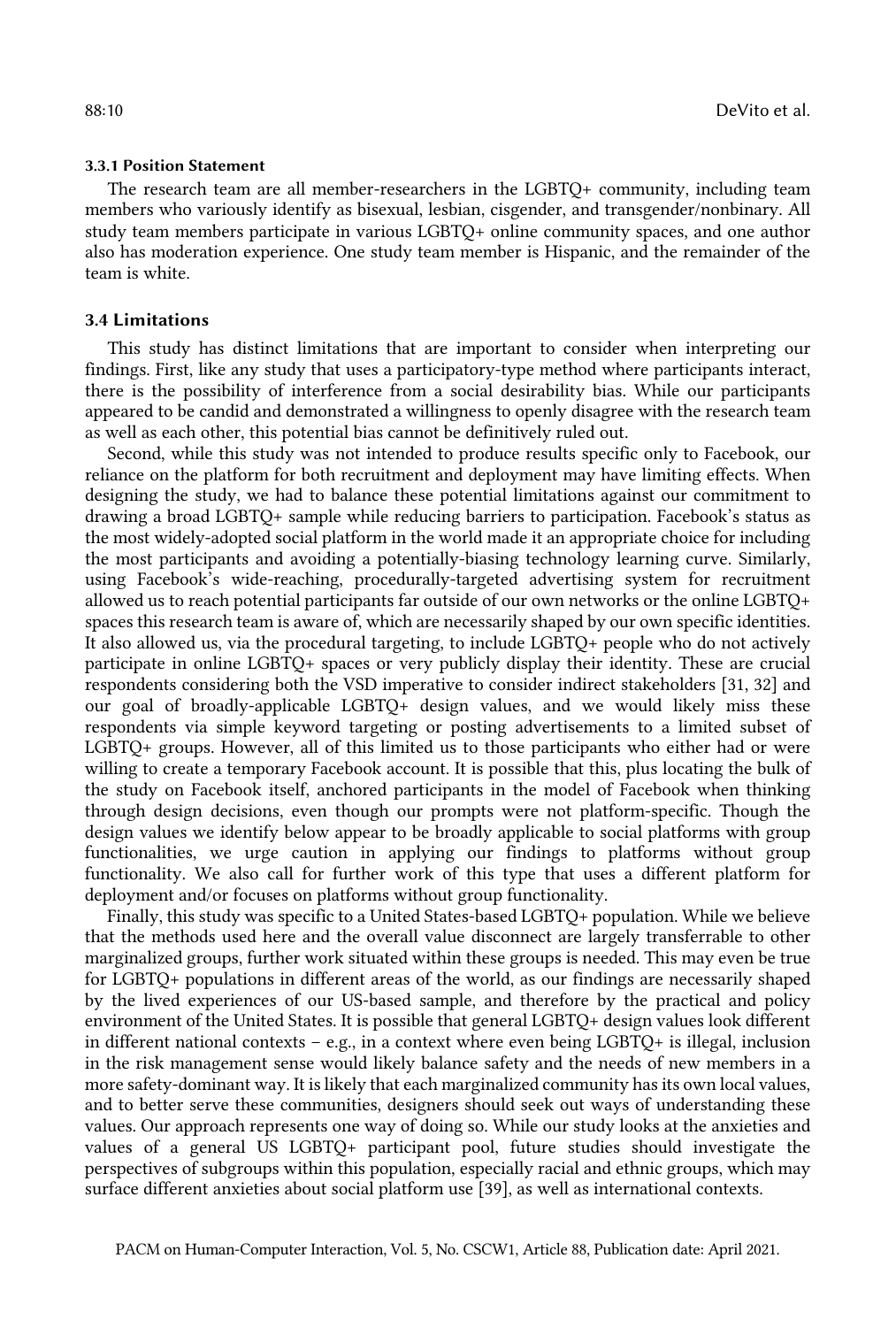#### 3.3.1 Position Statement

 The research team are all member-researchers in the LGBTQ+ community, including team members who variously identify as bisexual, lesbian, cisgender, and transgender/nonbinary. All study team members participate in various LGBTQ+ online community spaces, and one author also has moderation experience. One study team member is Hispanic, and the remainder of the team is white.

# 3.4 Limitations

 This study has distinct limitations that are important to consider when interpreting our findings. First, like any study that uses a participatory-type method where participants interact, there is the possibility of interference from a social desirability bias. While our participants appeared to be candid and demonstrated a willingness to openly disagree with the research team as well as each other, this potential bias cannot be definitively ruled out.

 Second, while this study was not intended to produce results specific only to Facebook, our reliance on the platform for both recruitment and deployment may have limiting effects. When designing the study, we had to balance these potential limitations against our commitment to drawing a broad LGBTQ+ sample while reducing barriers to participation. Facebook's status as the most widely-adopted social platform in the world made it an appropriate choice for including the most participants and avoiding a potentially-biasing technology learning curve. Similarly, using Facebook's wide-reaching, procedurally-targeted advertising system for recruitment allowed us to reach potential participants far outside of our own networks or the online LGBTQ+ spaces this research team is aware of, which are necessarily shaped by our own specific identities. It also allowed us, via the procedural targeting, to include LGBTQ+ people who do not actively participate in online LGBTQ+ spaces or very publicly display their identity. These are crucial respondents considering both the VSD imperative to consider indirect stakeholders [31, 32] and our goal of broadly-applicable LGBTQ+ design values, and we would likely miss these respondents via simple keyword targeting or posting advertisements to a limited subset of LGBTQ+ groups. However, all of this limited us to those participants who either had or were willing to create a temporary Facebook account. It is possible that this, plus locating the bulk of the study on Facebook itself, anchored participants in the model of Facebook when thinking through design decisions, even though our prompts were not platform-specific. Though the design values we identify below appear to be broadly applicable to social platforms with group functionalities, we urge caution in applying our findings to platforms without group functionality. We also call for further work of this type that uses a different platform for deployment and/or focuses on platforms without group functionality.

 Finally, this study was specific to a United States-based LGBTQ+ population. While we believe that the methods used here and the overall value disconnect are largely transferrable to other marginalized groups, further work situated within these groups is needed. This may even be true for LGBTQ+ populations in different areas of the world, as our findings are necessarily shaped by the lived experiences of our US-based sample, and therefore by the practical and policy environment of the United States. It is possible that general LGBTQ+ design values look different in different national contexts – e.g., in a context where even being LGBTQ+ is illegal, inclusion in the risk management sense would likely balance safety and the needs of new members in a more safety-dominant way. It is likely that each marginalized community has its own local values, and to better serve these communities, designers should seek out ways of understanding these values. Our approach represents one way of doing so. While our study looks at the anxieties and values of a general US LGBTQ+ participant pool, future studies should investigate the perspectives of subgroups within this population, especially racial and ethnic groups, which may surface different anxieties about social platform use [39], as well as international contexts.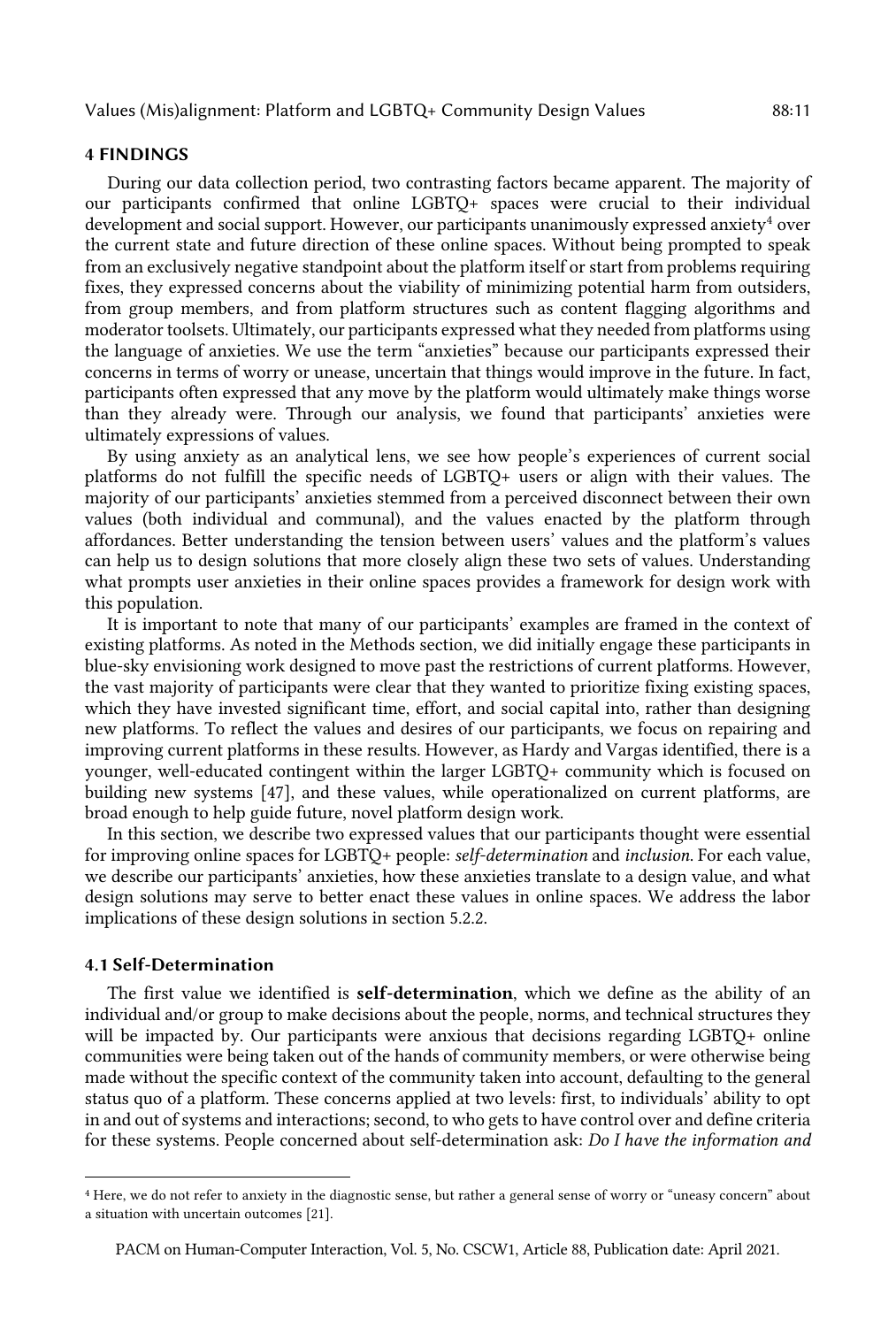#### 4 FINDINGS

 During our data collection period, two contrasting factors became apparent. The majority of our participants confirmed that online LGBTQ+ spaces were crucial to their individual development and social support. However, our participants unanimously expressed anxiety<sup>4</sup> over the current state and future direction of these online spaces. Without being prompted to speak from an exclusively negative standpoint about the platform itself or start from problems requiring fixes, they expressed concerns about the viability of minimizing potential harm from outsiders, from group members, and from platform structures such as content flagging algorithms and moderator toolsets. Ultimately, our participants expressed what they needed from platforms using the language of anxieties. We use the term "anxieties" because our participants expressed their concerns in terms of worry or unease, uncertain that things would improve in the future. In fact, participants often expressed that any move by the platform would ultimately make things worse than they already were. Through our analysis, we found that participants' anxieties were ultimately expressions of values.

 By using anxiety as an analytical lens, we see how people's experiences of current social platforms do not fulfill the specific needs of LGBTQ+ users or align with their values. The majority of our participants' anxieties stemmed from a perceived disconnect between their own values (both individual and communal), and the values enacted by the platform through affordances. Better understanding the tension between users' values and the platform's values can help us to design solutions that more closely align these two sets of values. Understanding what prompts user anxieties in their online spaces provides a framework for design work with this population.

 It is important to note that many of our participants' examples are framed in the context of existing platforms. As noted in the Methods section, we did initially engage these participants in blue-sky envisioning work designed to move past the restrictions of current platforms. However, the vast majority of participants were clear that they wanted to prioritize fixing existing spaces, which they have invested significant time, effort, and social capital into, rather than designing new platforms. To reflect the values and desires of our participants, we focus on repairing and improving current platforms in these results. However, as Hardy and Vargas identified, there is a younger, well-educated contingent within the larger LGBTQ+ community which is focused on building new systems [47], and these values, while operationalized on current platforms, are broad enough to help guide future, novel platform design work.

 In this section, we describe two expressed values that our participants thought were essential for improving online spaces for LGBTQ+ people: *self-determination* and *inclusion*. For each value, design solutions may serve to better enact these values in online spaces. We address the labor we describe our participants' anxieties, how these anxieties translate to a design value, and what implications of these design solutions in section 5.2.2.

# 4.1 Self-Determination

The first value we identified is **self-determination**, which we define as the ability of an individual and/or group to make decisions about the people, norms, and technical structures they will be impacted by. Our participants were anxious that decisions regarding LGBTQ+ online communities were being taken out of the hands of community members, or were otherwise being made without the specific context of the community taken into account, defaulting to the general status quo of a platform. These concerns applied at two levels: first, to individuals' ability to opt in and out of systems and interactions; second, to who gets to have control over and define criteria for these systems. People concerned about self-determination ask: *Do I have the information and* 

 <sup>4</sup> Here, we do not refer to anxiety in the diagnostic sense, but rather a general sense of worry or "uneasy concern" about a situation with uncertain outcomes [21].

 PACM on Human-Computer Interaction, Vol. 5, No. CSCW1, Article 88, Publication date: April 2021.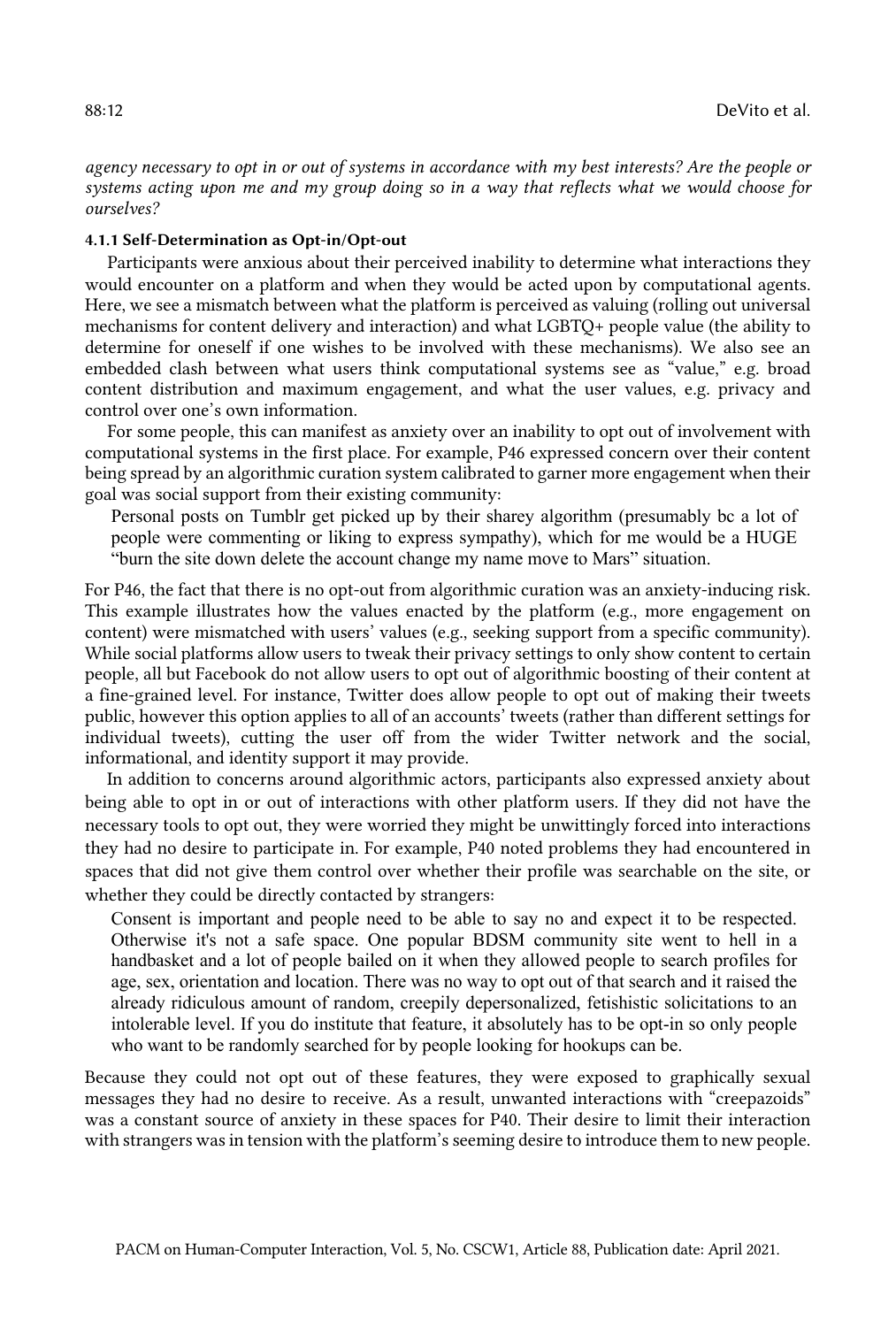*agency necessary to opt in or out of systems in accordance with my best interests? Are the people or systems acting upon me and my group doing so in a way that reflects what we would choose for ourselves?* 

#### 4.1.1 Self-Determination as Opt-in/Opt-out

 Participants were anxious about their perceived inability to determine what interactions they would encounter on a platform and when they would be acted upon by computational agents. Here, we see a mismatch between what the platform is perceived as valuing (rolling out universal mechanisms for content delivery and interaction) and what LGBTQ+ people value (the ability to determine for oneself if one wishes to be involved with these mechanisms). We also see an embedded clash between what users think computational systems see as "value," e.g. broad content distribution and maximum engagement, and what the user values, e.g. privacy and control over one's own information.

 For some people, this can manifest as anxiety over an inability to opt out of involvement with computational systems in the first place. For example, P46 expressed concern over their content being spread by an algorithmic curation system calibrated to garner more engagement when their goal was social support from their existing community:

 Personal posts on Tumblr get picked up by their sharey algorithm (presumably bc a lot of people were commenting or liking to express sympathy), which for me would be a HUGE "burn the site down delete the account change my name move to Mars" situation.

 For P46, the fact that there is no opt-out from algorithmic curation was an anxiety-inducing risk. This example illustrates how the values enacted by the platform (e.g., more engagement on content) were mismatched with users' values (e.g., seeking support from a specific community). While social platforms allow users to tweak their privacy settings to only show content to certain people, all but Facebook do not allow users to opt out of algorithmic boosting of their content at a fine-grained level. For instance, Twitter does allow people to opt out of making their tweets public, however this option applies to all of an accounts' tweets (rather than different settings for individual tweets), cutting the user off from the wider Twitter network and the social, informational, and identity support it may provide.

 In addition to concerns around algorithmic actors, participants also expressed anxiety about being able to opt in or out of interactions with other platform users. If they did not have the necessary tools to opt out, they were worried they might be unwittingly forced into interactions they had no desire to participate in. For example, P40 noted problems they had encountered in spaces that did not give them control over whether their profile was searchable on the site, or whether they could be directly contacted by strangers:

 Consent is important and people need to be able to say no and expect it to be respected. Otherwise it's not a safe space. One popular BDSM community site went to hell in a handbasket and a lot of people bailed on it when they allowed people to search profiles for age, sex, orientation and location. There was no way to opt out of that search and it raised the already ridiculous amount of random, creepily depersonalized, fetishistic solicitations to an intolerable level. If you do institute that feature, it absolutely has to be opt-in so only people who want to be randomly searched for by people looking for hookups can be.

 Because they could not opt out of these features, they were exposed to graphically sexual messages they had no desire to receive. As a result, unwanted interactions with "creepazoids" was a constant source of anxiety in these spaces for P40. Their desire to limit their interaction with strangers was in tension with the platform's seeming desire to introduce them to new people.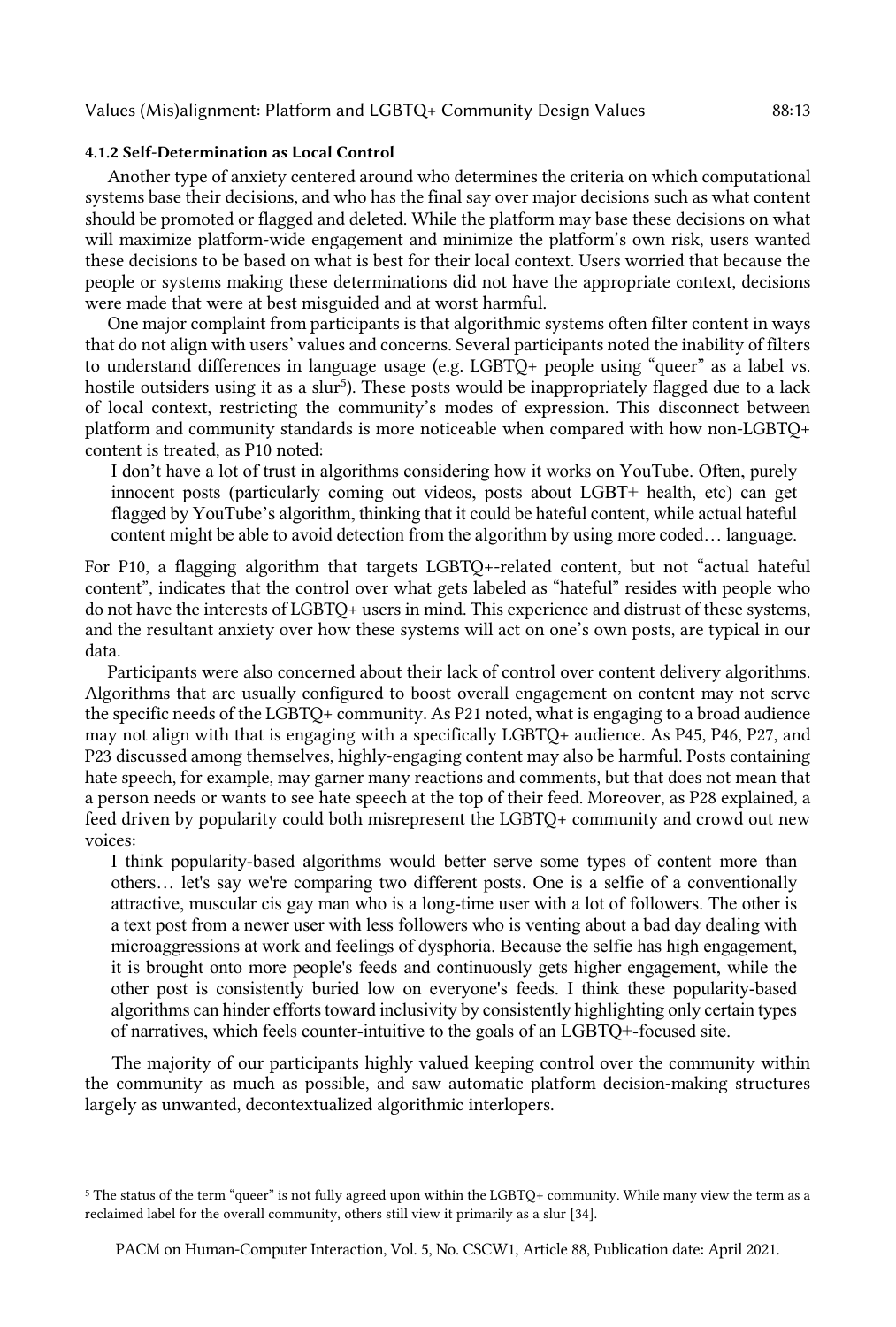# Values (Mis)alignment: Platform and LGBTQ+ Community Design Values 88:13

#### 4.1.2 Self-Determination as Local Control

 Another type of anxiety centered around who determines the criteria on which computational systems base their decisions, and who has the final say over major decisions such as what content should be promoted or flagged and deleted. While the platform may base these decisions on what will maximize platform-wide engagement and minimize the platform's own risk, users wanted these decisions to be based on what is best for their local context. Users worried that because the people or systems making these determinations did not have the appropriate context, decisions were made that were at best misguided and at worst harmful.

 One major complaint from participants is that algorithmic systems often filter content in ways that do not align with users' values and concerns. Several participants noted the inability of filters to understand differences in language usage (e.g. LGBTQ+ people using "queer" as a label vs. hostile outsiders using it as a slur<sup>5</sup>). These posts would be inappropriately flagged due to a lack of local context, restricting the community's modes of expression. This disconnect between platform and community standards is more noticeable when compared with how non-LGBTQ+ content is treated, as P10 noted:

 I don't have a lot of trust in algorithms considering how it works on YouTube. Often, purely innocent posts (particularly coming out videos, posts about LGBT+ health, etc) can get flagged by YouTube's algorithm, thinking that it could be hateful content, while actual hateful content might be able to avoid detection from the algorithm by using more coded… language.

 For P10, a flagging algorithm that targets LGBTQ+-related content, but not "actual hateful content", indicates that the control over what gets labeled as "hateful" resides with people who do not have the interests of LGBTQ+ users in mind. This experience and distrust of these systems, and the resultant anxiety over how these systems will act on one's own posts, are typical in our data.

 Participants were also concerned about their lack of control over content delivery algorithms. Algorithms that are usually configured to boost overall engagement on content may not serve the specific needs of the LGBTQ+ community. As P21 noted, what is engaging to a broad audience may not align with that is engaging with a specifically LGBTQ+ audience. As P45, P46, P27, and P23 discussed among themselves, highly-engaging content may also be harmful. Posts containing hate speech, for example, may garner many reactions and comments, but that does not mean that a person needs or wants to see hate speech at the top of their feed. Moreover, as P28 explained, a feed driven by popularity could both misrepresent the LGBTQ+ community and crowd out new voices:

 others… let's say we're comparing two different posts. One is a selfie of a conventionally attractive, muscular cis gay man who is a long-time user with a lot of followers. The other is a text post from a newer user with less followers who is venting about a bad day dealing with microaggressions at work and feelings of dysphoria. Because the selfie has high engagement, it is brought onto more people's feeds and continuously gets higher engagement, while the other post is consistently buried low on everyone's feeds. I think these popularity-based algorithms can hinder efforts toward inclusivity by consistently highlighting only certain types of narratives, which feels counter-intuitive to the goals of an LGBTQ+-focused site. I think popularity-based algorithms would better serve some types of content more than

 The majority of our participants highly valued keeping control over the community within the community as much as possible, and saw automatic platform decision-making structures largely as unwanted, decontextualized algorithmic interlopers.

 <sup>5</sup> The status of the term "queer" is not fully agreed upon within the LGBTQ+ community. While many view the term as a reclaimed label for the overall community, others still view it primarily as a slur [34].

 PACM on Human-Computer Interaction, Vol. 5, No. CSCW1, Article 88, Publication date: April 2021.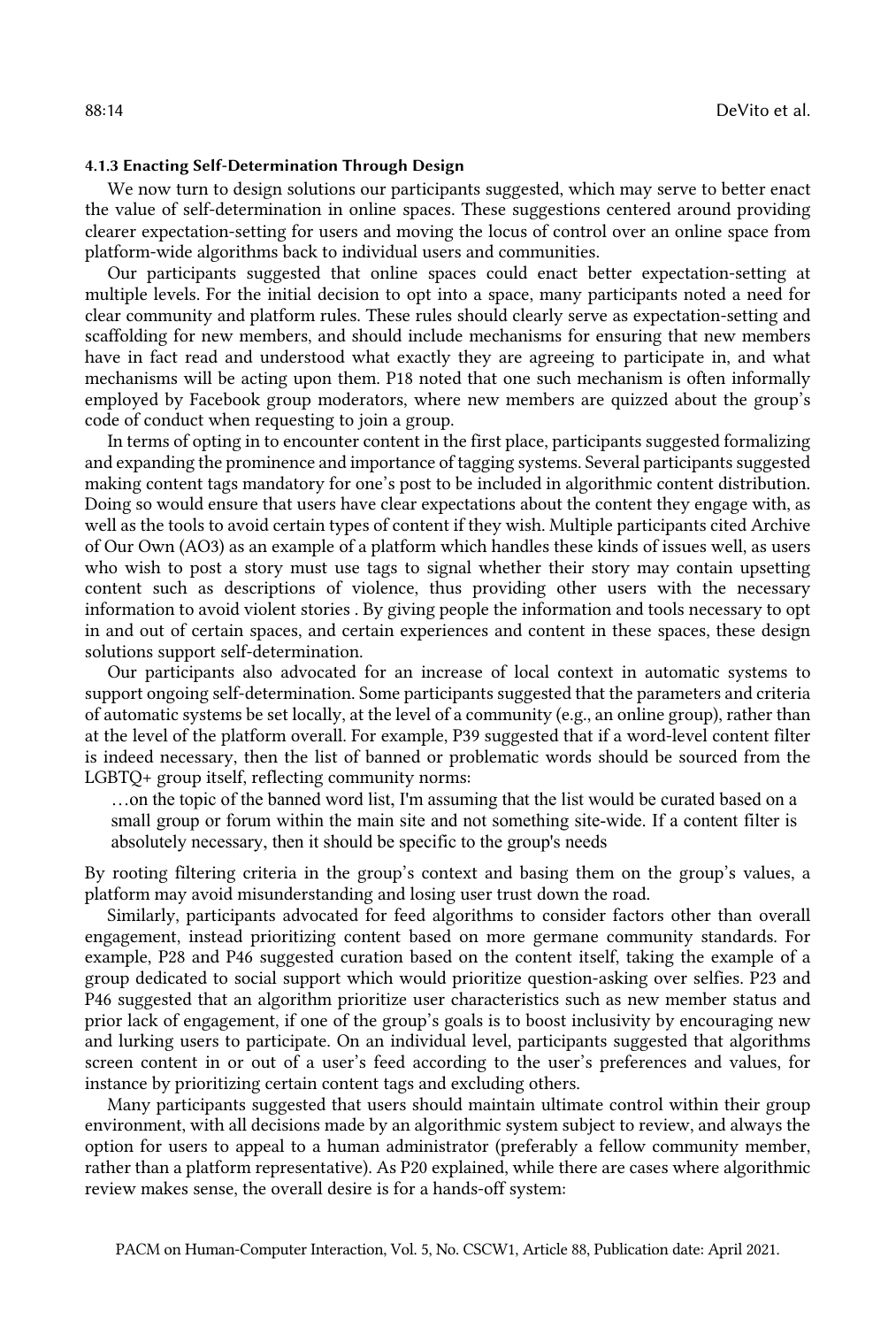#### 4.1.3 Enacting Self-Determination Through Design

 We now turn to design solutions our participants suggested, which may serve to better enact the value of self-determination in online spaces. These suggestions centered around providing clearer expectation-setting for users and moving the locus of control over an online space from platform-wide algorithms back to individual users and communities.

 Our participants suggested that online spaces could enact better expectation-setting at multiple levels. For the initial decision to opt into a space, many participants noted a need for clear community and platform rules. These rules should clearly serve as expectation-setting and scaffolding for new members, and should include mechanisms for ensuring that new members have in fact read and understood what exactly they are agreeing to participate in, and what mechanisms will be acting upon them. P18 noted that one such mechanism is often informally employed by Facebook group moderators, where new members are quizzed about the group's code of conduct when requesting to join a group.

 In terms of opting in to encounter content in the first place, participants suggested formalizing and expanding the prominence and importance of tagging systems. Several participants suggested making content tags mandatory for one's post to be included in algorithmic content distribution. Doing so would ensure that users have clear expectations about the content they engage with, as well as the tools to avoid certain types of content if they wish. Multiple participants cited Archive of Our Own (AO3) as an example of a platform which handles these kinds of issues well, as users who wish to post a story must use tags to signal whether their story may contain upsetting content such as descriptions of violence, thus providing other users with the necessary information to avoid violent stories . By giving people the information and tools necessary to opt in and out of certain spaces, and certain experiences and content in these spaces, these design solutions support self-determination.

 Our participants also advocated for an increase of local context in automatic systems to support ongoing self-determination. Some participants suggested that the parameters and criteria of automatic systems be set locally, at the level of a community (e.g., an online group), rather than at the level of the platform overall. For example, P39 suggested that if a word-level content filter is indeed necessary, then the list of banned or problematic words should be sourced from the LGBTQ+ group itself, reflecting community norms:

 …on the topic of the banned word list, I'm assuming that the list would be curated based on a small group or forum within the main site and not something site-wide. If a content filter is absolutely necessary, then it should be specific to the group's needs

 By rooting filtering criteria in the group's context and basing them on the group's values, a platform may avoid misunderstanding and losing user trust down the road.

 Similarly, participants advocated for feed algorithms to consider factors other than overall engagement, instead prioritizing content based on more germane community standards. For example, P28 and P46 suggested curation based on the content itself, taking the example of a group dedicated to social support which would prioritize question-asking over selfies. P23 and P46 suggested that an algorithm prioritize user characteristics such as new member status and prior lack of engagement, if one of the group's goals is to boost inclusivity by encouraging new and lurking users to participate. On an individual level, participants suggested that algorithms screen content in or out of a user's feed according to the user's preferences and values, for instance by prioritizing certain content tags and excluding others.

 Many participants suggested that users should maintain ultimate control within their group environment, with all decisions made by an algorithmic system subject to review, and always the option for users to appeal to a human administrator (preferably a fellow community member, rather than a platform representative). As P20 explained, while there are cases where algorithmic review makes sense, the overall desire is for a hands-off system: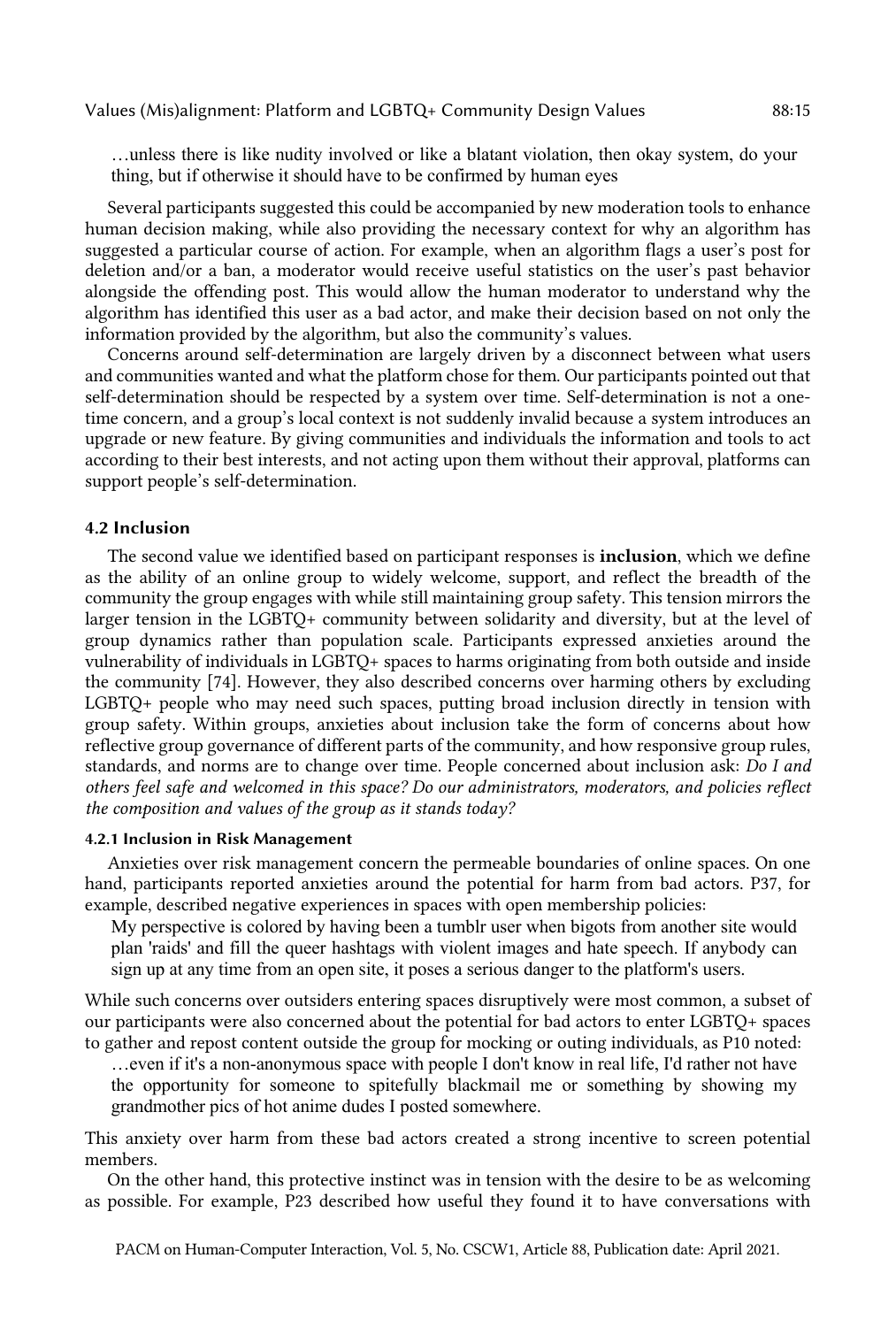…unless there is like nudity involved or like a blatant violation, then okay system, do your thing, but if otherwise it should have to be confirmed by human eyes

 Several participants suggested this could be accompanied by new moderation tools to enhance human decision making, while also providing the necessary context for why an algorithm has suggested a particular course of action. For example, when an algorithm flags a user's post for deletion and/or a ban, a moderator would receive useful statistics on the user's past behavior alongside the offending post. This would allow the human moderator to understand why the algorithm has identified this user as a bad actor, and make their decision based on not only the information provided by the algorithm, but also the community's values.

 Concerns around self-determination are largely driven by a disconnect between what users and communities wanted and what the platform chose for them. Our participants pointed out that self-determination should be respected by a system over time. Self-determination is not a one- time concern, and a group's local context is not suddenly invalid because a system introduces an upgrade or new feature. By giving communities and individuals the information and tools to act according to their best interests, and not acting upon them without their approval, platforms can support people's self-determination.

# 4.2 Inclusion

The second value we identified based on participant responses is *inclusion*, which we define as the ability of an online group to widely welcome, support, and reflect the breadth of the community the group engages with while still maintaining group safety. This tension mirrors the larger tension in the LGBTQ+ community between solidarity and diversity, but at the level of group dynamics rather than population scale. Participants expressed anxieties around the vulnerability of individuals in LGBTQ+ spaces to harms originating from both outside and inside LGBTQ+ people who may need such spaces, putting broad inclusion directly in tension with group safety. Within groups, anxieties about inclusion take the form of concerns about how reflective group governance of different parts of the community, and how responsive group rules, standards, and norms are to change over time. People concerned about inclusion ask: *Do I and others feel safe and welcomed in this space? Do our administrators, moderators, and policies reflect the composition and values of the group as it stands today?*  the community [74]. However, they also described concerns over harming others by excluding

#### 4.2.1 Inclusion in Risk Management

 Anxieties over risk management concern the permeable boundaries of online spaces. On one hand, participants reported anxieties around the potential for harm from bad actors. P37, for example, described negative experiences in spaces with open membership policies:

 My perspective is colored by having been a tumblr user when bigots from another site would plan 'raids' and fill the queer hashtags with violent images and hate speech. If anybody can sign up at any time from an open site, it poses a serious danger to the platform's users.

 While such concerns over outsiders entering spaces disruptively were most common, a subset of our participants were also concerned about the potential for bad actors to enter LGBTQ+ spaces to gather and repost content outside the group for mocking or outing individuals, as P10 noted:

 …even if it's a non-anonymous space with people I don't know in real life, I'd rather not have the opportunity for someone to spitefully blackmail me or something by showing my grandmother pics of hot anime dudes I posted somewhere.

 This anxiety over harm from these bad actors created a strong incentive to screen potential members.

 On the other hand, this protective instinct was in tension with the desire to be as welcoming as possible. For example, P23 described how useful they found it to have conversations with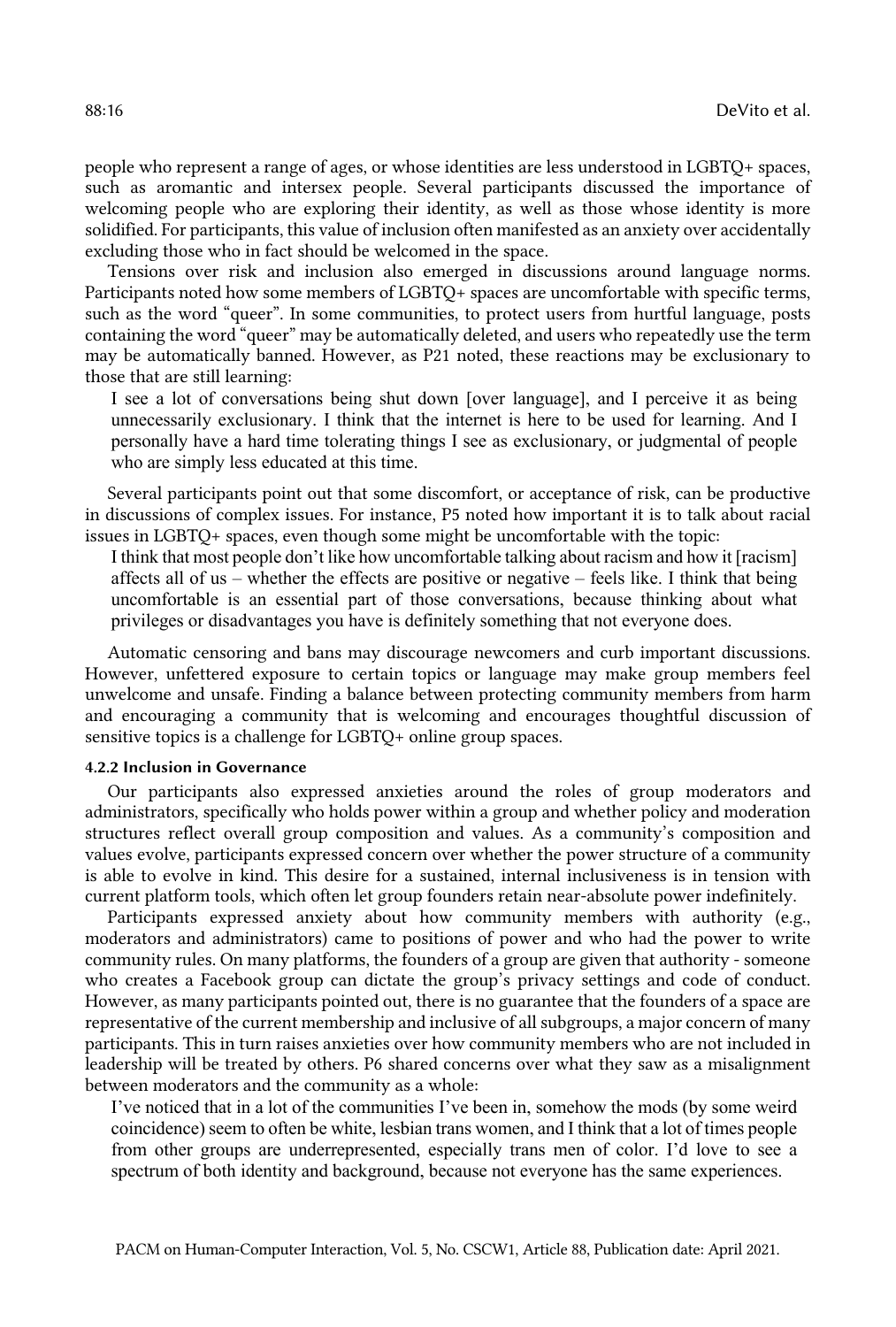people who represent a range of ages, or whose identities are less understood in LGBTQ+ spaces, such as aromantic and intersex people. Several participants discussed the importance of welcoming people who are exploring their identity, as well as those whose identity is more solidified. For participants, this value of inclusion often manifested as an anxiety over accidentally excluding those who in fact should be welcomed in the space.

 Tensions over risk and inclusion also emerged in discussions around language norms. Participants noted how some members of LGBTQ+ spaces are uncomfortable with specific terms, such as the word "queer". In some communities, to protect users from hurtful language, posts containing the word "queer" may be automatically deleted, and users who repeatedly use the term may be automatically banned. However, as P21 noted, these reactions may be exclusionary to those that are still learning:

 I see a lot of conversations being shut down [over language], and I perceive it as being unnecessarily exclusionary. I think that the internet is here to be used for learning. And I personally have a hard time tolerating things I see as exclusionary, or judgmental of people who are simply less educated at this time.

 Several participants point out that some discomfort, or acceptance of risk, can be productive in discussions of complex issues. For instance, P5 noted how important it is to talk about racial issues in LGBTQ+ spaces, even though some might be uncomfortable with the topic:

 I think that most people don't like how uncomfortable talking about racism and how it [racism] affects all of us – whether the effects are positive or negative – feels like. I think that being uncomfortable is an essential part of those conversations, because thinking about what privileges or disadvantages you have is definitely something that not everyone does.

 Automatic censoring and bans may discourage newcomers and curb important discussions. However, unfettered exposure to certain topics or language may make group members feel unwelcome and unsafe. Finding a balance between protecting community members from harm and encouraging a community that is welcoming and encourages thoughtful discussion of sensitive topics is a challenge for LGBTQ+ online group spaces.

#### 4.2.2 Inclusion in Governance

 Our participants also expressed anxieties around the roles of group moderators and administrators, specifically who holds power within a group and whether policy and moderation structures reflect overall group composition and values. As a community's composition and values evolve, participants expressed concern over whether the power structure of a community is able to evolve in kind. This desire for a sustained, internal inclusiveness is in tension with current platform tools, which often let group founders retain near-absolute power indefinitely.

 Participants expressed anxiety about how community members with authority (e.g., moderators and administrators) came to positions of power and who had the power to write community rules. On many platforms, the founders of a group are given that authority - someone who creates a Facebook group can dictate the group's privacy settings and code of conduct. However, as many participants pointed out, there is no guarantee that the founders of a space are representative of the current membership and inclusive of all subgroups, a major concern of many participants. This in turn raises anxieties over how community members who are not included in leadership will be treated by others. P6 shared concerns over what they saw as a misalignment between moderators and the community as a whole:

 I've noticed that in a lot of the communities I've been in, somehow the mods (by some weird coincidence) seem to often be white, lesbian trans women, and I think that a lot of times people from other groups are underrepresented, especially trans men of color. I'd love to see a spectrum of both identity and background, because not everyone has the same experiences.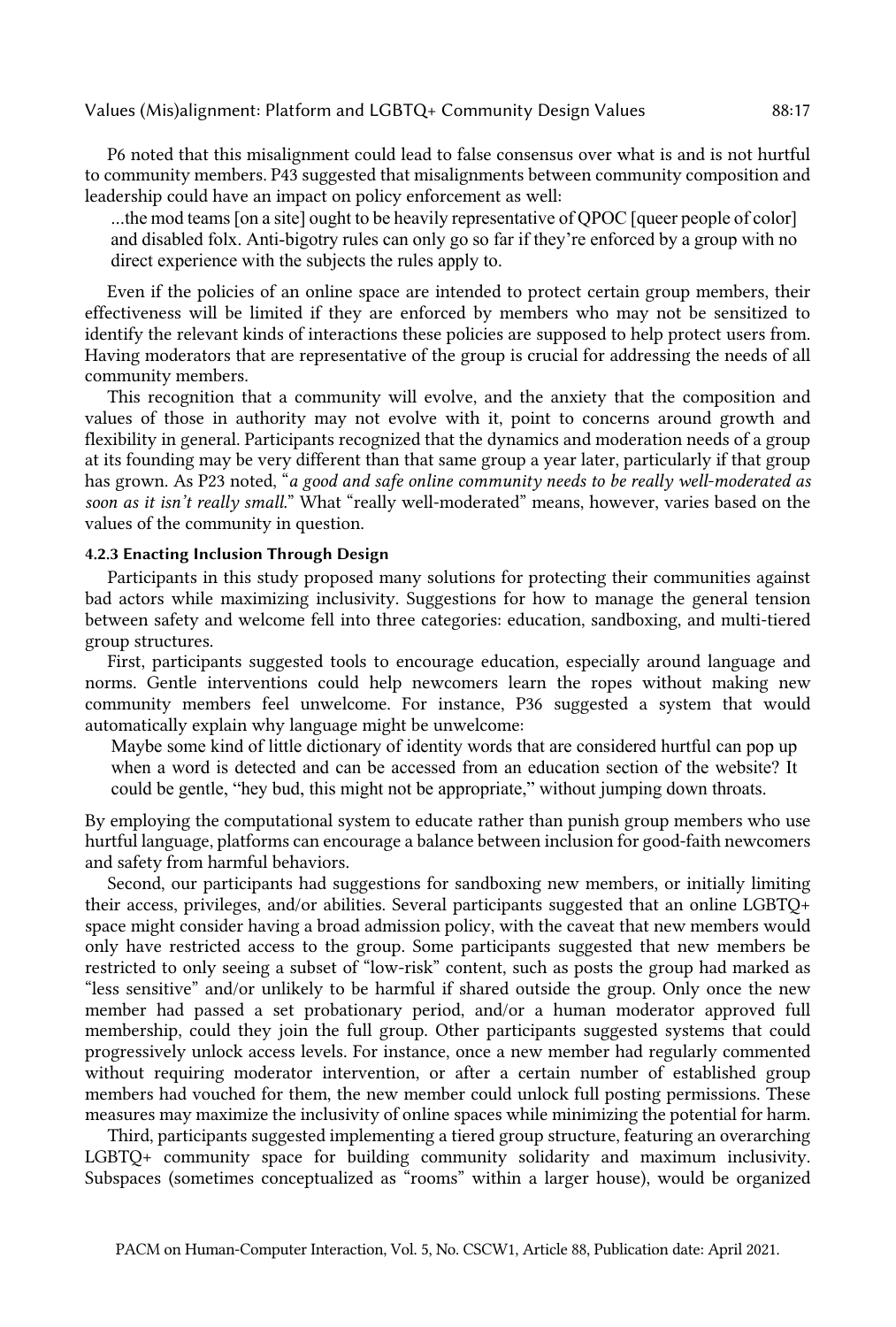P6 noted that this misalignment could lead to false consensus over what is and is not hurtful to community members. P43 suggested that misalignments between community composition and leadership could have an impact on policy enforcement as well:

 ...the mod teams [on a site] ought to be heavily representative of QPOC [queer people of color] and disabled folx. Anti-bigotry rules can only go so far if they're enforced by a group with no direct experience with the subjects the rules apply to.

 Even if the policies of an online space are intended to protect certain group members, their effectiveness will be limited if they are enforced by members who may not be sensitized to identify the relevant kinds of interactions these policies are supposed to help protect users from. Having moderators that are representative of the group is crucial for addressing the needs of all community members.

 This recognition that a community will evolve, and the anxiety that the composition and values of those in authority may not evolve with it, point to concerns around growth and flexibility in general. Participants recognized that the dynamics and moderation needs of a group at its founding may be very different than that same group a year later, particularly if that group has grown. As P23 noted, "*a good and safe online community needs to be really well-moderated as*  soon as it isn't really small." What "really well-moderated" means, however, varies based on the values of the community in question.

## 4.2.3 Enacting Inclusion Through Design

 Participants in this study proposed many solutions for protecting their communities against bad actors while maximizing inclusivity. Suggestions for how to manage the general tension between safety and welcome fell into three categories: education, sandboxing, and multi-tiered group structures.

 First, participants suggested tools to encourage education, especially around language and norms. Gentle interventions could help newcomers learn the ropes without making new community members feel unwelcome. For instance, P36 suggested a system that would automatically explain why language might be unwelcome:

 Maybe some kind of little dictionary of identity words that are considered hurtful can pop up when a word is detected and can be accessed from an education section of the website? It could be gentle, "hey bud, this might not be appropriate," without jumping down throats.

 By employing the computational system to educate rather than punish group members who use hurtful language, platforms can encourage a balance between inclusion for good-faith newcomers and safety from harmful behaviors.

 Second, our participants had suggestions for sandboxing new members, or initially limiting their access, privileges, and/or abilities. Several participants suggested that an online LGBTQ+ space might consider having a broad admission policy, with the caveat that new members would only have restricted access to the group. Some participants suggested that new members be restricted to only seeing a subset of "low-risk" content, such as posts the group had marked as "less sensitive" and/or unlikely to be harmful if shared outside the group. Only once the new member had passed a set probationary period, and/or a human moderator approved full membership, could they join the full group. Other participants suggested systems that could progressively unlock access levels. For instance, once a new member had regularly commented without requiring moderator intervention, or after a certain number of established group members had vouched for them, the new member could unlock full posting permissions. These measures may maximize the inclusivity of online spaces while minimizing the potential for harm.

 Third, participants suggested implementing a tiered group structure, featuring an overarching LGBTQ+ community space for building community solidarity and maximum inclusivity. Subspaces (sometimes conceptualized as "rooms" within a larger house), would be organized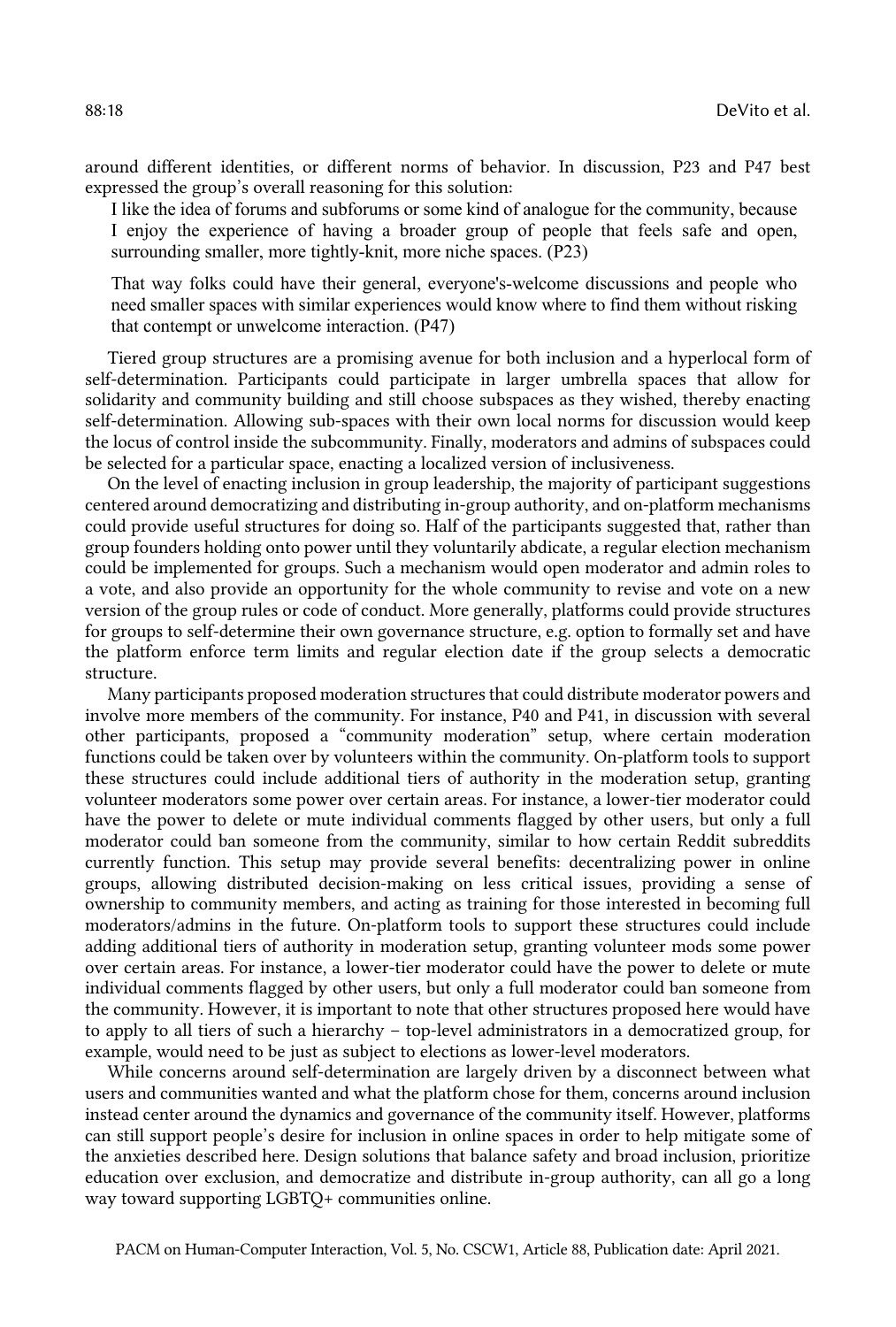around different identities, or different norms of behavior. In discussion, P23 and P47 best expressed the group's overall reasoning for this solution:

 I like the idea of forums and subforums or some kind of analogue for the community, because I enjoy the experience of having a broader group of people that feels safe and open, surrounding smaller, more tightly-knit, more niche spaces. (P23)

 That way folks could have their general, everyone's-welcome discussions and people who need smaller spaces with similar experiences would know where to find them without risking that contempt or unwelcome interaction. (P47)

 Tiered group structures are a promising avenue for both inclusion and a hyperlocal form of self-determination. Participants could participate in larger umbrella spaces that allow for solidarity and community building and still choose subspaces as they wished, thereby enacting self-determination. Allowing sub-spaces with their own local norms for discussion would keep the locus of control inside the subcommunity. Finally, moderators and admins of subspaces could be selected for a particular space, enacting a localized version of inclusiveness.

 On the level of enacting inclusion in group leadership, the majority of participant suggestions centered around democratizing and distributing in-group authority, and on-platform mechanisms could provide useful structures for doing so. Half of the participants suggested that, rather than group founders holding onto power until they voluntarily abdicate, a regular election mechanism could be implemented for groups. Such a mechanism would open moderator and admin roles to version of the group rules or code of conduct. More generally, platforms could provide structures for groups to self-determine their own governance structure, e.g. option to formally set and have the platform enforce term limits and regular election date if the group selects a democratic a vote, and also provide an opportunity for the whole community to revise and vote on a new structure.

 Many participants proposed moderation structures that could distribute moderator powers and involve more members of the community. For instance, P40 and P41, in discussion with several other participants, proposed a "community moderation" setup, where certain moderation functions could be taken over by volunteers within the community. On-platform tools to support these structures could include additional tiers of authority in the moderation setup, granting volunteer moderators some power over certain areas. For instance, a lower-tier moderator could have the power to delete or mute individual comments flagged by other users, but only a full moderator could ban someone from the community, similar to how certain Reddit subreddits currently function. This setup may provide several benefits: decentralizing power in online groups, allowing distributed decision-making on less critical issues, providing a sense of ownership to community members, and acting as training for those interested in becoming full moderators/admins in the future. On-platform tools to support these structures could include adding additional tiers of authority in moderation setup, granting volunteer mods some power over certain areas. For instance, a lower-tier moderator could have the power to delete or mute individual comments flagged by other users, but only a full moderator could ban someone from the community. However, it is important to note that other structures proposed here would have to apply to all tiers of such a hierarchy – top-level administrators in a democratized group, for example, would need to be just as subject to elections as lower-level moderators.

 While concerns around self-determination are largely driven by a disconnect between what users and communities wanted and what the platform chose for them, concerns around inclusion instead center around the dynamics and governance of the community itself. However, platforms can still support people's desire for inclusion in online spaces in order to help mitigate some of the anxieties described here. Design solutions that balance safety and broad inclusion, prioritize education over exclusion, and democratize and distribute in-group authority, can all go a long way toward supporting LGBTQ+ communities online.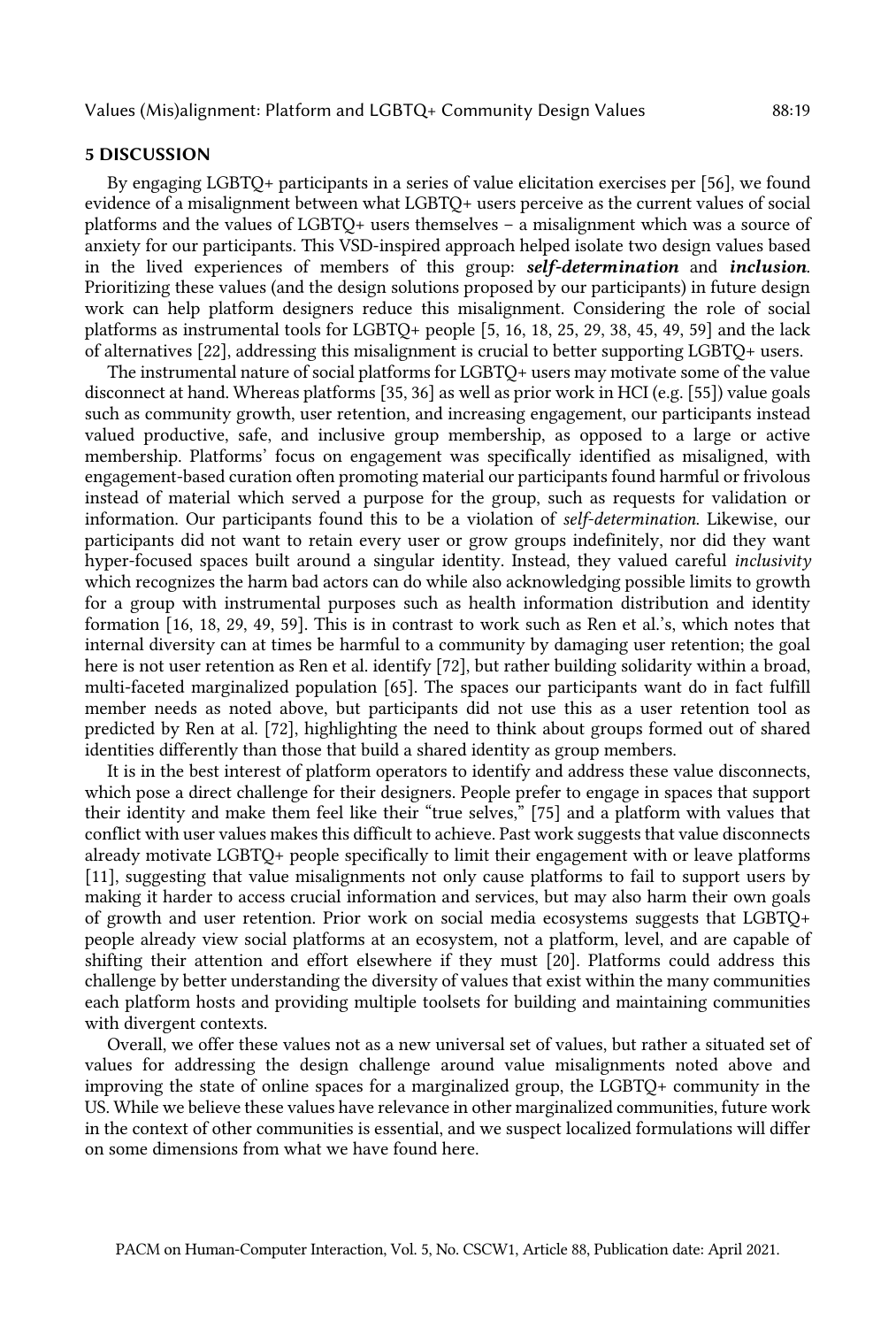#### 5 DISCUSSION

 By engaging LGBTQ+ participants in a series of value elicitation exercises per [56], we found evidence of a misalignment between what LGBTQ+ users perceive as the current values of social platforms and the values of LGBTQ+ users themselves – a misalignment which was a source of anxiety for our participants. This VSD-inspired approach helped isolate two design values based in the lived experiences of members of this group: *self-determination* and *inclusion*. Prioritizing these values (and the design solutions proposed by our participants) in future design work can help platform designers reduce this misalignment. Considering the role of social platforms as instrumental tools for LGBTQ+ people [5, 16, 18, 25, 29, 38, 45, 49, 59] and the lack of alternatives [22], addressing this misalignment is crucial to better supporting LGBTQ+ users.

 The instrumental nature of social platforms for LGBTQ+ users may motivate some of the value disconnect at hand. Whereas platforms [35, 36] as well as prior work in HCI (e.g. [55]) value goals such as community growth, user retention, and increasing engagement, our participants instead valued productive, safe, and inclusive group membership, as opposed to a large or active membership. Platforms' focus on engagement was specifically identified as misaligned, with engagement-based curation often promoting material our participants found harmful or frivolous instead of material which served a purpose for the group, such as requests for validation or information. Our participants found this to be a violation of *self-determination*. Likewise, our participants did not want to retain every user or grow groups indefinitely, nor did they want hyper-focused spaces built around a singular identity. Instead, they valued careful *inclusivity*  which recognizes the harm bad actors can do while also acknowledging possible limits to growth for a group with instrumental purposes such as health information distribution and identity formation [16, 18, 29, 49, 59]. This is in contrast to work such as Ren et al.'s, which notes that internal diversity can at times be harmful to a community by damaging user retention; the goal here is not user retention as Ren et al. identify [72], but rather building solidarity within a broad, multi-faceted marginalized population [65]. The spaces our participants want do in fact fulfill member needs as noted above, but participants did not use this as a user retention tool as predicted by Ren at al. [72], highlighting the need to think about groups formed out of shared identities differently than those that build a shared identity as group members.

 It is in the best interest of platform operators to identify and address these value disconnects, which pose a direct challenge for their designers. People prefer to engage in spaces that support their identity and make them feel like their "true selves," [75] and a platform with values that conflict with user values makes this difficult to achieve. Past work suggests that value disconnects already motivate LGBTQ+ people specifically to limit their engagement with or leave platforms [11], suggesting that value misalignments not only cause platforms to fail to support users by making it harder to access crucial information and services, but may also harm their own goals of growth and user retention. Prior work on social media ecosystems suggests that LGBTQ+ people already view social platforms at an ecosystem, not a platform, level, and are capable of shifting their attention and effort elsewhere if they must [20]. Platforms could address this challenge by better understanding the diversity of values that exist within the many communities each platform hosts and providing multiple toolsets for building and maintaining communities with divergent contexts.

 Overall, we offer these values not as a new universal set of values, but rather a situated set of values for addressing the design challenge around value misalignments noted above and improving the state of online spaces for a marginalized group, the LGBTQ+ community in the US. While we believe these values have relevance in other marginalized communities, future work in the context of other communities is essential, and we suspect localized formulations will differ on some dimensions from what we have found here.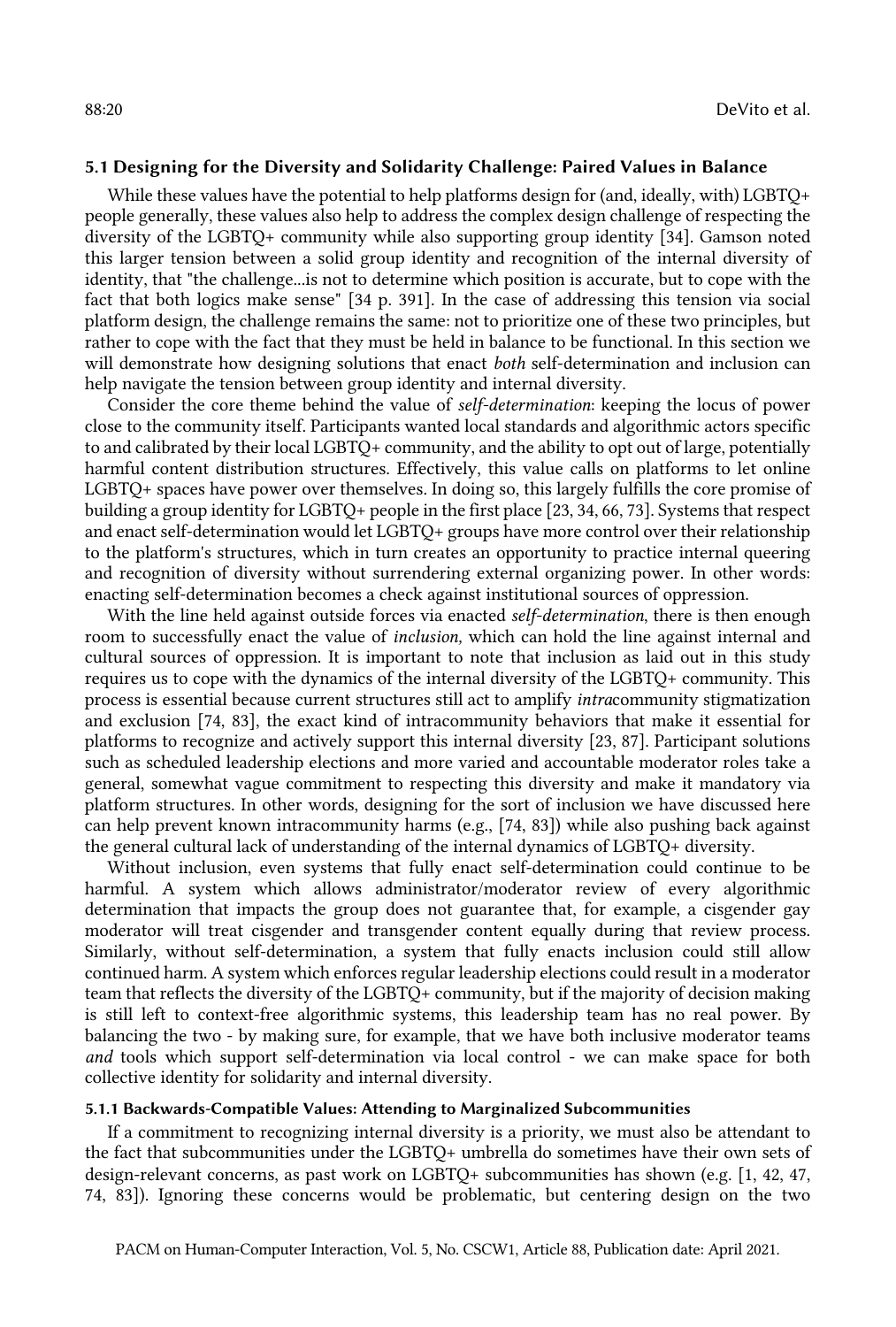# 5.1 Designing for the Diversity and Solidarity Challenge: Paired Values in Balance

While these values have the potential to help platforms design for (and, ideally, with) LGBTQ+ people generally, these values also help to address the complex design challenge of respecting the diversity of the LGBTQ+ community while also supporting group identity [34]. Gamson noted this larger tension between a solid group identity and recognition of the internal diversity of identity, that "the challenge...is not to determine which position is accurate, but to cope with the fact that both logics make sense" [34 p. 391]. In the case of addressing this tension via social platform design, the challenge remains the same: not to prioritize one of these two principles, but rather to cope with the fact that they must be held in balance to be functional. In this section we will demonstrate how designing solutions that enact *both* self-determination and inclusion can help navigate the tension between group identity and internal diversity.

 Consider the core theme behind the value of *self-determination*: keeping the locus of power close to the community itself. Participants wanted local standards and algorithmic actors specific to and calibrated by their local LGBTQ+ community, and the ability to opt out of large, potentially harmful content distribution structures. Effectively, this value calls on platforms to let online LGBTQ+ spaces have power over themselves. In doing so, this largely fulfills the core promise of building a group identity for LGBTQ+ people in the first place [23, 34, 66, 73]. Systems that respect and enact self-determination would let LGBTQ+ groups have more control over their relationship to the platform's structures, which in turn creates an opportunity to practice internal queering and recognition of diversity without surrendering external organizing power. In other words: enacting self-determination becomes a check against institutional sources of oppression.

 With the line held against outside forces via enacted *self-determination*, there is then enough room to successfully enact the value of *inclusion,* which can hold the line against internal and cultural sources of oppression. It is important to note that inclusion as laid out in this study requires us to cope with the dynamics of the internal diversity of the LGBTQ+ community. This process is essential because current structures still act to amplify *intra*community stigmatization and exclusion [74, 83], the exact kind of intracommunity behaviors that make it essential for platforms to recognize and actively support this internal diversity [23, 87]. Participant solutions such as scheduled leadership elections and more varied and accountable moderator roles take a general, somewhat vague commitment to respecting this diversity and make it mandatory via platform structures. In other words, designing for the sort of inclusion we have discussed here can help prevent known intracommunity harms (e.g., [74, 83]) while also pushing back against the general cultural lack of understanding of the internal dynamics of LGBTQ+ diversity.

 Without inclusion, even systems that fully enact self-determination could continue to be harmful. A system which allows administrator/moderator review of every algorithmic determination that impacts the group does not guarantee that, for example, a cisgender gay moderator will treat cisgender and transgender content equally during that review process. Similarly, without self-determination, a system that fully enacts inclusion could still allow continued harm. A system which enforces regular leadership elections could result in a moderator team that reflects the diversity of the LGBTQ+ community, but if the majority of decision making is still left to context-free algorithmic systems, this leadership team has no real power. By balancing the two - by making sure, for example, that we have both inclusive moderator teams *and* tools which support self-determination via local control - we can make space for both collective identity for solidarity and internal diversity.

#### 5.1.1 Backwards-Compatible Values: Attending to Marginalized Subcommunities

 If a commitment to recognizing internal diversity is a priority, we must also be attendant to the fact that subcommunities under the LGBTQ+ umbrella do sometimes have their own sets of design-relevant concerns, as past work on LGBTQ+ subcommunities has shown (e.g. [1, 42, 47, 74, 83]). Ignoring these concerns would be problematic, but centering design on the two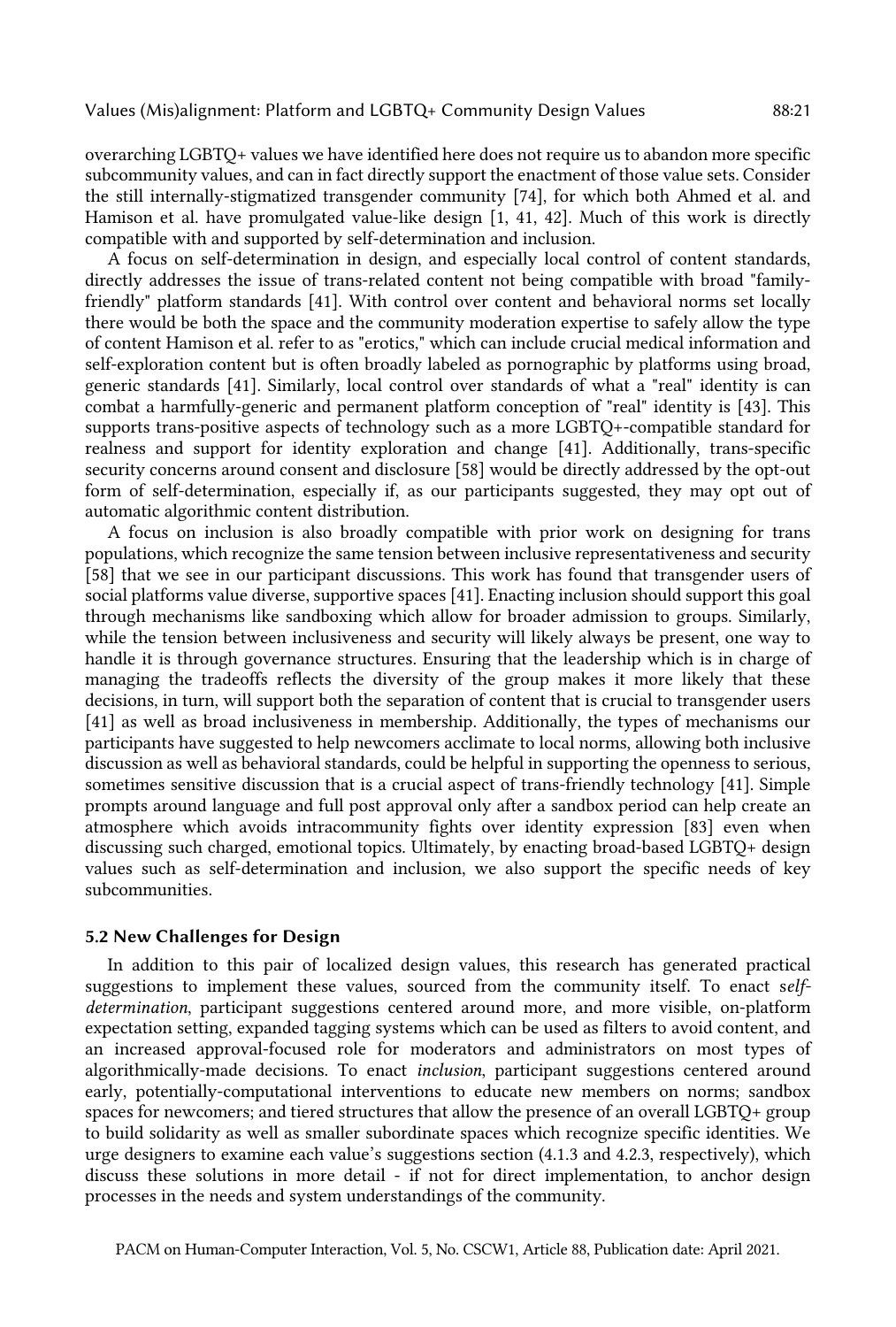overarching LGBTQ+ values we have identified here does not require us to abandon more specific subcommunity values, and can in fact directly support the enactment of those value sets. Consider the still internally-stigmatized transgender community [74], for which both Ahmed et al. and Hamison et al. have promulgated value-like design [1, 41, 42]. Much of this work is directly compatible with and supported by self-determination and inclusion.

 A focus on self-determination in design, and especially local control of content standards, directly addresses the issue of trans-related content not being compatible with broad "family- friendly" platform standards [41]. With control over content and behavioral norms set locally there would be both the space and the community moderation expertise to safely allow the type of content Hamison et al. refer to as "erotics," which can include crucial medical information and self-exploration content but is often broadly labeled as pornographic by platforms using broad, generic standards [41]. Similarly, local control over standards of what a "real" identity is can combat a harmfully-generic and permanent platform conception of "real" identity is [43]. This supports trans-positive aspects of technology such as a more LGBTQ+-compatible standard for realness and support for identity exploration and change [41]. Additionally, trans-specific security concerns around consent and disclosure [58] would be directly addressed by the opt-out form of self-determination, especially if, as our participants suggested, they may opt out of automatic algorithmic content distribution.

 A focus on inclusion is also broadly compatible with prior work on designing for trans populations, which recognize the same tension between inclusive representativeness and security [58] that we see in our participant discussions. This work has found that transgender users of social platforms value diverse, supportive spaces [41]. Enacting inclusion should support this goal through mechanisms like sandboxing which allow for broader admission to groups. Similarly, while the tension between inclusiveness and security will likely always be present, one way to handle it is through governance structures. Ensuring that the leadership which is in charge of managing the tradeoffs reflects the diversity of the group makes it more likely that these decisions, in turn, will support both the separation of content that is crucial to transgender users [41] as well as broad inclusiveness in membership. Additionally, the types of mechanisms our participants have suggested to help newcomers acclimate to local norms, allowing both inclusive discussion as well as behavioral standards, could be helpful in supporting the openness to serious, sometimes sensitive discussion that is a crucial aspect of trans-friendly technology [41]. Simple prompts around language and full post approval only after a sandbox period can help create an atmosphere which avoids intracommunity fights over identity expression [83] even when discussing such charged, emotional topics. Ultimately, by enacting broad-based LGBTQ+ design values such as self-determination and inclusion, we also support the specific needs of key subcommunities.

# 5.2 New Challenges for Design

 In addition to this pair of localized design values, this research has generated practical suggestions to implement these values, sourced from the community itself. To enact s*elf- determination*, participant suggestions centered around more, and more visible, on-platform expectation setting, expanded tagging systems which can be used as filters to avoid content, and an increased approval-focused role for moderators and administrators on most types of algorithmically-made decisions. To enact *inclusion*, participant suggestions centered around early, potentially-computational interventions to educate new members on norms; sandbox spaces for newcomers; and tiered structures that allow the presence of an overall LGBTQ+ group to build solidarity as well as smaller subordinate spaces which recognize specific identities. We urge designers to examine each value's suggestions section (4.1.3 and 4.2.3, respectively), which discuss these solutions in more detail - if not for direct implementation, to anchor design processes in the needs and system understandings of the community.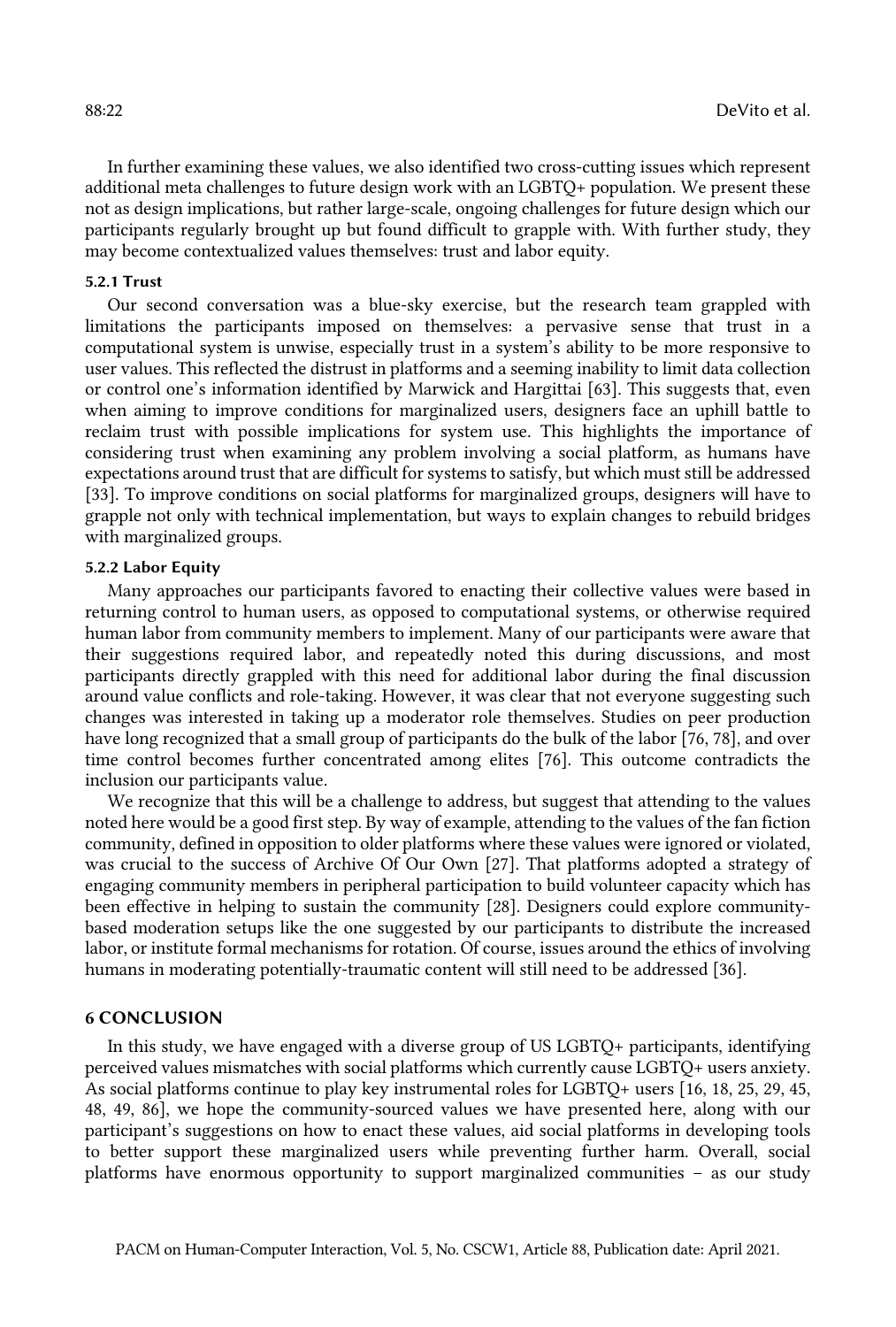In further examining these values, we also identified two cross-cutting issues which represent additional meta challenges to future design work with an LGBTQ+ population. We present these not as design implications, but rather large-scale, ongoing challenges for future design which our participants regularly brought up but found difficult to grapple with. With further study, they may become contextualized values themselves: trust and labor equity.

#### 5.2.1 Trust

 Our second conversation was a blue-sky exercise, but the research team grappled with limitations the participants imposed on themselves: a pervasive sense that trust in a computational system is unwise, especially trust in a system's ability to be more responsive to user values. This reflected the distrust in platforms and a seeming inability to limit data collection or control one's information identified by Marwick and Hargittai [63]. This suggests that, even when aiming to improve conditions for marginalized users, designers face an uphill battle to reclaim trust with possible implications for system use. This highlights the importance of considering trust when examining any problem involving a social platform, as humans have expectations around trust that are difficult for systems to satisfy, but which must still be addressed [33]. To improve conditions on social platforms for marginalized groups, designers will have to grapple not only with technical implementation, but ways to explain changes to rebuild bridges with marginalized groups.

# 5.2.2 Labor Equity

 Many approaches our participants favored to enacting their collective values were based in returning control to human users, as opposed to computational systems, or otherwise required human labor from community members to implement. Many of our participants were aware that their suggestions required labor, and repeatedly noted this during discussions, and most participants directly grappled with this need for additional labor during the final discussion around value conflicts and role-taking. However, it was clear that not everyone suggesting such changes was interested in taking up a moderator role themselves. Studies on peer production have long recognized that a small group of participants do the bulk of the labor [76, 78], and over time control becomes further concentrated among elites [76]. This outcome contradicts the inclusion our participants value.

 We recognize that this will be a challenge to address, but suggest that attending to the values noted here would be a good first step. By way of example, attending to the values of the fan fiction community, defined in opposition to older platforms where these values were ignored or violated, was crucial to the success of Archive Of Our Own [27]. That platforms adopted a strategy of engaging community members in peripheral participation to build volunteer capacity which has been effective in helping to sustain the community [28]. Designers could explore community- based moderation setups like the one suggested by our participants to distribute the increased labor, or institute formal mechanisms for rotation. Of course, issues around the ethics of involving humans in moderating potentially-traumatic content will still need to be addressed [36].

#### 6 CONCLUSION

 In this study, we have engaged with a diverse group of US LGBTQ+ participants, identifying perceived values mismatches with social platforms which currently cause LGBTQ+ users anxiety. As social platforms continue to play key instrumental roles for LGBTQ+ users [16, 18, 25, 29, 45, 48, 49, 86], we hope the community-sourced values we have presented here, along with our participant's suggestions on how to enact these values, aid social platforms in developing tools to better support these marginalized users while preventing further harm. Overall, social platforms have enormous opportunity to support marginalized communities – as our study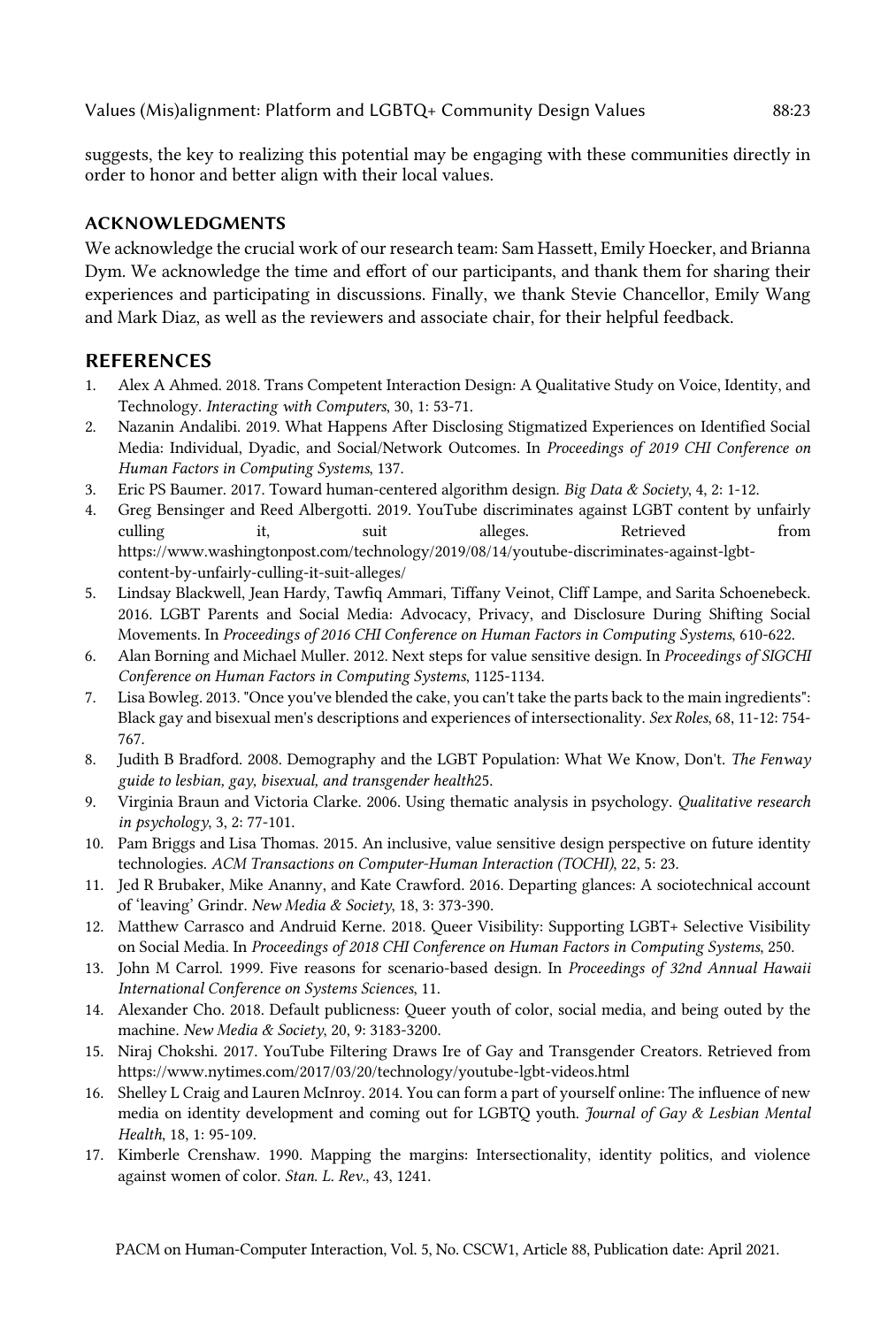Values (Mis)alignment: Platform and LGBTQ+ Community Design Values 88:23

 suggests, the key to realizing this potential may be engaging with these communities directly in order to honor and better align with their local values.

# ACKNOWLEDGMENTS

 We acknowledge the crucial work of our research team: Sam Hasset, Emily Hoecker, and Brianna Dym. We acknowledge the time and effort of our participants, and thank them for sharing their experiences and participating in discussions. Finally, we thank Stevie Chancellor, Emily Wang and Mark Diaz, as well as the reviewers and associate chair, for their helpful feedback.

# REFERENCES

- 1. Alex A Ahmed. 2018. Trans Competent Interaction Design: A Qualitative Study on Voice, Identity, and  Technology. *Interacting with Computers*, 30, 1: 53-71.
- 2. Nazanin Andalibi. 2019. What Happens After Disclosing Stigmatized Experiences on Identified Social Media: Individual, Dyadic, and Social/Network Outcomes. In *Proceedings of 2019 CHI Conference on Human Factors in Computing Systems*, 137.
- 3. Eric PS Baumer. 2017. Toward human-centered algorithm design. *Big Data & Society*, 4, 2: 1-12.
- 4. Greg Bensinger and Reed Albergotti. 2019. YouTube discriminates against LGBT content by unfairly culling it, suit alleges. Retrieved from <https://www.washingtonpost.com/technology/2019/08/14/youtube-discriminates-against-lgbt>content-by-unfairly-culling-it-suit-alleges/
- 5. Lindsay Blackwell, Jean Hardy, Tawfiq Ammari, Tiffany Veinot, Cliff Lampe, and Sarita Schoenebeck. 2016. LGBT Parents and Social Media: Advocacy, Privacy, and Disclosure During Shifting Social Movements. In *Proceedings of 2016 CHI Conference on Human Factors in Computing Systems*, 610-622.
- 6. Alan Borning and Michael Muller. 2012. Next steps for value sensitive design. In *Proceedings of SIGCHI Conference on Human Factors in Computing Systems*, 1125-1134.
- 7. Lisa Bowleg. 2013. "Once you've blended the cake, you can't take the parts back to the main ingredients": Black gay and bisexual men's descriptions and experiences of intersectionality. *Sex Roles*, 68, 11-12: 754- 767.
- 8. Judith B Bradford. 2008. Demography and the LGBT Population: What We Know, Don't. *The Fenway guide to lesbian, gay, bisexual, and transgender health*25.
- 9. Virginia Braun and Victoria Clarke. 2006. Using thematic analysis in psychology. *Qualitative research in psychology*, 3, 2: 77-101.
- 10. Pam Briggs and Lisa Thomas. 2015. An inclusive, value sensitive design perspective on future identity  technologies. *ACM Transactions on Computer-Human Interaction (TOCHI)*, 22, 5: 23.
- 11. Jed R Brubaker, Mike Ananny, and Kate Crawford. 2016. Departing glances: A sociotechnical account of 'leaving' Grindr. *New Media & Society*, 18, 3: 373-390.
- 12. Matthew Carrasco and Andruid Kerne. 2018. Queer Visibility: Supporting LGBT+ Selective Visibility on Social Media. In *Proceedings of 2018 CHI Conference on Human Factors in Computing Systems*, 250.
- 13. John M Carrol. 1999. Five reasons for scenario-based design. In *Proceedings of 32nd Annual Hawaii International Conference on Systems Sciences*, 11.
- 14. Alexander Cho. 2018. Default publicness: Queer youth of color, social media, and being outed by the  machine. *New Media & Society*, 20, 9: 3183-3200.
- 15. Niraj Chokshi. 2017. YouTube Filtering Draws Ire of Gay and Transgender Creators. Retrieved from <https://www.nytimes.com/2017/03/20/technology/youtube-lgbt-videos.html>
- 16. Shelley L Craig and Lauren McInroy. 2014. You can form a part of yourself online: The influence of new media on identity development and coming out for LGBTQ youth. *Journal of Gay & Lesbian Mental Health*, 18, 1: 95-109.
- 17. Kimberle Crenshaw. 1990. Mapping the margins: Intersectionality, identity politics, and violence against women of color. *Stan. L. Rev.*, 43, 1241.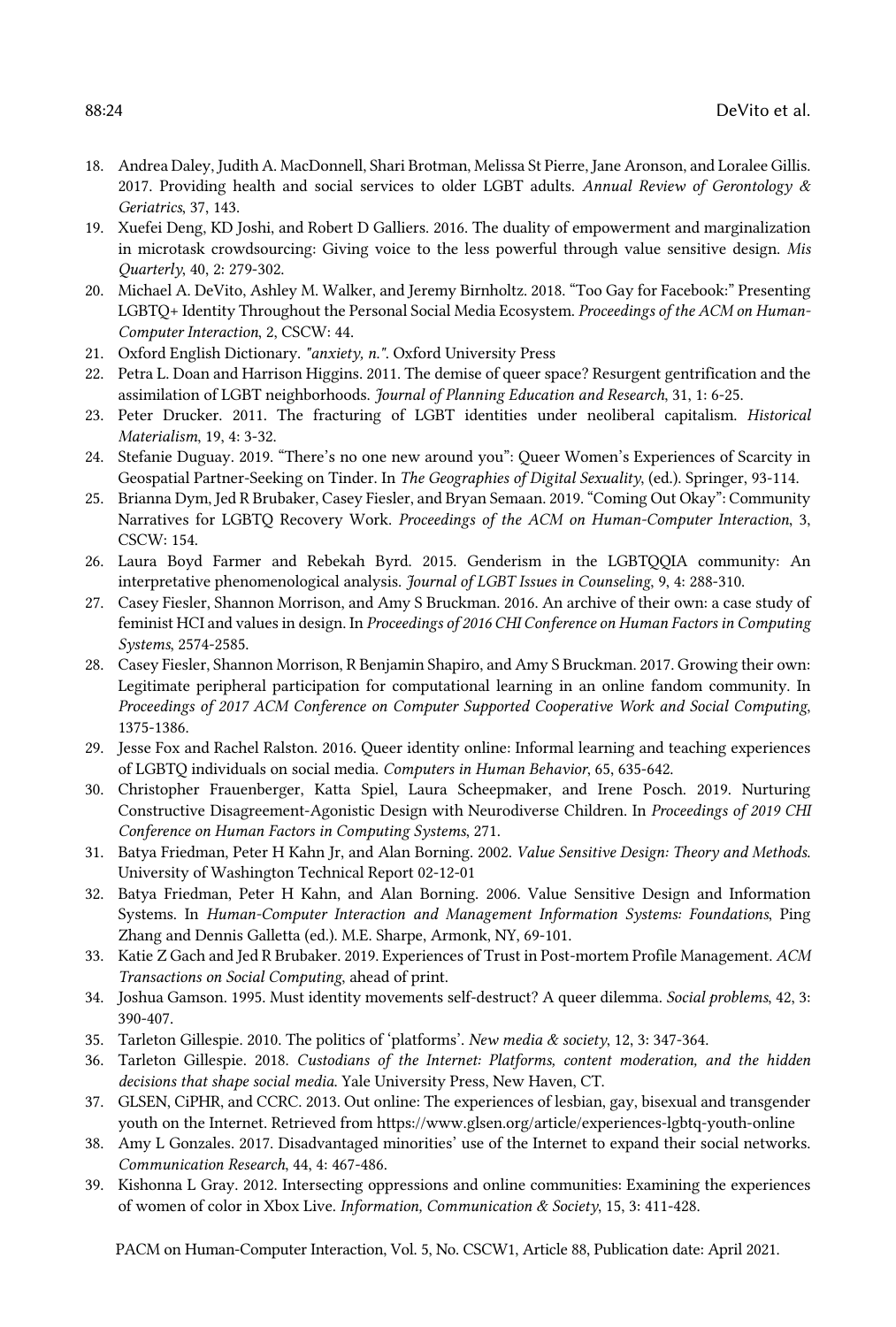- 18. Andrea Daley, Judith A. MacDonnell, Shari Brotman, Melissa St Pierre, Jane Aronson, and Loralee Gillis. 2017. Providing health and social services to older LGBT adults. *Annual Review of Gerontology & Geriatrics*, 37, 143.
- 19. Xuefei Deng, KD Joshi, and Robert D Galliers. 2016. The duality of empowerment and marginalization in microtask crowdsourcing: Giving voice to the less powerful through value sensitive design. *Mis Quarterly*, 40, 2: 279-302.
- 20. Michael A. DeVito, Ashley M. Walker, and Jeremy Birnholtz. 2018. "Too Gay for Facebook:" Presenting LGBTQ+ Identity Throughout the Personal Social Media Ecosystem. *Proceedings of the ACM on Human-Computer Interaction*, 2, CSCW: 44.
- 21. Oxford English Dictionary. *"anxiety, n."*. Oxford University Press
- 22. Petra L. Doan and Harrison Higgins. 2011. The demise of queer space? Resurgent gentrification and the assimilation of LGBT neighborhoods. *Journal of Planning Education and Research*, 31, 1: 6-25.
- 23. Peter Drucker. 2011. The fracturing of LGBT identities under neoliberal capitalism. *Historical Materialism*, 19, 4: 3-32.
- 24. Stefanie Duguay. 2019. "There's no one new around you": Queer Women's Experiences of Scarcity in Geospatial Partner-Seeking on Tinder. In *The Geographies of Digital Sexuality*, (ed.). Springer, 93-114.
- 25. Brianna Dym, Jed R Brubaker, Casey Fiesler, and Bryan Semaan. 2019. "Coming Out Okay": Community Narratives for LGBTQ Recovery Work. *Proceedings of the ACM on Human-Computer Interaction*, 3, CSCW: 154.
- 26. Laura Boyd Farmer and Rebekah Byrd. 2015. Genderism in the LGBTQQIA community: An interpretative phenomenological analysis. *Journal of LGBT Issues in Counseling*, 9, 4: 288-310.
- 27. Casey Fiesler, Shannon Morrison, and Amy S Bruckman. 2016. An archive of their own: a case study of feminist HCI and values in design. In *Proceedings of 2016 CHI Conference on Human Factors in Computing Systems*, 2574-2585.
- 28. Casey Fiesler, Shannon Morrison, R Benjamin Shapiro, and Amy S Bruckman. 2017. Growing their own: Legitimate peripheral participation for computational learning in an online fandom community. In  *Proceedings of 2017 ACM Conference on Computer Supported Cooperative Work and Social Computing*, 1375-1386.
- 29. Jesse Fox and Rachel Ralston. 2016. Queer identity online: Informal learning and teaching experiences of LGBTQ individuals on social media. *Computers in Human Behavior*, 65, 635-642.
- 30. Christopher Frauenberger, Katta Spiel, Laura Scheepmaker, and Irene Posch. 2019. Nurturing Constructive Disagreement-Agonistic Design with Neurodiverse Children. In *Proceedings of 2019 CHI Conference on Human Factors in Computing Systems*, 271.
- 31. Batya Friedman, Peter H Kahn Jr, and Alan Borning. 2002. *Value Sensitive Design: Theory and Methods*. University of Washington Technical Report 02-12-01
- 32. Batya Friedman, Peter H Kahn, and Alan Borning. 2006. Value Sensitive Design and Information Systems. In *Human-Computer Interaction and Management Information Systems: Foundations*, Ping Zhang and Dennis Galletta (ed.). M.E. Sharpe, Armonk, NY, 69-101.
- 33. Katie Z Gach and Jed R Brubaker. 2019. Experiences of Trust in Post-mortem Profile Management. *ACM Transactions on Social Computing*, ahead of print.
- 34. Joshua Gamson. 1995. Must identity movements self-destruct? A queer dilemma. *Social problems*, 42, 3: 390-407.
- 35. Tarleton Gillespie. 2010. The politics of 'platforms'. *New media & society*, 12, 3: 347-364.
- 36. Tarleton Gillespie. 2018. *Custodians of the Internet: Platforms, content moderation, and the hidden decisions that shape social media*. Yale University Press, New Haven, CT.
- 37. GLSEN, CiPHR, and CCRC. 2013. Out online: The experiences of lesbian, gay, bisexual and transgender youth on the Internet. Retrieved from <https://www.glsen.org/article/experiences-lgbtq-youth-online>
- 38. Amy L Gonzales. 2017. Disadvantaged minorities' use of the Internet to expand their social networks. *Communication Research*, 44, 4: 467-486.
- 39. Kishonna L Gray. 2012. Intersecting oppressions and online communities: Examining the experiences of women of color in Xbox Live. *Information, Communication & Society*, 15, 3: 411-428.

PACM on Human-Computer Interaction, Vol. 5, No. CSCW1, Article 88, Publication date: April 2021.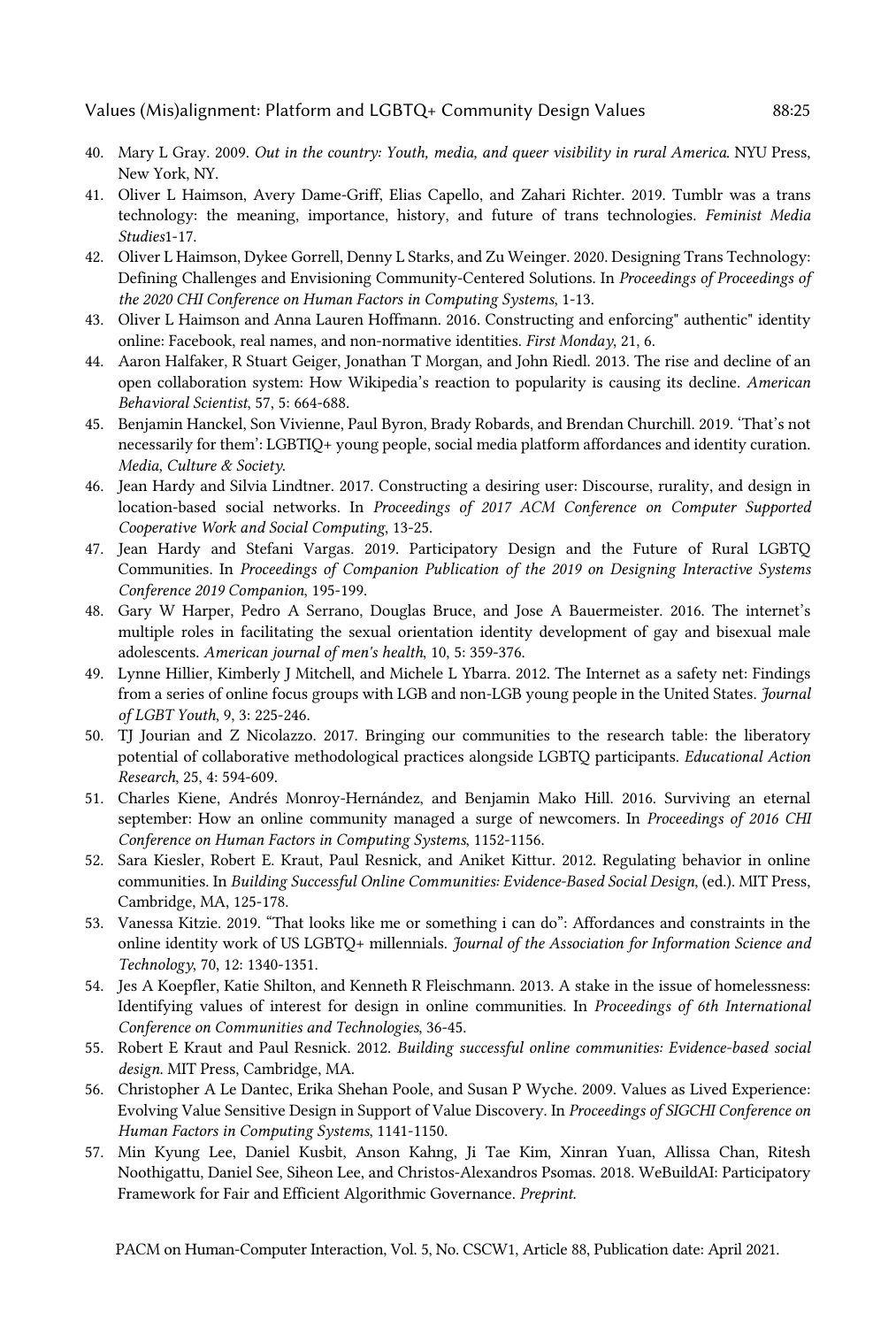- 40. Mary L Gray. 2009. *Out in the country: Youth, media, and queer visibility in rural America*. NYU Press, New York, NY.
- 41. Oliver L Haimson, Avery Dame-Griff, Elias Capello, and Zahari Richter. 2019. Tumblr was a trans technology: the meaning, importance, history, and future of trans technologies. *Feminist Media Studies*1-17.
- 42. Oliver L Haimson, Dykee Gorrell, Denny L Starks, and Zu Weinger. 2020. Designing Trans Technology: Defining Challenges and Envisioning Community-Centered Solutions. In *Proceedings of Proceedings of the 2020 CHI Conference on Human Factors in Computing Systems*, 1-13.
- 43. Oliver L Haimson and Anna Lauren Hoffmann. 2016. Constructing and enforcing" authentic" identity online: Facebook, real names, and non-normative identities. *First Monday*, 21, 6.
- 44. Aaron Halfaker, R Stuart Geiger, Jonathan T Morgan, and John Riedl. 2013. The rise and decline of an open collaboration system: How Wikipedia's reaction to popularity is causing its decline. *American Behavioral Scientist*, 57, 5: 664-688.
- 45. Benjamin Hanckel, Son Vivienne, Paul Byron, Brady Robards, and Brendan Churchill. 2019. 'That's not necessarily for them': LGBTIQ+ young people, social media platform affordances and identity curation.  *Media, Culture & Society*.
- 46. Jean Hardy and Silvia Lindtner. 2017. Constructing a desiring user: Discourse, rurality, and design in location-based social networks. In *Proceedings of 2017 ACM Conference on Computer Supported Cooperative Work and Social Computing*, 13-25.
- 47. Jean Hardy and Stefani Vargas. 2019. Participatory Design and the Future of Rural LGBTQ Communities. In *Proceedings of Companion Publication of the 2019 on Designing Interactive Systems Conference 2019 Companion*, 195-199.
- 48. Gary W Harper, Pedro A Serrano, Douglas Bruce, and Jose A Bauermeister. 2016. The internet's multiple roles in facilitating the sexual orientation identity development of gay and bisexual male  adolescents. *American journal of men's health*, 10, 5: 359-376.
- 49. Lynne Hillier, Kimberly J Mitchell, and Michele L Ybarra. 2012. The Internet as a safety net: Findings from a series of online focus groups with LGB and non-LGB young people in the United States. *Journal of LGBT Youth*, 9, 3: 225-246.
- 50. TJ Jourian and Z Nicolazzo. 2017. Bringing our communities to the research table: the liberatory potential of collaborative methodological practices alongside LGBTQ participants. *Educational Action Research*, 25, 4: 594-609.
- 51. Charles Kiene, Andrés Monroy-Hernández, and Benjamin Mako Hill. 2016. Surviving an eternal september: How an online community managed a surge of newcomers. In *Proceedings of 2016 CHI Conference on Human Factors in Computing Systems*, 1152-1156.
- 52. Sara Kiesler, Robert E. Kraut, Paul Resnick, and Aniket Kittur. 2012. Regulating behavior in online communities. In *Building Successful Online Communities: Evidence-Based Social Design*, (ed.). MIT Press, Cambridge, MA, 125-178.
- 53. Vanessa Kitzie. 2019. "That looks like me or something i can do": Affordances and constraints in the online identity work of US LGBTQ+ millennials. *Journal of the Association for Information Science and Technology*, 70, 12: 1340-1351.
- 54. Jes A Koepfler, Katie Shilton, and Kenneth R Fleischmann. 2013. A stake in the issue of homelessness: Identifying values of interest for design in online communities. In *Proceedings of 6th International Conference on Communities and Technologies*, 36-45.
- 55. Robert E Kraut and Paul Resnick. 2012. *Building successful online communities: Evidence-based social design*. MIT Press, Cambridge, MA.
- 56. Christopher A Le Dantec, Erika Shehan Poole, and Susan P Wyche. 2009. Values as Lived Experience: Evolving Value Sensitive Design in Support of Value Discovery. In *Proceedings of SIGCHI Conference on Human Factors in Computing Systems*, 1141-1150.
- 57. Min Kyung Lee, Daniel Kusbit, Anson Kahng, Ji Tae Kim, Xinran Yuan, Allissa Chan, Ritesh Noothigattu, Daniel See, Siheon Lee, and Christos-Alexandros Psomas. 2018. WeBuildAI: Participatory Framework for Fair and Efficient Algorithmic Governance. *Preprint*.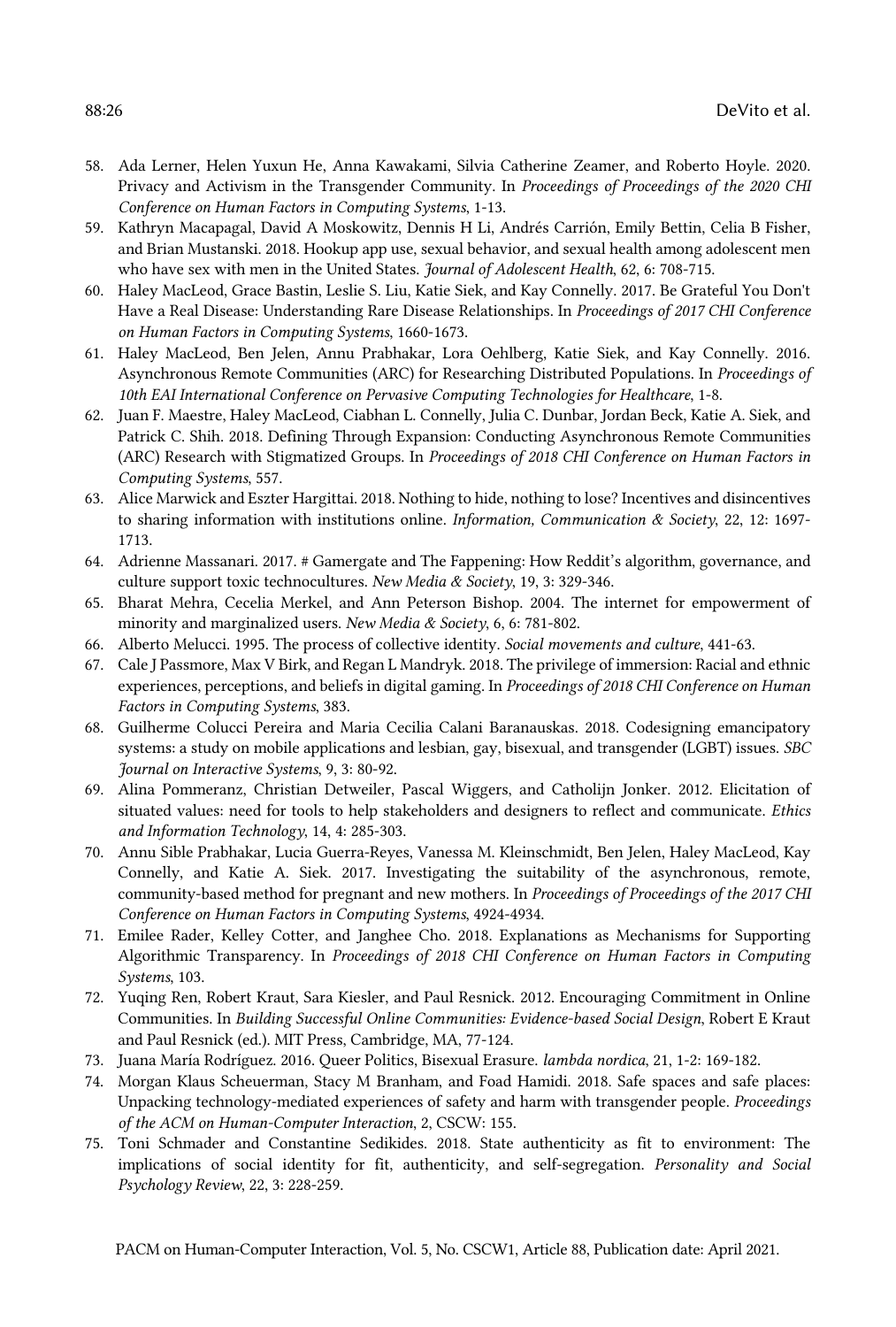- 58. Ada Lerner, Helen Yuxun He, Anna Kawakami, Silvia Catherine Zeamer, and Roberto Hoyle. 2020. Privacy and Activism in the Transgender Community. In *Proceedings of Proceedings of the 2020 CHI Conference on Human Factors in Computing Systems*, 1-13.
- 59. Kathryn Macapagal, David A Moskowitz, Dennis H Li, Andrés Carrión, Emily Bettin, Celia B Fisher, and Brian Mustanski. 2018. Hookup app use, sexual behavior, and sexual health among adolescent men who have sex with men in the United States. *Journal of Adolescent Health*, 62, 6: 708-715.
- 60. Haley MacLeod, Grace Bastin, Leslie S. Liu, Katie Siek, and Kay Connelly. 2017. Be Grateful You Don't Have a Real Disease: Understanding Rare Disease Relationships. In *Proceedings of 2017 CHI Conference on Human Factors in Computing Systems*, 1660-1673.
- 61. Haley MacLeod, Ben Jelen, Annu Prabhakar, Lora Oehlberg, Katie Siek, and Kay Connelly. 2016. Asynchronous Remote Communities (ARC) for Researching Distributed Populations. In *Proceedings of 10th EAI International Conference on Pervasive Computing Technologies for Healthcare*, 1-8.
- 62. Juan F. Maestre, Haley MacLeod, Ciabhan L. Connelly, Julia C. Dunbar, Jordan Beck, Katie A. Siek, and Patrick C. Shih. 2018. Defining Through Expansion: Conducting Asynchronous Remote Communities (ARC) Research with Stigmatized Groups. In *Proceedings of 2018 CHI Conference on Human Factors in Computing Systems*, 557.
- 63. Alice Marwick and Eszter Hargittai. 2018. Nothing to hide, nothing to lose? Incentives and disincentives to sharing information with institutions online. *Information, Communication & Society*, 22, 12: 1697- 1713.
- 64. Adrienne Massanari. 2017. # Gamergate and The Fappening: How Reddit's algorithm, governance, and  culture support toxic technocultures. *New Media & Society*, 19, 3: 329-346.
- 65. Bharat Mehra, Cecelia Merkel, and Ann Peterson Bishop. 2004. The internet for empowerment of minority and marginalized users. *New Media & Society*, 6, 6: 781-802.
- 66. Alberto Melucci. 1995. The process of collective identity. *Social movements and culture*, 441-63.
- 67. Cale J Passmore, Max V Birk, and Regan L Mandryk. 2018. The privilege of immersion: Racial and ethnic experiences, perceptions, and beliefs in digital gaming. In *Proceedings of 2018 CHI Conference on Human Factors in Computing Systems*, 383.
- 68. Guilherme Colucci Pereira and Maria Cecilia Calani Baranauskas. 2018. Codesigning emancipatory systems: a study on mobile applications and lesbian, gay, bisexual, and transgender (LGBT) issues. *SBC Journal on Interactive Systems*, 9, 3: 80-92.
- 69. Alina Pommeranz, Christian Detweiler, Pascal Wiggers, and Catholijn Jonker. 2012. Elicitation of situated values: need for tools to help stakeholders and designers to reflect and communicate. *Ethics and Information Technology*, 14, 4: 285-303.
- 70. Annu Sible Prabhakar, Lucia Guerra-Reyes, Vanessa M. Kleinschmidt, Ben Jelen, Haley MacLeod, Kay Connelly, and Katie A. Siek. 2017. Investigating the suitability of the asynchronous, remote, community-based method for pregnant and new mothers. In *Proceedings of Proceedings of the 2017 CHI Conference on Human Factors in Computing Systems*, 4924-4934.
- 71. Emilee Rader, Kelley Cotter, and Janghee Cho. 2018. Explanations as Mechanisms for Supporting Algorithmic Transparency. In *Proceedings of 2018 CHI Conference on Human Factors in Computing Systems*, 103.
- 72. Yuqing Ren, Robert Kraut, Sara Kiesler, and Paul Resnick. 2012. Encouraging Commitment in Online Communities. In *Building Successful Online Communities: Evidence-based Social Design*, Robert E Kraut and Paul Resnick (ed.). MIT Press, Cambridge, MA, 77-124.
- 73. Juana María Rodríguez. 2016. Queer Politics, Bisexual Erasure. *lambda nordica*, 21, 1-2: 169-182.
- 74. Morgan Klaus Scheuerman, Stacy M Branham, and Foad Hamidi. 2018. Safe spaces and safe places: Unpacking technology-mediated experiences of safety and harm with transgender people. *Proceedings of the ACM on Human-Computer Interaction*, 2, CSCW: 155.
- 75. Toni Schmader and Constantine Sedikides. 2018. State authenticity as fit to environment: The implications of social identity for fit, authenticity, and self-segregation. *Personality and Social Psychology Review*, 22, 3: 228-259.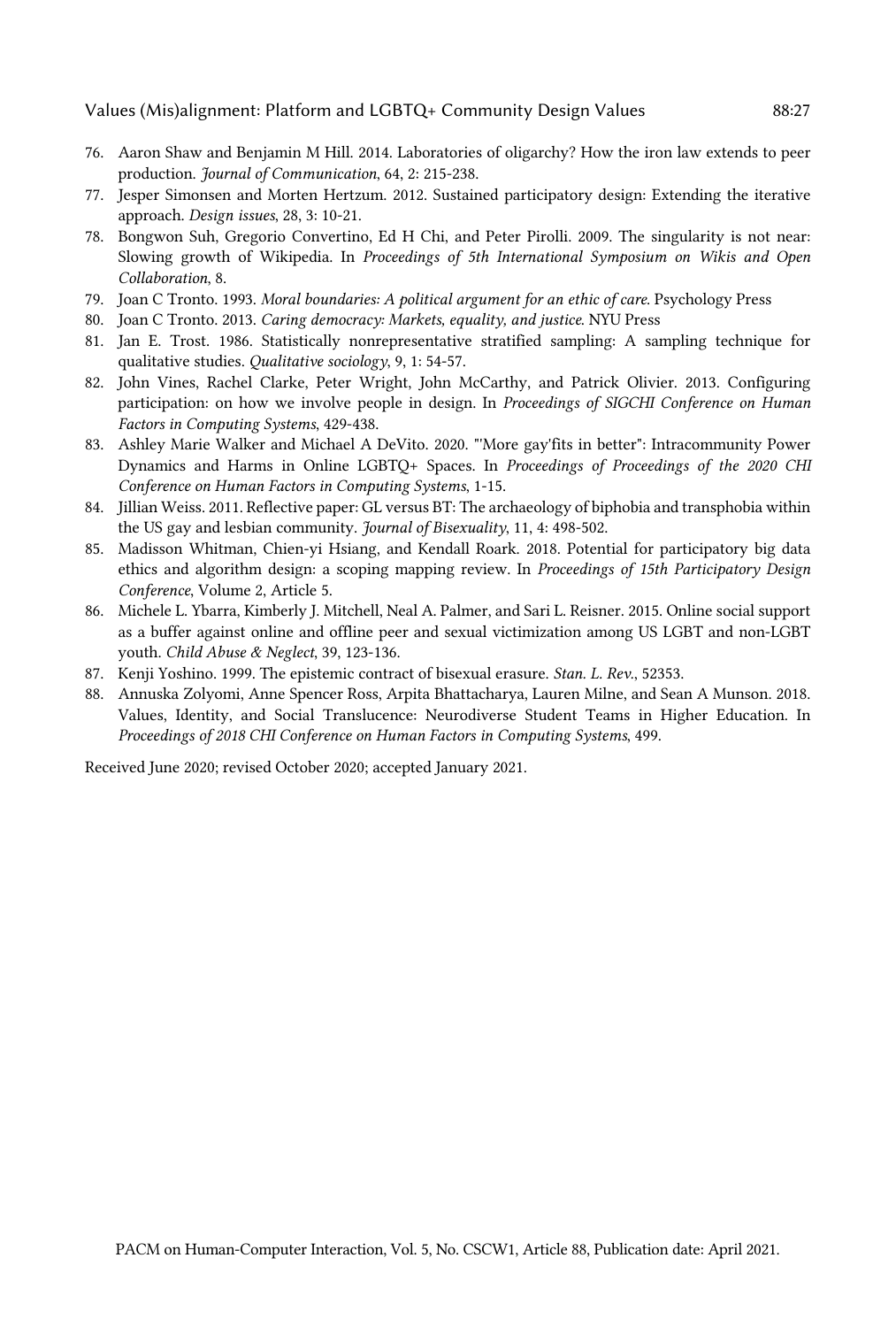- 76. Aaron Shaw and Benjamin M Hill. 2014. Laboratories of oligarchy? How the iron law extends to peer  production. *Journal of Communication*, 64, 2: 215-238.
- 77. Jesper Simonsen and Morten Hertzum. 2012. Sustained participatory design: Extending the iterative approach. *Design issues*, 28, 3: 10-21.
- 78. Bongwon Suh, Gregorio Convertino, Ed H Chi, and Peter Pirolli. 2009. The singularity is not near: Slowing growth of Wikipedia. In *Proceedings of 5th International Symposium on Wikis and Open Collaboration*, 8.
- 79. Joan C Tronto. 1993. *Moral boundaries: A political argument for an ethic of care*. Psychology Press
- 80. Joan C Tronto. 2013. *Caring democracy: Markets, equality, and justice*. NYU Press
- 81. Jan E. Trost. 1986. Statistically nonrepresentative stratified sampling: A sampling technique for qualitative studies. *Qualitative sociology*, 9, 1: 54-57.
- 82. John Vines, Rachel Clarke, Peter Wright, John McCarthy, and Patrick Olivier. 2013. Configuring participation: on how we involve people in design. In *Proceedings of SIGCHI Conference on Human Factors in Computing Systems*, 429-438.
- 83. Ashley Marie Walker and Michael A DeVito. 2020. "'More gay'fits in better": Intracommunity Power Dynamics and Harms in Online LGBTQ+ Spaces. In *Proceedings of Proceedings of the 2020 CHI Conference on Human Factors in Computing Systems*, 1-15.
- 84. Jillian Weiss. 2011. Reflective paper: GL versus BT: The archaeology of biphobia and transphobia within the US gay and lesbian community. *Journal of Bisexuality*, 11, 4: 498-502.
- 85. Madisson Whitman, Chien-yi Hsiang, and Kendall Roark. 2018. Potential for participatory big data ethics and algorithm design: a scoping mapping review. In *Proceedings of 15th Participatory Design Conference*, Volume 2, Article 5.
- 86. Michele L. Ybarra, Kimberly J. Mitchell, Neal A. Palmer, and Sari L. Reisner. 2015. Online social support as a buffer against online and offline peer and sexual victimization among US LGBT and non-LGBT  youth. *Child Abuse & Neglect*, 39, 123-136.
- 87. Kenji Yoshino. 1999. The epistemic contract of bisexual erasure. *Stan. L. Rev.*, 52353.
- 88. Annuska Zolyomi, Anne Spencer Ross, Arpita Bhattacharya, Lauren Milne, and Sean A Munson. 2018. Values, Identity, and Social Translucence: Neurodiverse Student Teams in Higher Education. In  *Proceedings of 2018 CHI Conference on Human Factors in Computing Systems*, 499.

Received June 2020; revised October 2020; accepted January 2021.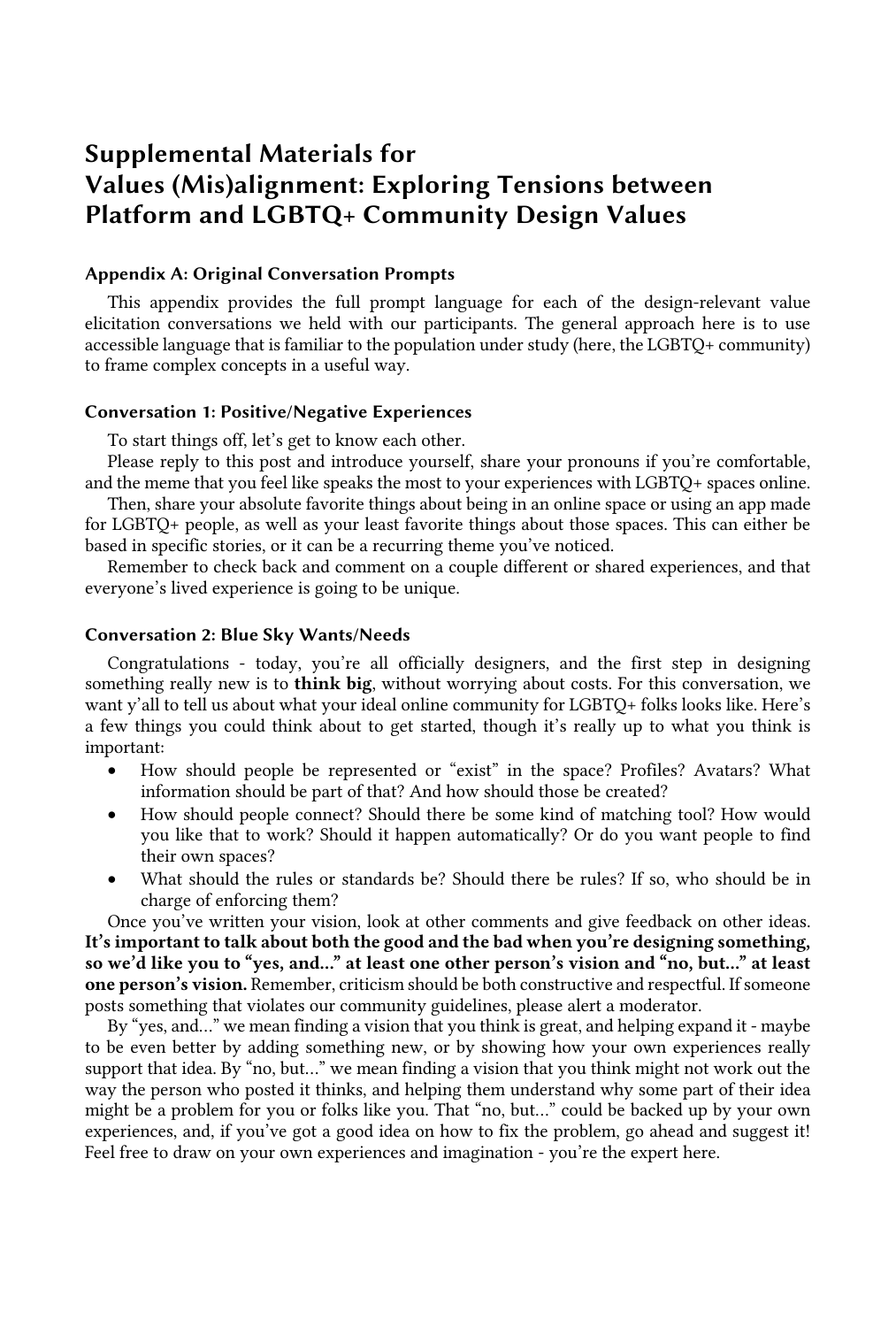# Supplemental Materials for Values (Mis)alignment: Exploring Tensions between Platform and LGBTQ+ Community Design Values

# Appendix A: Original Conversation Prompts

 This appendix provides the full prompt language for each of the design-relevant value elicitation conversations we held with our participants. The general approach here is to use accessible language that is familiar to the population under study (here, the LGBTQ+ community) to frame complex concepts in a useful way.

# Conversation 1: Positive/Negative Experiences

To start things off, let's get to know each other.

 Please reply to this post and introduce yourself, share your pronouns if you're comfortable, and the meme that you feel like speaks the most to your experiences with LGBTQ+ spaces online.

 Then, share your absolute favorite things about being in an online space or using an app made for LGBTQ+ people, as well as your least favorite things about those spaces. This can either be based in specific stories, or it can be a recurring theme you've noticed.

 Remember to check back and comment on a couple different or shared experiences, and that everyone's lived experience is going to be unique.

# Conversation 2: Blue Sky Wants/Needs

 Congratulations - today, you're all officially designers, and the first step in designing something really new is to think big, without worrying about costs. For this conversation, we want y'all to tell us about what your ideal online community for LGBTQ+ folks looks like. Here's a few things you could think about to get started, though it's really up to what you think is important:

- • How should people be represented or "exist" in the space? Profiles? Avatars? What information should be part of that? And how should those be created?
- • How should people connect? Should there be some kind of matching tool? How would you like that to work? Should it happen automatically? Or do you want people to find their own spaces?
- • What should the rules or standards be? Should there be rules? If so, who should be in charge of enforcing them?

 Once you've written your vision, look at other comments and give feedback on other ideas. It's important to talk about both the good and the bad when you're designing something, so we'd like you to "yes, and…" at least one other person's vision and "no, but…" at least one person's vision. Remember, criticism should be both constructive and respectful. If someone posts something that violates our community guidelines, please alert a moderator.

 By "yes, and…" we mean finding a vision that you think is great, and helping expand it - maybe to be even better by adding something new, or by showing how your own experiences really support that idea. By "no, but…" we mean finding a vision that you think might not work out the way the person who posted it thinks, and helping them understand why some part of their idea might be a problem for you or folks like you. That "no, but…" could be backed up by your own experiences, and, if you've got a good idea on how to fix the problem, go ahead and suggest it! Feel free to draw on your own experiences and imagination - you're the expert here.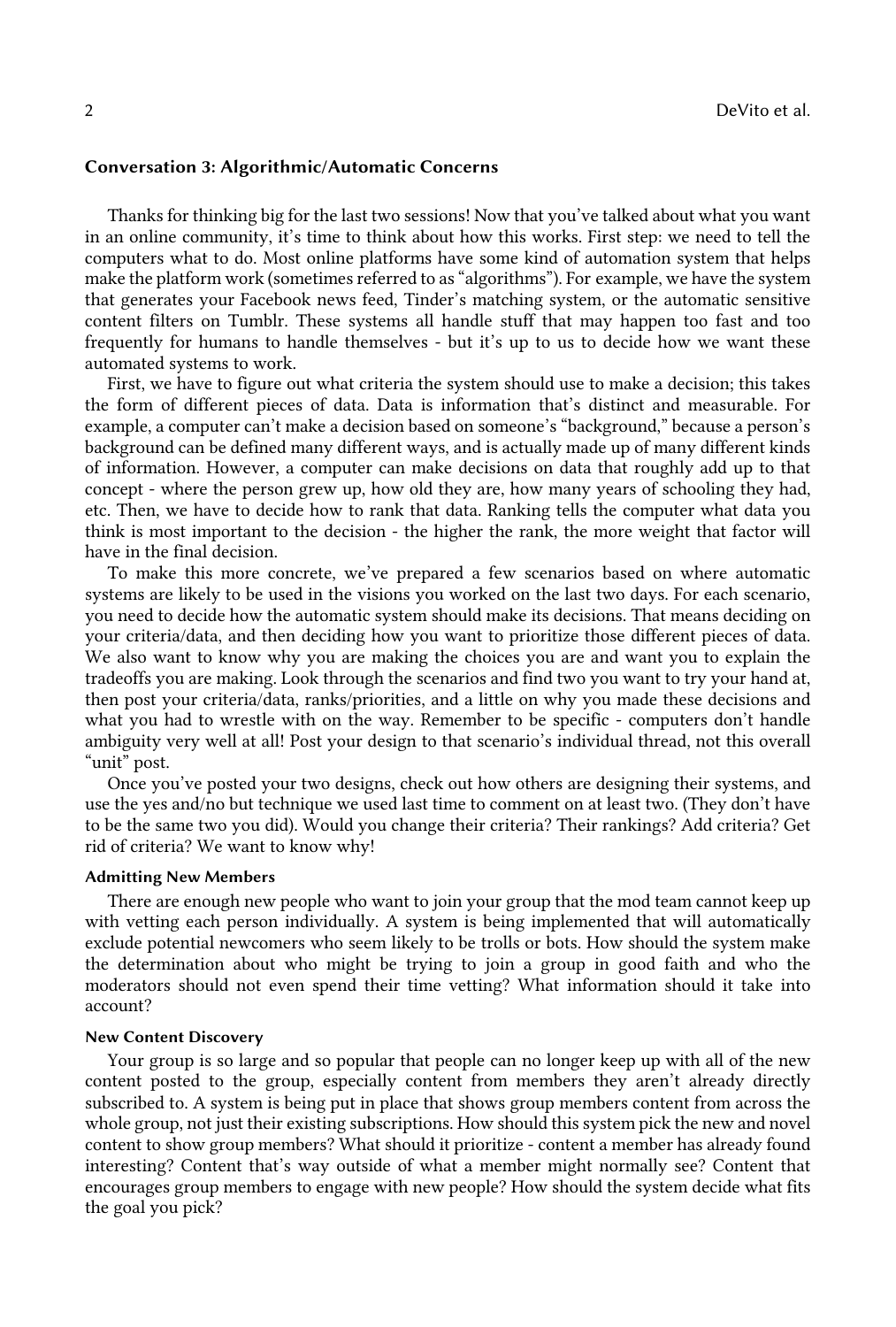# Conversation 3: Algorithmic/Automatic Concerns

 Thanks for thinking big for the last two sessions! Now that you've talked about what you want in an online community, it's time to think about how this works. First step: we need to tell the computers what to do. Most online platforms have some kind of automation system that helps make the platform work (sometimes referred to as "algorithms"). For example, we have the system that generates your Facebook news feed, Tinder's matching system, or the automatic sensitive content filters on Tumblr. These systems all handle stuff that may happen too fast and too frequently for humans to handle themselves - but it's up to us to decide how we want these automated systems to work.

 First, we have to figure out what criteria the system should use to make a decision; this takes the form of different pieces of data. Data is information that's distinct and measurable. For example, a computer can't make a decision based on someone's "background," because a person's background can be defined many different ways, and is actually made up of many different kinds of information. However, a computer can make decisions on data that roughly add up to that concept - where the person grew up, how old they are, how many years of schooling they had, etc. Then, we have to decide how to rank that data. Ranking tells the computer what data you think is most important to the decision - the higher the rank, the more weight that factor will have in the final decision.

 To make this more concrete, we've prepared a few scenarios based on where automatic systems are likely to be used in the visions you worked on the last two days. For each scenario, you need to decide how the automatic system should make its decisions. That means deciding on your criteria/data, and then deciding how you want to prioritize those different pieces of data. We also want to know why you are making the choices you are and want you to explain the tradeoffs you are making. Look through the scenarios and find two you want to try your hand at, then post your criteria/data, ranks/priorities, and a little on why you made these decisions and what you had to wrestle with on the way. Remember to be specific - computers don't handle ambiguity very well at all! Post your design to that scenario's individual thread, not this overall "unit" post.

 Once you've posted your two designs, check out how others are designing their systems, and use the yes and/no but technique we used last time to comment on at least two. (They don't have to be the same two you did). Would you change their criteria? Their rankings? Add criteria? Get rid of criteria? We want to know why!

#### Admitting New Members

 There are enough new people who want to join your group that the mod team cannot keep up with vetting each person individually. A system is being implemented that will automatically exclude potential newcomers who seem likely to be trolls or bots. How should the system make the determination about who might be trying to join a group in good faith and who the moderators should not even spend their time vetting? What information should it take into account?

#### New Content Discovery

 Your group is so large and so popular that people can no longer keep up with all of the new content posted to the group, especially content from members they aren't already directly subscribed to. A system is being put in place that shows group members content from across the whole group, not just their existing subscriptions. How should this system pick the new and novel content to show group members? What should it prioritize - content a member has already found interesting? Content that's way outside of what a member might normally see? Content that encourages group members to engage with new people? How should the system decide what fits the goal you pick?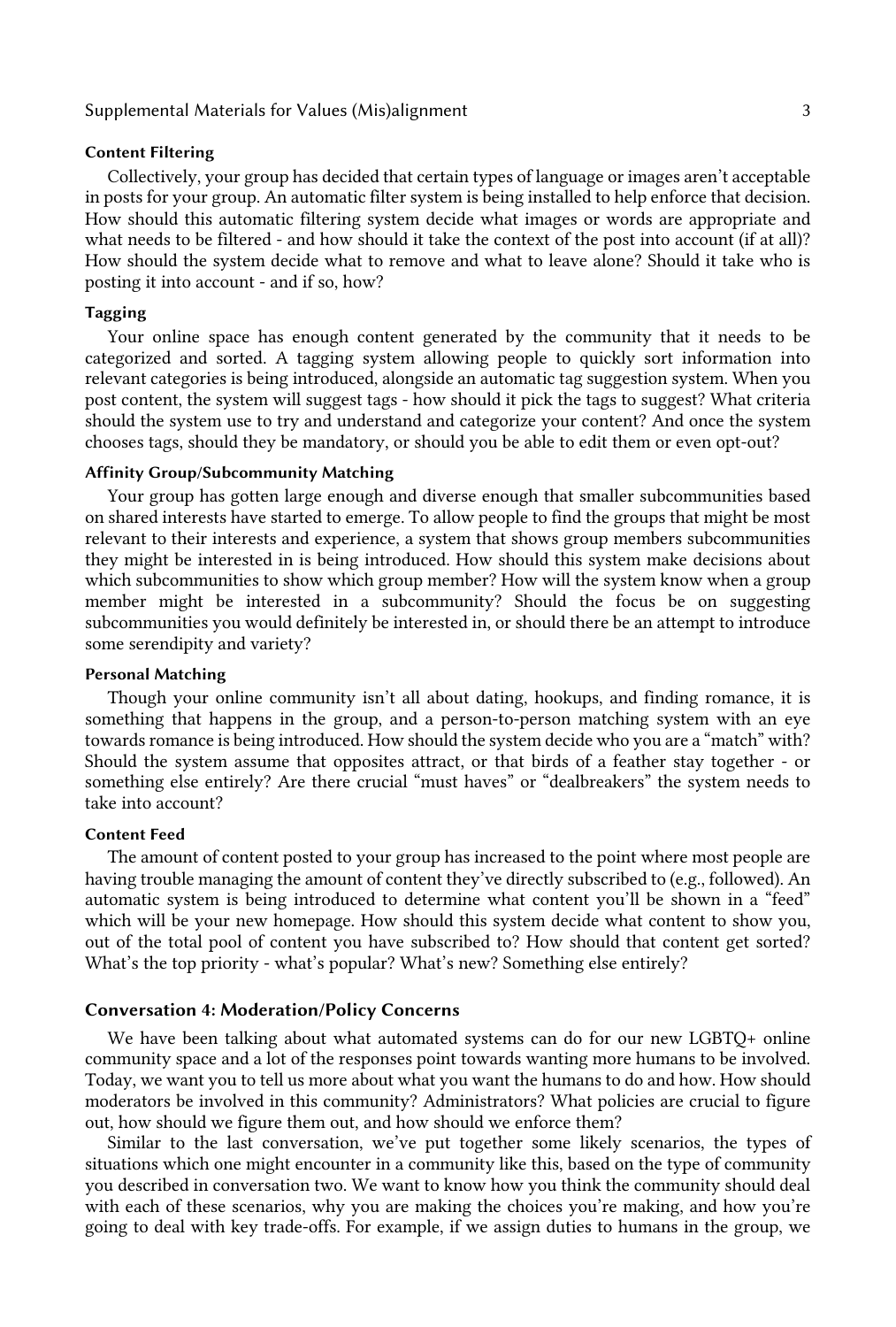# Supplemental Materials for Values (Mis)alignment 3

#### Content Filtering

 Collectively, your group has decided that certain types of language or images aren't acceptable in posts for your group. An automatic filter system is being installed to help enforce that decision. How should this automatic filtering system decide what images or words are appropriate and what needs to be filtered - and how should it take the context of the post into account (if at all)? How should the system decide what to remove and what to leave alone? Should it take who is posting it into account - and if so, how?

# Tagging

 Your online space has enough content generated by the community that it needs to be categorized and sorted. A tagging system allowing people to quickly sort information into relevant categories is being introduced, alongside an automatic tag suggestion system. When you post content, the system will suggest tags - how should it pick the tags to suggest? What criteria should the system use to try and understand and categorize your content? And once the system chooses tags, should they be mandatory, or should you be able to edit them or even opt-out?

#### Affinity Group/Subcommunity Matching

 Your group has gotten large enough and diverse enough that smaller subcommunities based on shared interests have started to emerge. To allow people to find the groups that might be most relevant to their interests and experience, a system that shows group members subcommunities they might be interested in is being introduced. How should this system make decisions about which subcommunities to show which group member? How will the system know when a group member might be interested in a subcommunity? Should the focus be on suggesting subcommunities you would definitely be interested in, or should there be an attempt to introduce some serendipity and variety?

#### Personal Matching

 Though your online community isn't all about dating, hookups, and finding romance, it is something that happens in the group, and a person-to-person matching system with an eye towards romance is being introduced. How should the system decide who you are a "match" with? Should the system assume that opposites attract, or that birds of a feather stay together - or something else entirely? Are there crucial "must haves" or "dealbreakers" the system needs to take into account?

# Content Feed

 The amount of content posted to your group has increased to the point where most people are having trouble managing the amount of content they've directly subscribed to (e.g., followed). An automatic system is being introduced to determine what content you'll be shown in a "feed" which will be your new homepage. How should this system decide what content to show you, out of the total pool of content you have subscribed to? How should that content get sorted? What's the top priority - what's popular? What's new? Something else entirely?

# Conversation 4: Moderation/Policy Concerns

 We have been talking about what automated systems can do for our new LGBTQ+ online community space and a lot of the responses point towards wanting more humans to be involved. Today, we want you to tell us more about what you want the humans to do and how. How should moderators be involved in this community? Administrators? What policies are crucial to figure out, how should we figure them out, and how should we enforce them?

 Similar to the last conversation, we've put together some likely scenarios, the types of you described in conversation two. We want to know how you think the community should deal with each of these scenarios, why you are making the choices you're making, and how you're going to deal with key trade-offs. For example, if we assign duties to humans in the group, we situations which one might encounter in a community like this, based on the type of community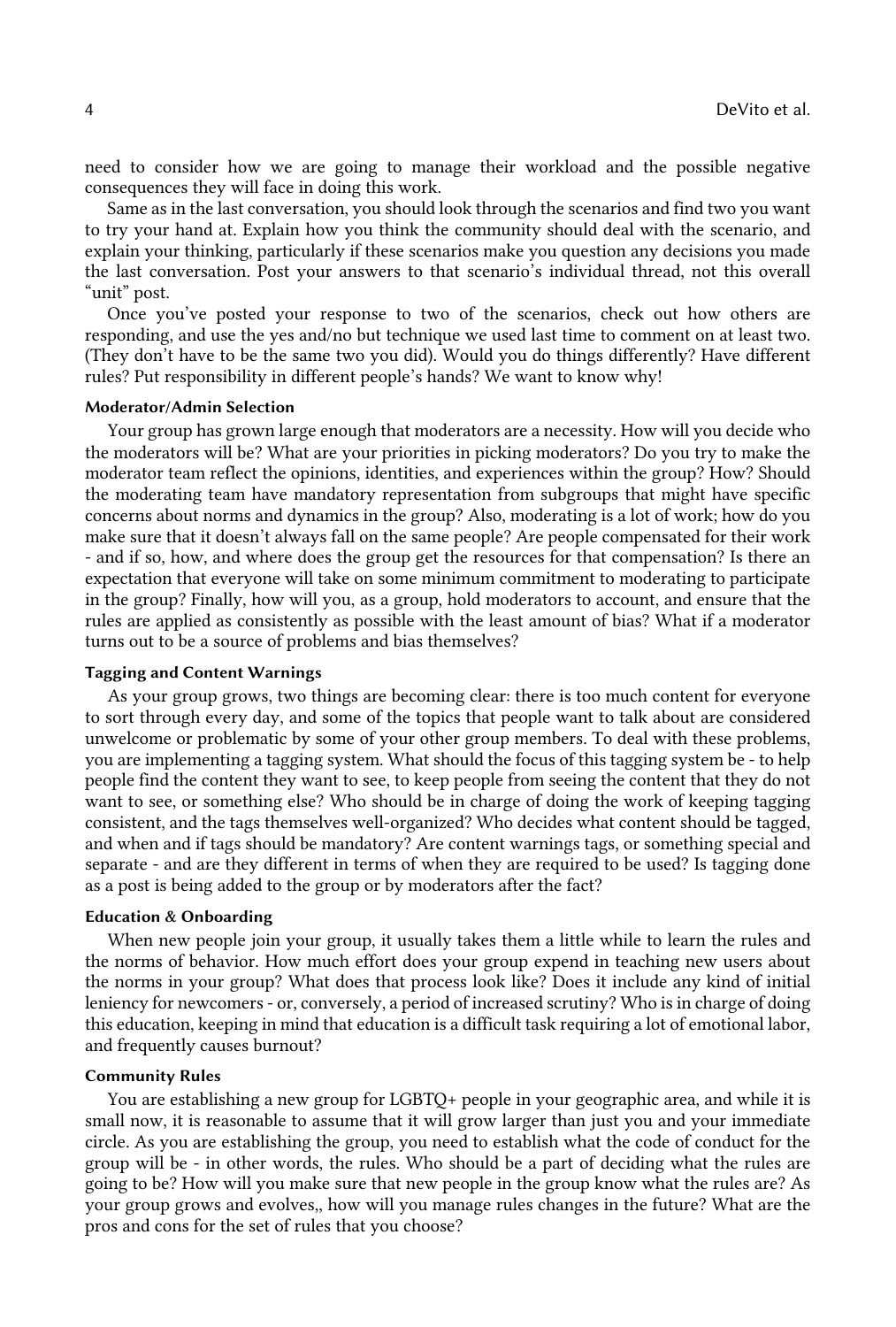need to consider how we are going to manage their workload and the possible negative consequences they will face in doing this work.

 Same as in the last conversation, you should look through the scenarios and find two you want to try your hand at. Explain how you think the community should deal with the scenario, and explain your thinking, particularly if these scenarios make you question any decisions you made the last conversation. Post your answers to that scenario's individual thread, not this overall "unit" post.

 Once you've posted your response to two of the scenarios, check out how others are responding, and use the yes and/no but technique we used last time to comment on at least two. (They don't have to be the same two you did). Would you do things differently? Have different rules? Put responsibility in different people's hands? We want to know why!

# Moderator/Admin Selection

 Your group has grown large enough that moderators are a necessity. How will you decide who the moderators will be? What are your priorities in picking moderators? Do you try to make the moderator team reflect the opinions, identities, and experiences within the group? How? Should the moderating team have mandatory representation from subgroups that might have specific concerns about norms and dynamics in the group? Also, moderating is a lot of work; how do you make sure that it doesn't always fall on the same people? Are people compensated for their work - and if so, how, and where does the group get the resources for that compensation? Is there an expectation that everyone will take on some minimum commitment to moderating to participate in the group? Finally, how will you, as a group, hold moderators to account, and ensure that the rules are applied as consistently as possible with the least amount of bias? What if a moderator turns out to be a source of problems and bias themselves?

#### Tagging and Content Warnings

 As your group grows, two things are becoming clear: there is too much content for everyone to sort through every day, and some of the topics that people want to talk about are considered unwelcome or problematic by some of your other group members. To deal with these problems, you are implementing a tagging system. What should the focus of this tagging system be - to help people find the content they want to see, to keep people from seeing the content that they do not want to see, or something else? Who should be in charge of doing the work of keeping tagging consistent, and the tags themselves well-organized? Who decides what content should be tagged, and when and if tags should be mandatory? Are content warnings tags, or something special and separate - and are they different in terms of when they are required to be used? Is tagging done as a post is being added to the group or by moderators after the fact?

#### Education & Onboarding

 When new people join your group, it usually takes them a little while to learn the rules and the norms of behavior. How much effort does your group expend in teaching new users about the norms in your group? What does that process look like? Does it include any kind of initial leniency for newcomers - or, conversely, a period of increased scrutiny? Who is in charge of doing this education, keeping in mind that education is a difficult task requiring a lot of emotional labor, and frequently causes burnout?

#### Community Rules

 You are establishing a new group for LGBTQ+ people in your geographic area, and while it is small now, it is reasonable to assume that it will grow larger than just you and your immediate circle. As you are establishing the group, you need to establish what the code of conduct for the group will be - in other words, the rules. Who should be a part of deciding what the rules are going to be? How will you make sure that new people in the group know what the rules are? As your group grows and evolves,, how will you manage rules changes in the future? What are the pros and cons for the set of rules that you choose?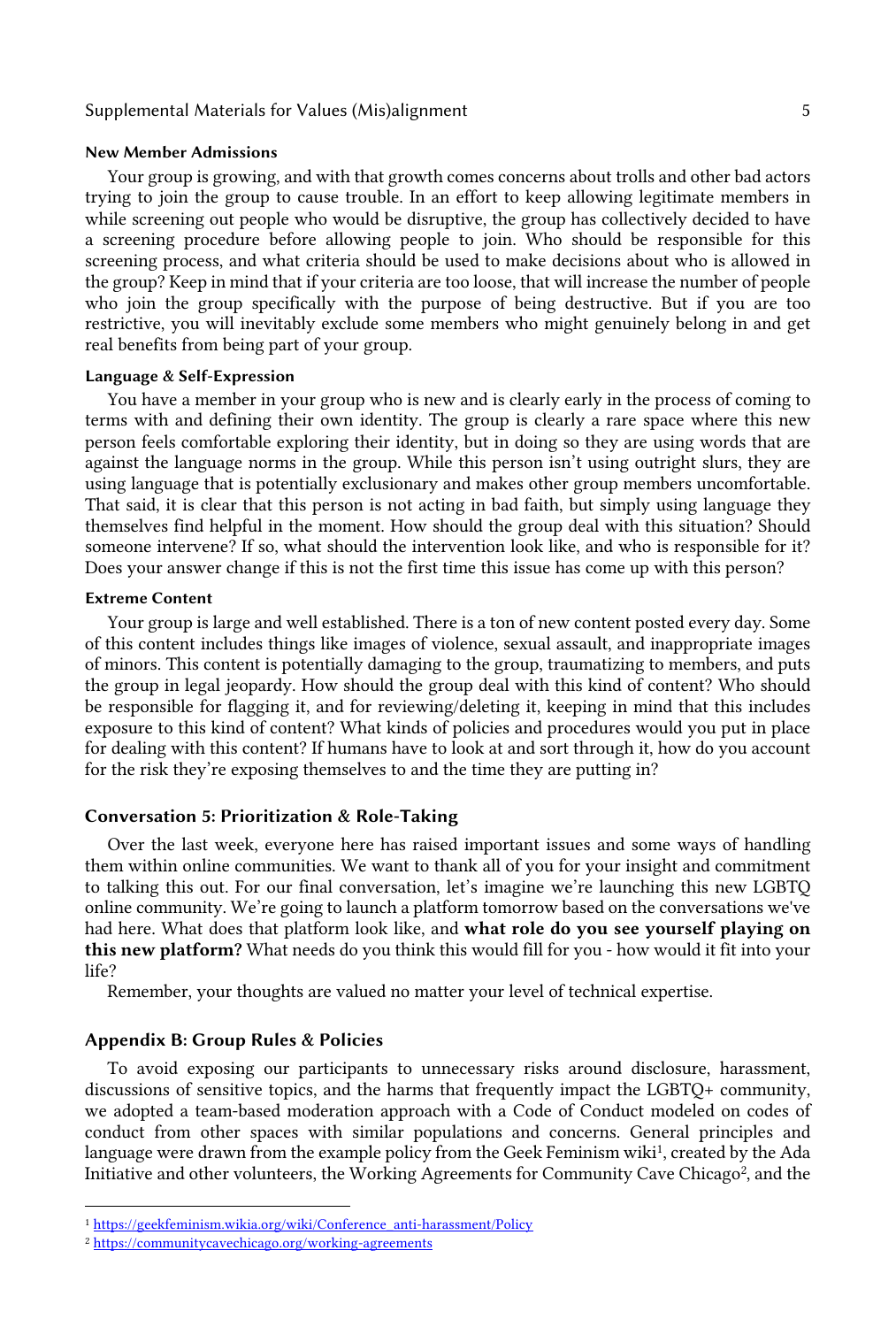# Supplemental Materials for Values (Mis)alignment 5

#### New Member Admissions

 Your group is growing, and with that growth comes concerns about trolls and other bad actors trying to join the group to cause trouble. In an effort to keep allowing legitimate members in while screening out people who would be disruptive, the group has collectively decided to have a screening procedure before allowing people to join. Who should be responsible for this screening process, and what criteria should be used to make decisions about who is allowed in the group? Keep in mind that if your criteria are too loose, that will increase the number of people who join the group specifically with the purpose of being destructive. But if you are too restrictive, you will inevitably exclude some members who might genuinely belong in and get real benefits from being part of your group.

#### Language & Self-Expression

 You have a member in your group who is new and is clearly early in the process of coming to terms with and defining their own identity. The group is clearly a rare space where this new person feels comfortable exploring their identity, but in doing so they are using words that are against the language norms in the group. While this person isn't using outright slurs, they are using language that is potentially exclusionary and makes other group members uncomfortable. That said, it is clear that this person is not acting in bad faith, but simply using language they themselves find helpful in the moment. How should the group deal with this situation? Should someone intervene? If so, what should the intervention look like, and who is responsible for it? Does your answer change if this is not the first time this issue has come up with this person?

#### Extreme Content

 Your group is large and well established. There is a ton of new content posted every day. Some of this content includes things like images of violence, sexual assault, and inappropriate images of minors. This content is potentially damaging to the group, traumatizing to members, and puts the group in legal jeopardy. How should the group deal with this kind of content? Who should be responsible for flagging it, and for reviewing/deleting it, keeping in mind that this includes exposure to this kind of content? What kinds of policies and procedures would you put in place for dealing with this content? If humans have to look at and sort through it, how do you account for the risk they're exposing themselves to and the time they are putting in?

# Conversation 5: Prioritization & Role-Taking

 Over the last week, everyone here has raised important issues and some ways of handling them within online communities. We want to thank all of you for your insight and commitment to talking this out. For our final conversation, let's imagine we're launching this new LGBTQ online community. We're going to launch a platform tomorrow based on the conversations we've had here. What does that platform look like, and what role do you see yourself playing on this new platform? What needs do you think this would fill for you - how would it fit into your life?

Remember, your thoughts are valued no matter your level of technical expertise.

# Appendix B: Group Rules & Policies

 discussions of sensitive topics, and the harms that frequently impact the LGBTQ+ community, we adopted a team-based moderation approach with a Code of Conduct modeled on codes of conduct from other spaces with similar populations and concerns. General principles and language were drawn from the example policy from the Geek Feminism wiki<sup>1</sup>, created by the Ada Initiative and other volunteers, the Working Agreements for Community Cave Chicago<sup>2</sup>, and the To avoid exposing our participants to unnecessary risks around disclosure, harassment,

<sup>1</sup> [https://geekfeminism.wikia.org/wiki/Conference\\_anti-harassment/Policy](https://geekfeminism.wikia.org/wiki/Conference_anti-harassment/Policy)

<sup>2</sup> <https://communitycavechicago.org/working-agreements>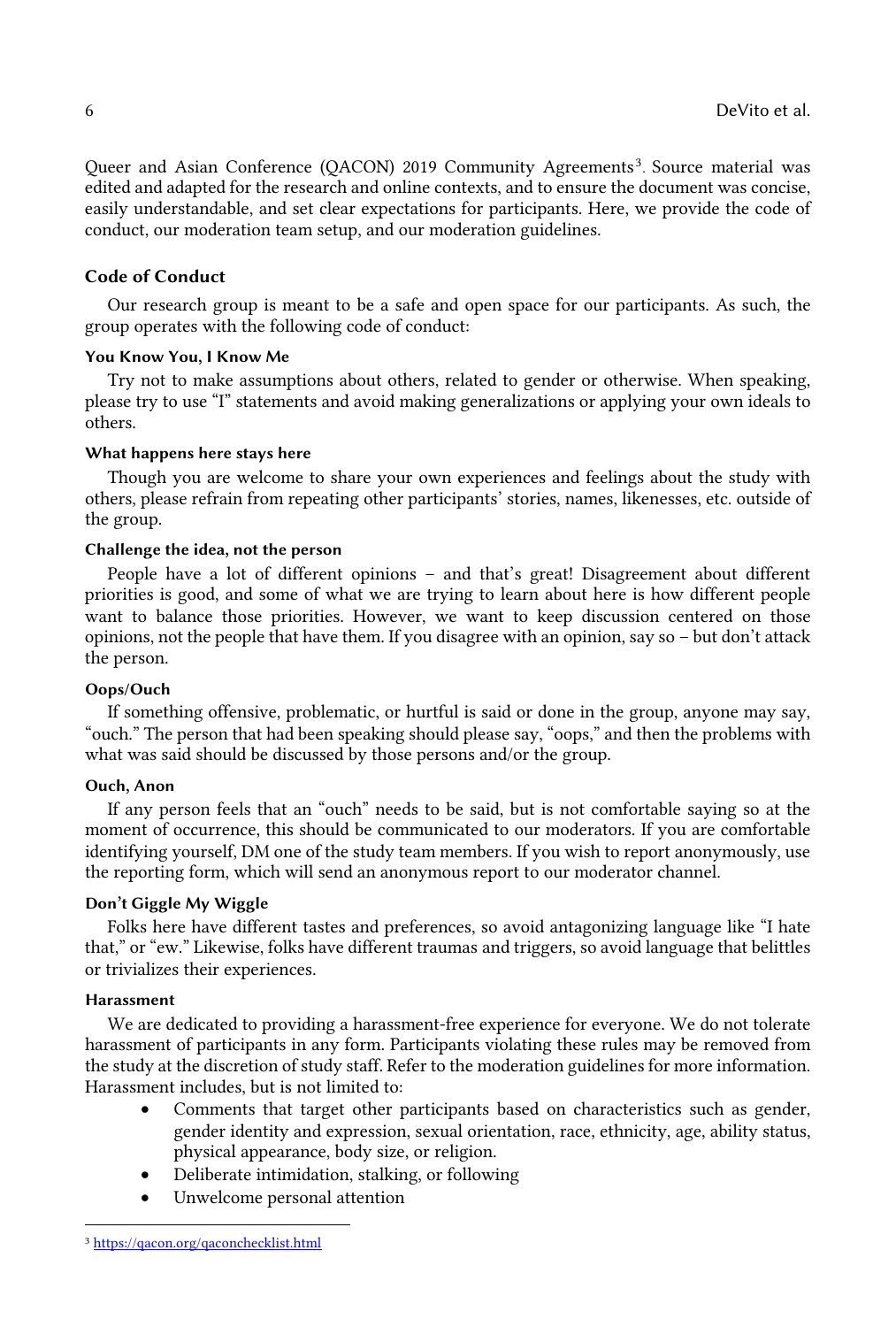Queer and Asian Conference (QACON) 2019 Community Agreements<sup>3</sup>. Source material was edited and adapted for the research and online contexts, and to ensure the document was concise, easily understandable, and set clear expectations for participants. Here, we provide the code of conduct, our moderation team setup, and our moderation guidelines.

# Code of Conduct

 Our research group is meant to be a safe and open space for our participants. As such, the group operates with the following code of conduct:

#### You Know You, I Know Me

 Try not to make assumptions about others, related to gender or otherwise. When speaking, please try to use "I" statements and avoid making generalizations or applying your own ideals to others.

# What happens here stays here

 Though you are welcome to share your own experiences and feelings about the study with others, please refrain from repeating other participants' stories, names, likenesses, etc. outside of the group.

# Challenge the idea, not the person

 People have a lot of different opinions – and that's great! Disagreement about different priorities is good, and some of what we are trying to learn about here is how different people want to balance those priorities. However, we want to keep discussion centered on those opinions, not the people that have them. If you disagree with an opinion, say so – but don't attack the person.

# Oops/Ouch

 If something offensive, problematic, or hurtful is said or done in the group, anyone may say, "ouch." The person that had been speaking should please say, "oops," and then the problems with what was said should be discussed by those persons and/or the group.

#### Ouch, Anon

 If any person feels that an "ouch" needs to be said, but is not comfortable saying so at the moment of occurrence, this should be communicated to our moderators. If you are comfortable identifying yourself, DM one of the study team members. If you wish to report anonymously, use the reporting form, which will send an anonymous report to our moderator channel.

#### Don't Giggle My Wiggle

 Folks here have different tastes and preferences, so avoid antagonizing language like "I hate that," or "ew." Likewise, folks have different traumas and triggers, so avoid language that belittles or trivializes their experiences.

# Harassment

 We are dedicated to providing a harassment-free experience for everyone. We do not tolerate harassment of participants in any form. Participants violating these rules may be removed from the study at the discretion of study staff. Refer to the moderation guidelines for more information. Harassment includes, but is not limited to:

- • Comments that target other participants based on characteristics such as gender, gender identity and expression, sexual orientation, race, ethnicity, age, ability status, physical appearance, body size, or religion.
- Deliberate intimidation, stalking, or following
- Unwelcome personal attention

<sup>3</sup> <https://qacon.org/qaconchecklist.html>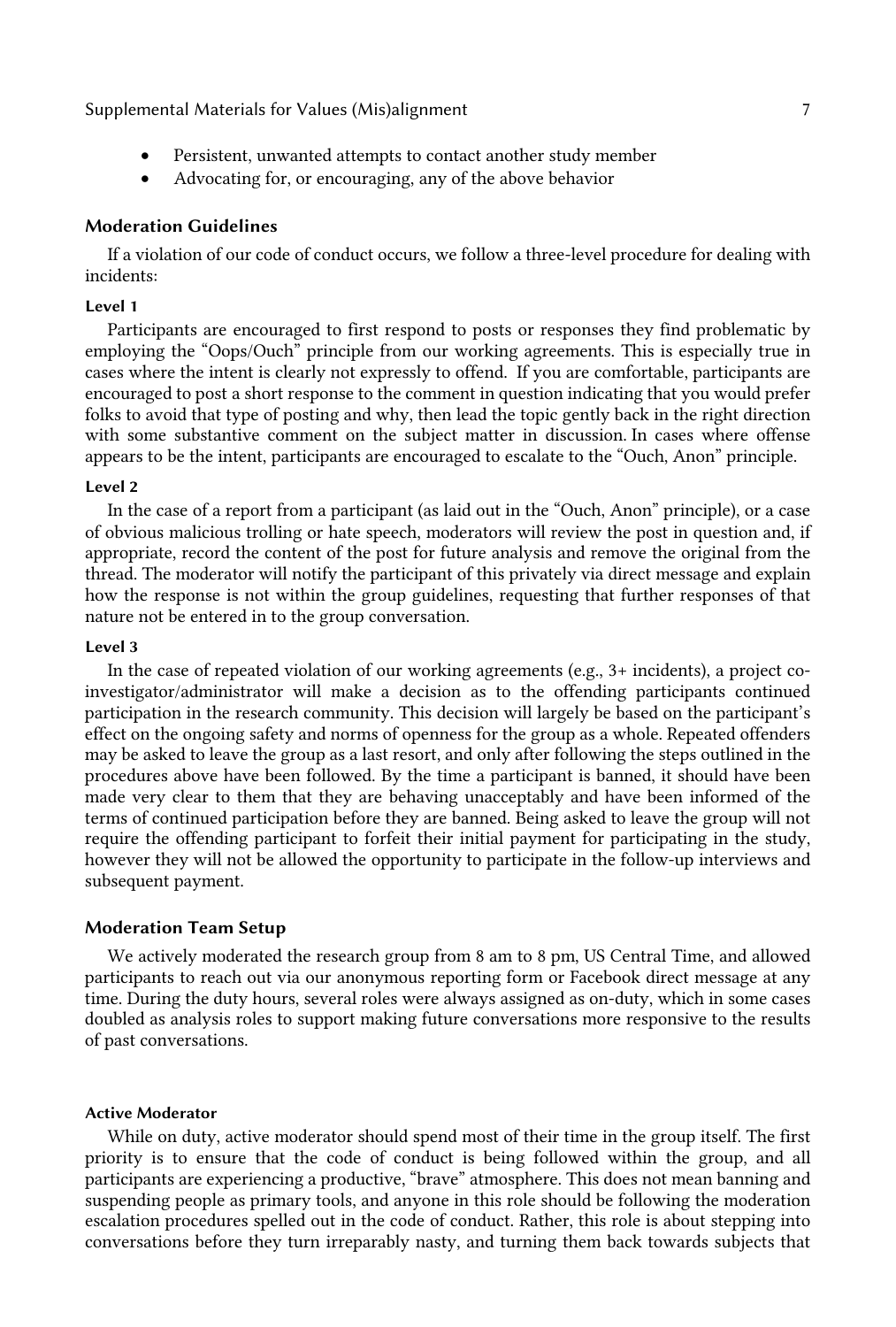Supplemental Materials for Values (Mis)alignment 7

- Persistent, unwanted attempts to contact another study member
- Advocating for, or encouraging, any of the above behavior

# Moderation Guidelines

 If a violation of our code of conduct occurs, we follow a three-level procedure for dealing with incidents:

# Level 1

 Participants are encouraged to first respond to posts or responses they find problematic by employing the "Oops/Ouch" principle from our working agreements. This is especially true in cases where the intent is clearly not expressly to offend. If you are comfortable, participants are folks to avoid that type of posting and why, then lead the topic gently back in the right direction with some substantive comment on the subject matter in discussion. In cases where offense appears to be the intent, participants are encouraged to escalate to the "Ouch, Anon" principle. encouraged to post a short response to the comment in question indicating that you would prefer

#### Level 2

 In the case of a report from a participant (as laid out in the "Ouch, Anon" principle), or a case of obvious malicious trolling or hate speech, moderators will review the post in question and, if appropriate, record the content of the post for future analysis and remove the original from the thread. The moderator will notify the participant of this privately via direct message and explain how the response is not within the group guidelines, requesting that further responses of that nature not be entered in to the group conversation.

#### Level 3

 In the case of repeated violation of our working agreements (e.g., 3+ incidents), a project co- investigator/administrator will make a decision as to the offending participants continued participation in the research community. This decision will largely be based on the participant's effect on the ongoing safety and norms of openness for the group as a whole. Repeated offenders may be asked to leave the group as a last resort, and only after following the steps outlined in the procedures above have been followed. By the time a participant is banned, it should have been made very clear to them that they are behaving unacceptably and have been informed of the terms of continued participation before they are banned. Being asked to leave the group will not require the offending participant to forfeit their initial payment for participating in the study, however they will not be allowed the opportunity to participate in the follow-up interviews and subsequent payment.

# Moderation Team Setup

 We actively moderated the research group from 8 am to 8 pm, US Central Time, and allowed participants to reach out via our anonymous reporting form or Facebook direct message at any time. During the duty hours, several roles were always assigned as on-duty, which in some cases doubled as analysis roles to support making future conversations more responsive to the results of past conversations.

#### Active Moderator

 While on duty, active moderator should spend most of their time in the group itself. The first priority is to ensure that the code of conduct is being followed within the group, and all participants are experiencing a productive, "brave" atmosphere. This does not mean banning and suspending people as primary tools, and anyone in this role should be following the moderation escalation procedures spelled out in the code of conduct. Rather, this role is about stepping into conversations before they turn irreparably nasty, and turning them back towards subjects that